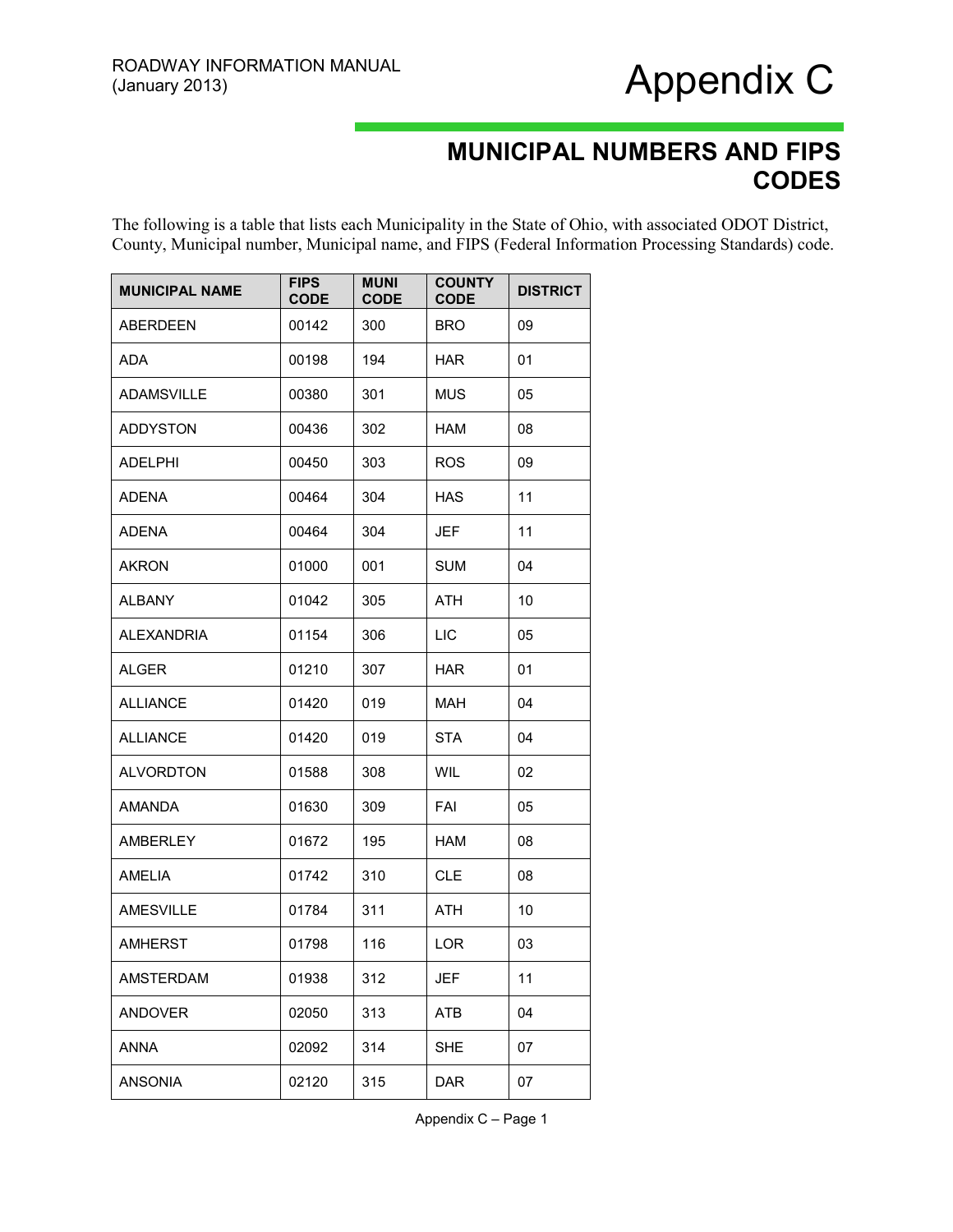### Appendix C

#### **MUNICIPAL NUMBERS AND FIPS CODES**

The following is a table that lists each Municipality in the State of Ohio, with associated ODOT District, County, Municipal number, Municipal name, and FIPS (Federal Information Processing Standards) code.

| <b>MUNICIPAL NAME</b> | <b>FIPS</b><br><b>CODE</b> | <b>MUNI</b><br><b>CODE</b> | <b>COUNTY</b><br><b>CODE</b> | <b>DISTRICT</b> |
|-----------------------|----------------------------|----------------------------|------------------------------|-----------------|
| ABERDEEN              | 00142                      | 300                        | <b>BRO</b>                   | 09              |
| ADA                   | 00198                      | 194                        | <b>HAR</b>                   | 01              |
| <b>ADAMSVILLE</b>     | 00380                      | 301                        | <b>MUS</b>                   | 05              |
| <b>ADDYSTON</b>       | 00436                      | 302                        | HAM                          | 08              |
| <b>ADELPHI</b>        | 00450                      | 303                        | ROS                          | 09              |
| <b>ADENA</b>          | 00464                      | 304                        | <b>HAS</b>                   | 11              |
| <b>ADENA</b>          | 00464                      | 304                        | JEF                          | 11              |
| <b>AKRON</b>          | 01000                      | 001                        | <b>SUM</b>                   | 04              |
| <b>ALBANY</b>         | 01042                      | 305                        | ATH                          | 10              |
| <b>ALEXANDRIA</b>     | 01154                      | 306                        | <b>LIC</b>                   | 05              |
| <b>ALGER</b>          | 01210                      | 307                        | <b>HAR</b>                   | 01              |
| <b>ALLIANCE</b>       | 01420                      | 019                        | MAH                          | 04              |
| <b>ALLIANCE</b>       | 01420                      | 019                        | <b>STA</b>                   | 04              |
| <b>ALVORDTON</b>      | 01588                      | 308                        | WIL                          | 02              |
| <b>AMANDA</b>         | 01630                      | 309                        | FAI                          | 05              |
| <b>AMBERLEY</b>       | 01672                      | 195                        | HAM                          | 08              |
| <b>AMELIA</b>         | 01742                      | 310                        | <b>CLE</b>                   | 08              |
| <b>AMESVILLE</b>      | 01784                      | 311                        | ATH                          | 10              |
| <b>AMHERST</b>        | 01798                      | 116                        | LOR                          | 03              |
| AMSTERDAM             | 01938                      | 312                        | <b>JEF</b>                   | 11              |
| <b>ANDOVER</b>        | 02050                      | 313                        | ATB                          | 04              |
| <b>ANNA</b>           | 02092                      | 314                        | <b>SHE</b>                   | 07              |
| <b>ANSONIA</b>        | 02120                      | 315                        | <b>DAR</b>                   | 07              |

Appendix C – Page 1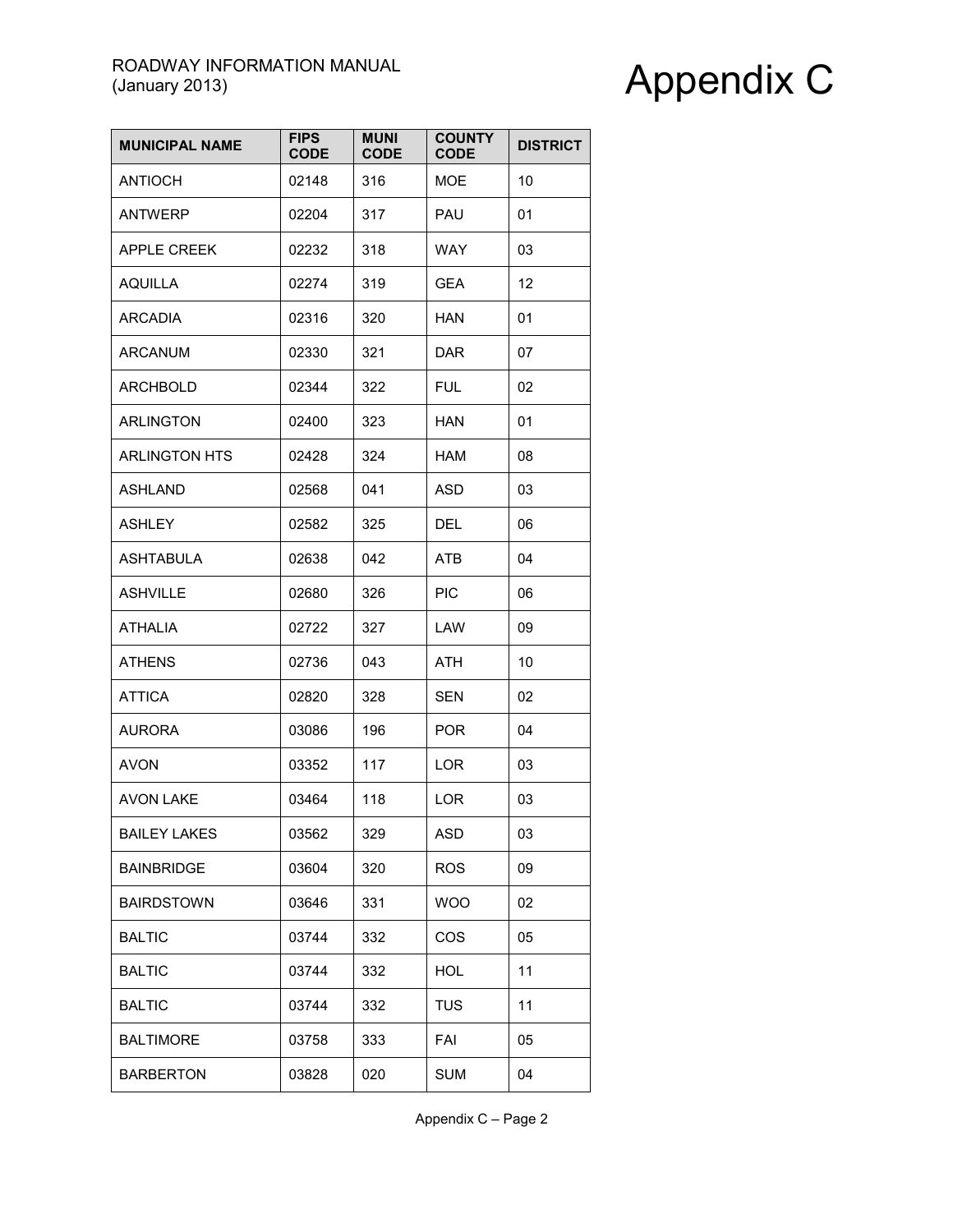| <b>MUNICIPAL NAME</b> | <b>FIPS</b><br><b>CODE</b> | <b>MUNI</b><br><b>CODE</b> | <b>COUNTY</b><br><b>CODE</b> | <b>DISTRICT</b> |
|-----------------------|----------------------------|----------------------------|------------------------------|-----------------|
| <b>ANTIOCH</b>        | 02148                      | 316                        | MOE.                         | 10              |
| <b>ANTWERP</b>        | 02204                      | 317                        | PAU                          | 01              |
| <b>APPLE CREEK</b>    | 02232                      | 318                        | <b>WAY</b>                   | 03              |
| <b>AQUILLA</b>        | 02274                      | 319                        | GEA                          | 12              |
| <b>ARCADIA</b>        | 02316                      | 320                        | <b>HAN</b>                   | 01              |
| <b>ARCANUM</b>        | 02330                      | 321                        | <b>DAR</b>                   | 07              |
| <b>ARCHBOLD</b>       | 02344                      | 322                        | <b>FUL</b>                   | 02              |
| <b>ARLINGTON</b>      | 02400                      | 323                        | <b>HAN</b>                   | 01              |
| <b>ARLINGTON HTS</b>  | 02428                      | 324                        | HAM                          | 08              |
| <b>ASHLAND</b>        | 02568                      | 041                        | <b>ASD</b>                   | 03              |
| <b>ASHLEY</b>         | 02582                      | 325                        | DEL                          | 06              |
| <b>ASHTABULA</b>      | 02638                      | 042                        | <b>ATB</b>                   | 04              |
| <b>ASHVILLE</b>       | 02680                      | 326                        | <b>PIC</b>                   | 06              |
| <b>ATHALIA</b>        | 02722                      | 327                        | LAW                          | 09              |
| <b>ATHENS</b>         | 02736                      | 043                        | <b>ATH</b>                   | 10              |
| <b>ATTICA</b>         | 02820                      | 328                        | <b>SEN</b>                   | 02              |
| <b>AURORA</b>         | 03086                      | 196                        | <b>POR</b>                   | 04              |
| <b>AVON</b>           | 03352                      | 117                        | <b>LOR</b>                   | 03              |
| <b>AVON LAKE</b>      | 03464                      | 118                        | LOR                          | 03              |
| <b>BAILEY LAKES</b>   | 03562                      | 329                        | <b>ASD</b>                   | 03              |
| <b>BAINBRIDGE</b>     | 03604                      | 320                        | <b>ROS</b>                   | 09              |
| <b>BAIRDSTOWN</b>     | 03646                      | 331                        | <b>WOO</b>                   | 02              |
| <b>BALTIC</b>         | 03744                      | 332                        | COS                          | 05              |
| <b>BALTIC</b>         | 03744                      | 332                        | <b>HOL</b>                   | 11              |
| <b>BALTIC</b>         | 03744                      | 332                        | <b>TUS</b>                   | 11              |
| <b>BALTIMORE</b>      | 03758                      | 333                        | FAI                          | 05              |
| <b>BARBERTON</b>      | 03828                      | 020                        | <b>SUM</b>                   | 04              |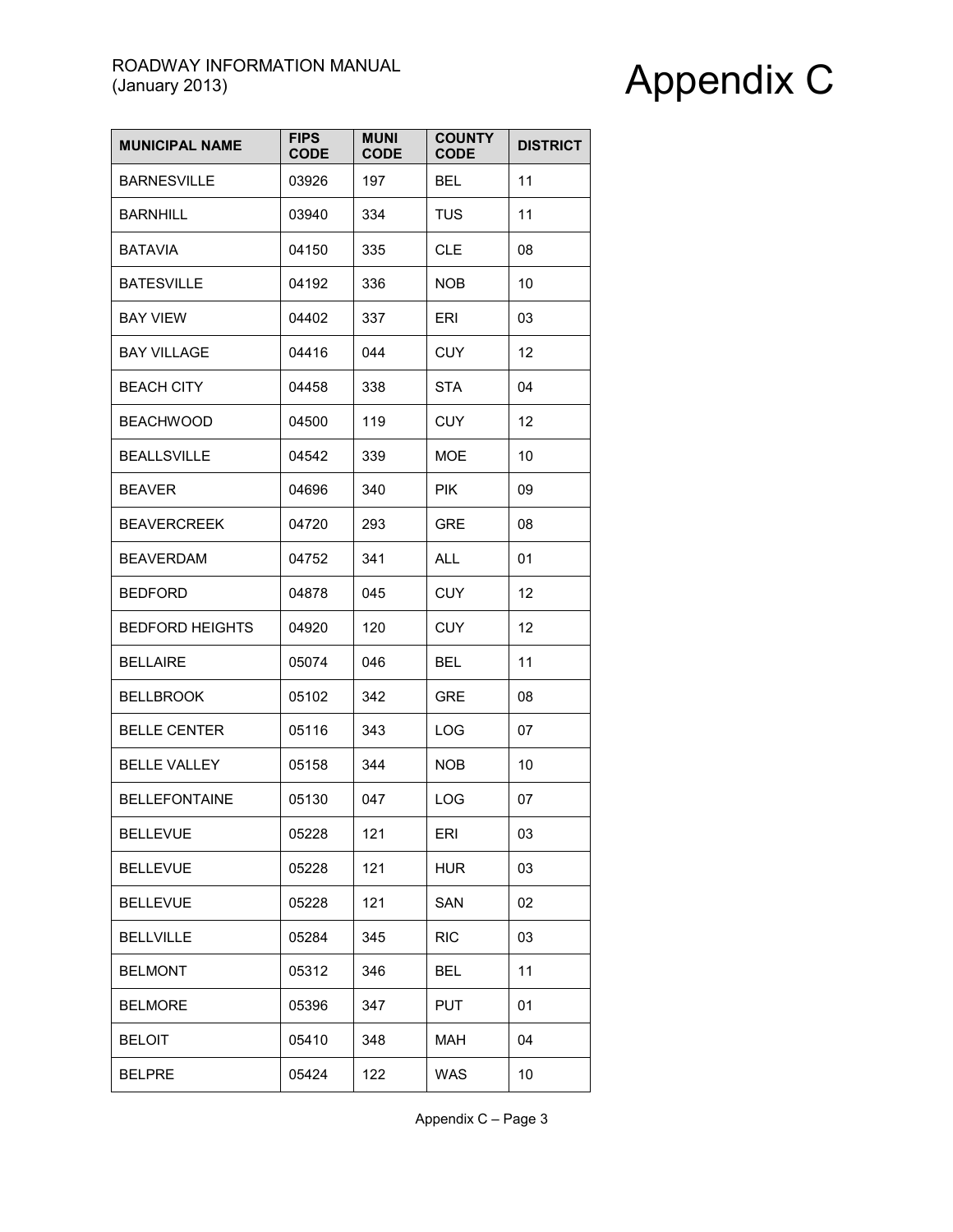| <b>MUNICIPAL NAME</b>  | <b>FIPS</b><br><b>CODE</b> | <b>MUNI</b><br><b>CODE</b> | <b>COUNTY</b><br><b>CODE</b> | <b>DISTRICT</b> |
|------------------------|----------------------------|----------------------------|------------------------------|-----------------|
| <b>BARNESVILLE</b>     | 03926                      | 197                        | BEL.                         | 11              |
| <b>BARNHILL</b>        | 03940                      | 334                        | <b>TUS</b>                   | 11              |
| <b>BATAVIA</b>         | 04150                      | 335                        | <b>CLE</b>                   | 08              |
| <b>BATESVILLE</b>      | 04192                      | 336                        | NOB.                         | 10              |
| <b>BAY VIEW</b>        | 04402                      | 337                        | ERI                          | 03              |
| <b>BAY VILLAGE</b>     | 04416                      | 044                        | <b>CUY</b>                   | 12              |
| <b>BEACH CITY</b>      | 04458                      | 338                        | STA                          | 04              |
| <b>BEACHWOOD</b>       | 04500                      | 119                        | <b>CUY</b>                   | 12              |
| <b>BEALLSVILLE</b>     | 04542                      | 339                        | <b>MOE</b>                   | 10              |
| <b>BEAVER</b>          | 04696                      | 340                        | <b>PIK</b>                   | 09              |
| <b>BEAVERCREEK</b>     | 04720                      | 293                        | <b>GRE</b>                   | 08              |
| <b>BEAVERDAM</b>       | 04752                      | 341                        | <b>ALL</b>                   | 01              |
| <b>BEDFORD</b>         | 04878                      | 045                        | <b>CUY</b>                   | 12              |
| <b>BEDFORD HEIGHTS</b> | 04920                      | 120                        | <b>CUY</b>                   | 12              |
| <b>BELLAIRE</b>        | 05074                      | 046                        | <b>BEL</b>                   | 11              |
| <b>BELLBROOK</b>       | 05102                      | 342                        | <b>GRE</b>                   | 08              |
| <b>BELLE CENTER</b>    | 05116                      | 343                        | <b>LOG</b>                   | 07              |
| <b>BELLE VALLEY</b>    | 05158                      | 344                        | <b>NOB</b>                   | 10              |
| <b>BELLEFONTAINE</b>   | 05130                      | 047                        | LOG                          | 07              |
| <b>BELLEVUE</b>        | 05228                      | 121                        | ERI                          | 03              |
| <b>BELLEVUE</b>        | 05228                      | 121                        | <b>HUR</b>                   | 03              |
| <b>BELLEVUE</b>        | 05228                      | 121                        | SAN                          | 02              |
| <b>BELLVILLE</b>       | 05284                      | 345                        | <b>RIC</b>                   | 03              |
| <b>BELMONT</b>         | 05312                      | 346                        | BEL                          | 11              |
| <b>BELMORE</b>         | 05396                      | 347                        | <b>PUT</b>                   | 01              |
| <b>BELOIT</b>          | 05410                      | 348                        | <b>MAH</b>                   | 04              |
| <b>BELPRE</b>          | 05424                      | 122                        | <b>WAS</b>                   | 10              |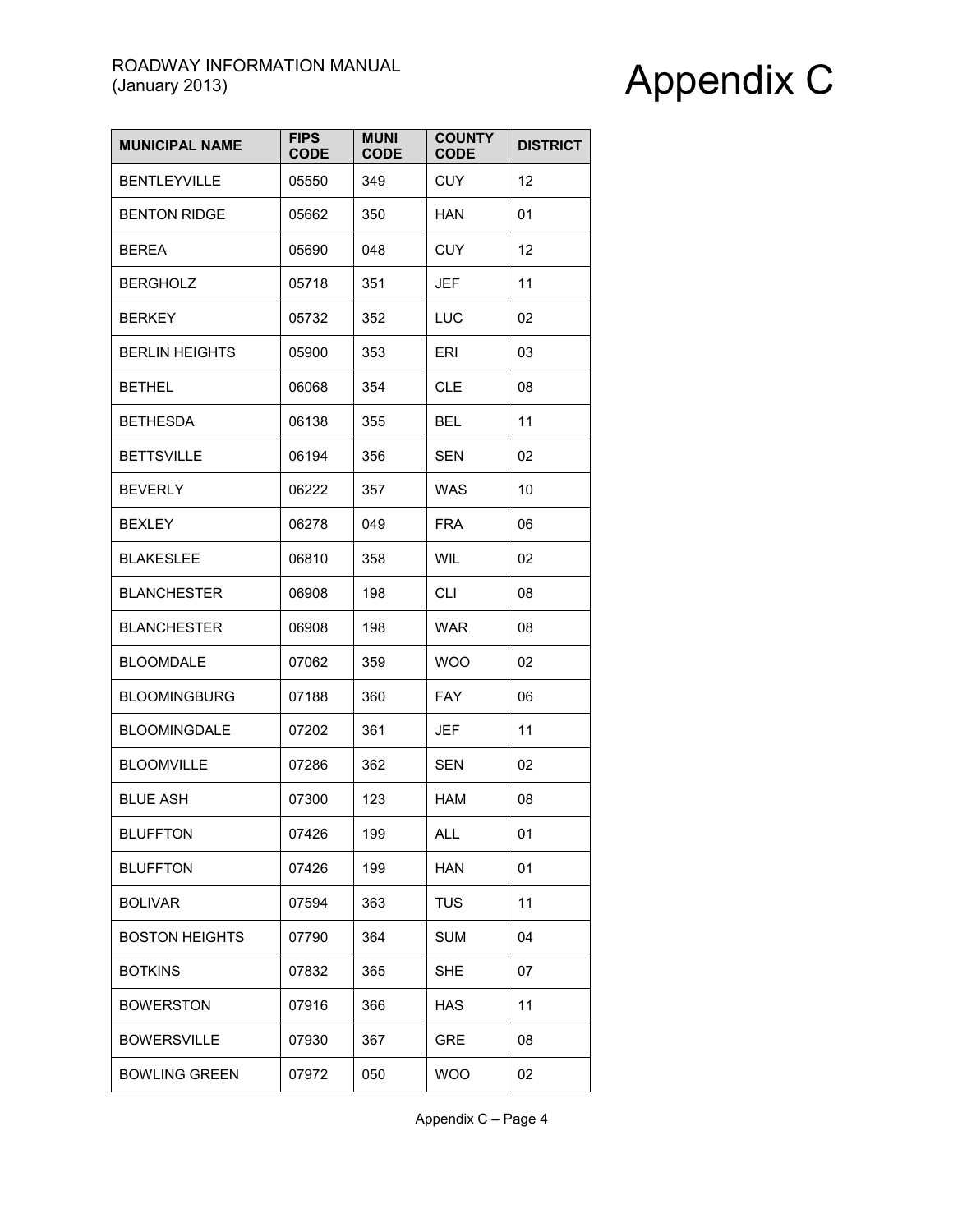| <b>MUNICIPAL NAME</b> | <b>FIPS</b><br><b>CODE</b> | <b>MUNI</b><br><b>CODE</b> | <b>COUNTY</b><br><b>CODE</b> | <b>DISTRICT</b> |
|-----------------------|----------------------------|----------------------------|------------------------------|-----------------|
| <b>BENTLEYVILLE</b>   | 05550                      | 349                        | <b>CUY</b>                   | 12              |
| <b>BENTON RIDGE</b>   | 05662                      | 350                        | <b>HAN</b>                   | 01              |
| <b>BEREA</b>          | 05690                      | 048                        | <b>CUY</b>                   | 12              |
| <b>BERGHOLZ</b>       | 05718                      | 351                        | <b>JEF</b>                   | 11              |
| <b>BERKEY</b>         | 05732                      | 352                        | LUC                          | 02              |
| <b>BERLIN HEIGHTS</b> | 05900                      | 353                        | ERI                          | 03              |
| <b>BETHEL</b>         | 06068                      | 354                        | <b>CLE</b>                   | 08              |
| <b>BETHESDA</b>       | 06138                      | 355                        | <b>BEL</b>                   | 11              |
| <b>BETTSVILLE</b>     | 06194                      | 356                        | <b>SEN</b>                   | 02              |
| <b>BEVERLY</b>        | 06222                      | 357                        | <b>WAS</b>                   | 10              |
| <b>BEXLEY</b>         | 06278                      | 049                        | <b>FRA</b>                   | 06              |
| <b>BLAKESLEE</b>      | 06810                      | 358                        | WIL                          | 02              |
| <b>BLANCHESTER</b>    | 06908                      | 198                        | CLI                          | 08              |
| <b>BLANCHESTER</b>    | 06908                      | 198                        | <b>WAR</b>                   | 08              |
| <b>BLOOMDALE</b>      | 07062                      | 359                        | <b>WOO</b>                   | 02              |
| <b>BLOOMINGBURG</b>   | 07188                      | 360                        | <b>FAY</b>                   | 06              |
| <b>BLOOMINGDALE</b>   | 07202                      | 361                        | JEF                          | 11              |
| <b>BLOOMVILLE</b>     | 07286                      | 362                        | <b>SEN</b>                   | 02              |
| <b>BLUE ASH</b>       | 07300                      | 123                        | HAM                          | 08              |
| <b>BLUFFTON</b>       | 07426                      | 199                        | ALL                          | 01              |
| <b>BLUFFTON</b>       | 07426                      | 199                        | <b>HAN</b>                   | 01              |
| <b>BOLIVAR</b>        | 07594                      | 363                        | <b>TUS</b>                   | 11              |
| <b>BOSTON HEIGHTS</b> | 07790                      | 364                        | <b>SUM</b>                   | 04              |
| <b>BOTKINS</b>        | 07832                      | 365                        | <b>SHE</b>                   | 07              |
| <b>BOWERSTON</b>      | 07916                      | 366                        | <b>HAS</b>                   | 11              |
| <b>BOWERSVILLE</b>    | 07930                      | 367                        | <b>GRE</b>                   | 08              |
| <b>BOWLING GREEN</b>  | 07972                      | 050                        | <b>WOO</b>                   | 02              |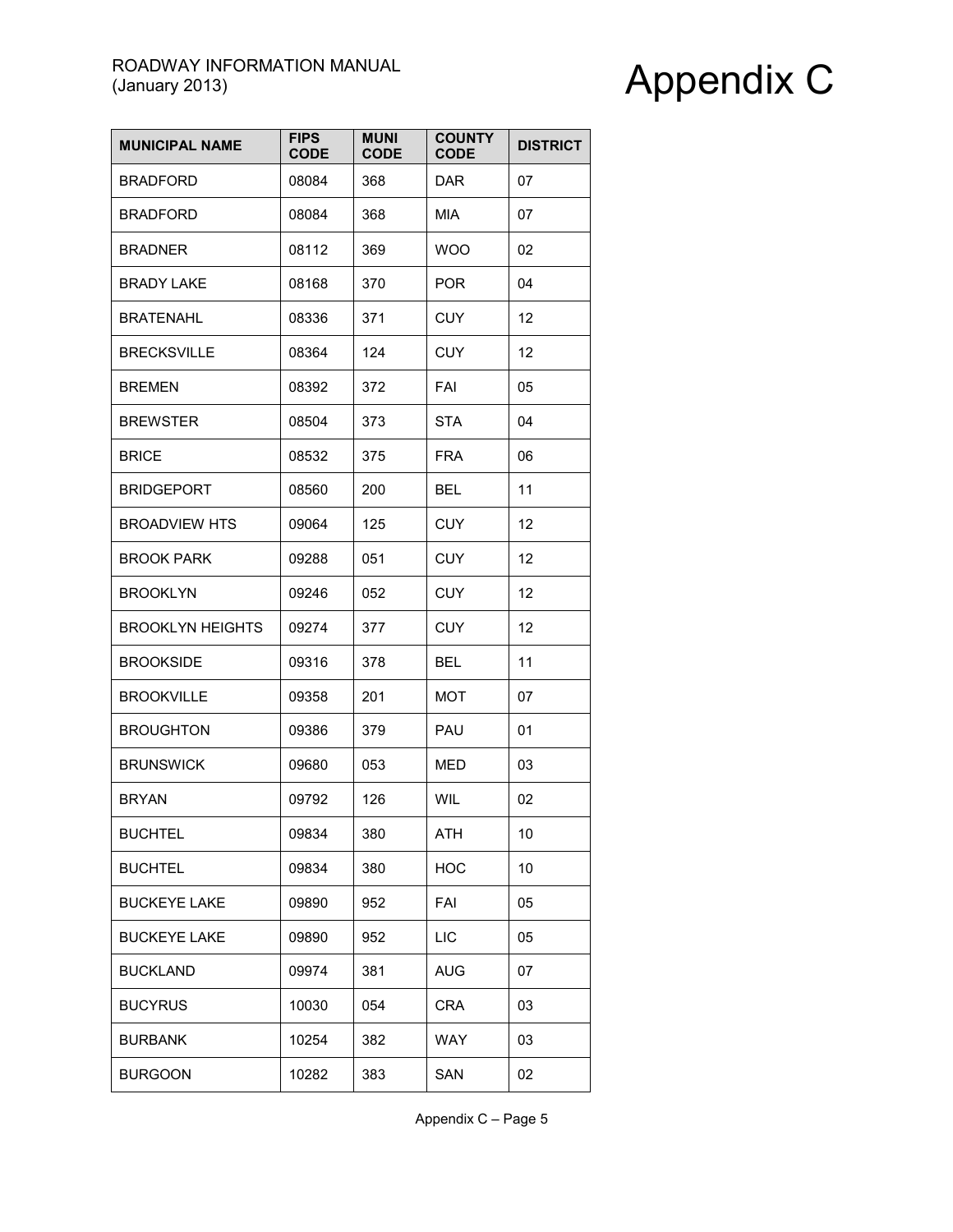| <b>MUNICIPAL NAME</b>   | <b>FIPS</b><br><b>CODE</b> | <b>MUNI</b><br><b>CODE</b> | <b>COUNTY</b><br><b>CODE</b> | <b>DISTRICT</b> |
|-------------------------|----------------------------|----------------------------|------------------------------|-----------------|
| <b>BRADFORD</b>         | 08084                      | 368                        | DAR.                         | 07              |
| <b>BRADFORD</b>         | 08084                      | 368                        | <b>MIA</b>                   | 07              |
| <b>BRADNER</b>          | 08112                      | 369                        | <b>WOO</b>                   | 02              |
| <b>BRADY LAKE</b>       | 08168                      | 370                        | <b>POR</b>                   | 04              |
| <b>BRATENAHL</b>        | 08336                      | 371                        | <b>CUY</b>                   | 12              |
| <b>BRECKSVILLE</b>      | 08364                      | 124                        | <b>CUY</b>                   | 12              |
| <b>BREMEN</b>           | 08392                      | 372                        | FAI                          | 05              |
| <b>BREWSTER</b>         | 08504                      | 373                        | <b>STA</b>                   | 04              |
| <b>BRICE</b>            | 08532                      | 375                        | <b>FRA</b>                   | 06              |
| <b>BRIDGEPORT</b>       | 08560                      | 200                        | BEL                          | 11              |
| <b>BROADVIEW HTS</b>    | 09064                      | 125                        | <b>CUY</b>                   | 12              |
| <b>BROOK PARK</b>       | 09288                      | 051                        | <b>CUY</b>                   | 12              |
| <b>BROOKLYN</b>         | 09246                      | 052                        | <b>CUY</b>                   | 12              |
| <b>BROOKLYN HEIGHTS</b> | 09274                      | 377                        | <b>CUY</b>                   | 12              |
| <b>BROOKSIDE</b>        | 09316                      | 378                        | <b>BEL</b>                   | 11              |
| <b>BROOKVILLE</b>       | 09358                      | 201                        | <b>MOT</b>                   | 07              |
| <b>BROUGHTON</b>        | 09386                      | 379                        | PAU                          | 01              |
| <b>BRUNSWICK</b>        | 09680                      | 053                        | <b>MED</b>                   | 03              |
| <b>BRYAN</b>            | 09792                      | 126                        | WIL                          | 02              |
| <b>BUCHTEL</b>          | 09834                      | 380                        | ATH                          | 10              |
| <b>BUCHTEL</b>          | 09834                      | 380                        | <b>HOC</b>                   | 10              |
| <b>BUCKEYE LAKE</b>     | 09890                      | 952                        | FAI                          | 05              |
| <b>BUCKEYE LAKE</b>     | 09890                      | 952                        | LIC                          | 05              |
| <b>BUCKLAND</b>         | 09974                      | 381                        | <b>AUG</b>                   | 07              |
| <b>BUCYRUS</b>          | 10030                      | 054                        | <b>CRA</b>                   | 03              |
| <b>BURBANK</b>          | 10254                      | 382                        | <b>WAY</b>                   | 03              |
| <b>BURGOON</b>          | 10282                      | 383                        | SAN                          | 02              |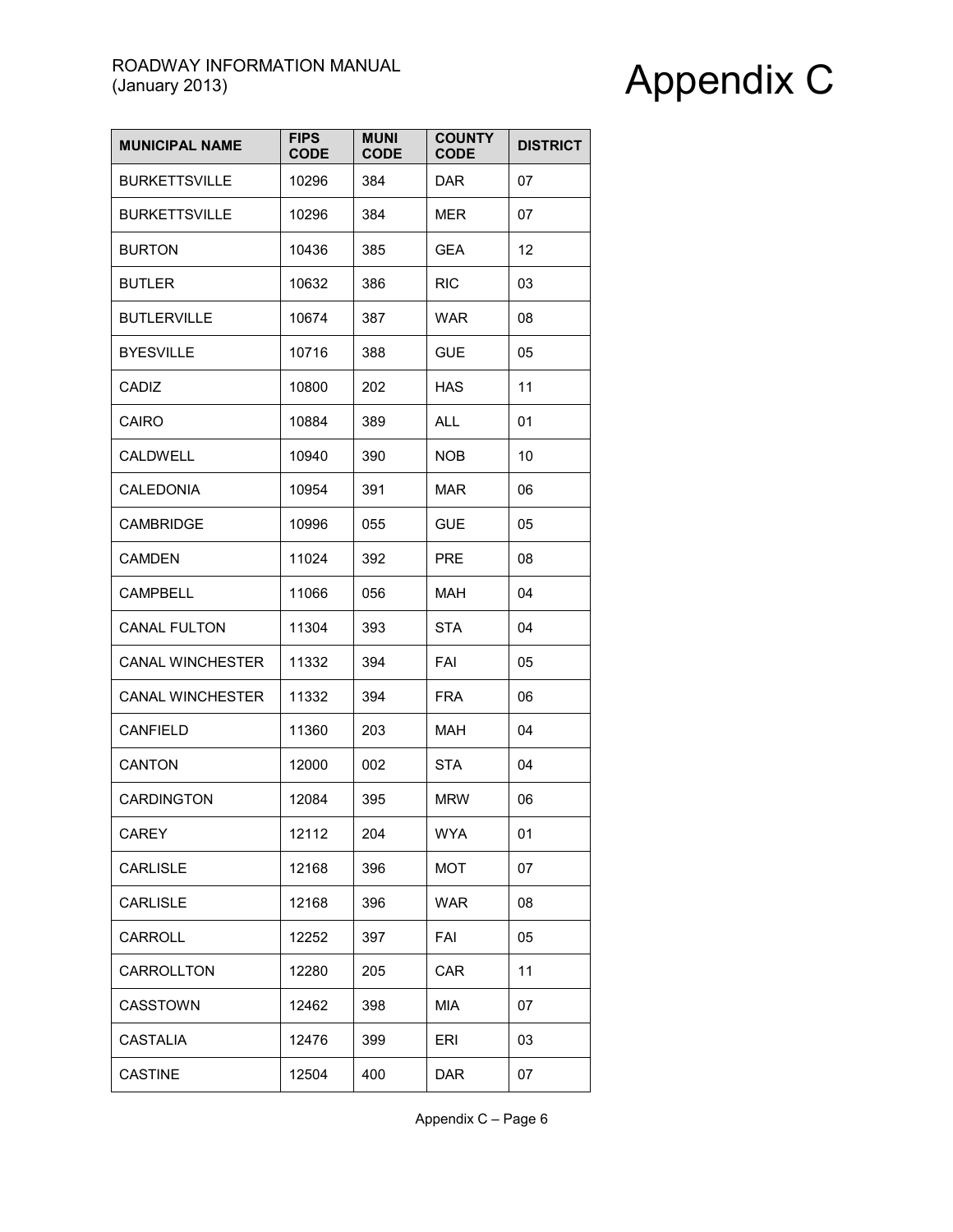| <b>MUNICIPAL NAME</b>   | <b>FIPS</b><br><b>CODE</b> | <b>MUNI</b><br><b>CODE</b> | <b>COUNTY</b><br><b>CODE</b> | <b>DISTRICT</b> |
|-------------------------|----------------------------|----------------------------|------------------------------|-----------------|
| <b>BURKETTSVILLE</b>    | 10296                      | 384                        | <b>DAR</b>                   | 07              |
| <b>BURKETTSVILLE</b>    | 10296                      | 384                        | <b>MER</b>                   | 07              |
| <b>BURTON</b>           | 10436                      | 385                        | GEA                          | 12              |
| <b>BUTLER</b>           | 10632                      | 386                        | <b>RIC</b>                   | 03              |
| <b>BUTLERVILLE</b>      | 10674                      | 387                        | <b>WAR</b>                   | 08              |
| <b>BYESVILLE</b>        | 10716                      | 388                        | <b>GUE</b>                   | 05              |
| CADIZ                   | 10800                      | 202                        | <b>HAS</b>                   | 11              |
| <b>CAIRO</b>            | 10884                      | 389                        | <b>ALL</b>                   | 01              |
| <b>CALDWELL</b>         | 10940                      | 390                        | <b>NOB</b>                   | 10              |
| <b>CALEDONIA</b>        | 10954                      | 391                        | <b>MAR</b>                   | 06              |
| <b>CAMBRIDGE</b>        | 10996                      | 055                        | <b>GUE</b>                   | 05              |
| <b>CAMDEN</b>           | 11024                      | 392                        | <b>PRE</b>                   | 08              |
| <b>CAMPBELL</b>         | 11066                      | 056                        | MAH                          | 04              |
| <b>CANAL FULTON</b>     | 11304                      | 393                        | <b>STA</b>                   | 04              |
| <b>CANAL WINCHESTER</b> | 11332                      | 394                        | FAI                          | 05              |
| <b>CANAL WINCHESTER</b> | 11332                      | 394                        | <b>FRA</b>                   | 06              |
| CANFIELD                | 11360                      | 203                        | MAH                          | 04              |
| CANTON                  | 12000                      | 002                        | <b>STA</b>                   | 04              |
| <b>CARDINGTON</b>       | 12084                      | 395                        | <b>MRW</b>                   | 06              |
| CAREY                   | 12112                      | 204                        | <b>WYA</b>                   | 01              |
| <b>CARLISLE</b>         | 12168                      | 396                        | <b>MOT</b>                   | 07              |
| <b>CARLISLE</b>         | 12168                      | 396                        | <b>WAR</b>                   | 08              |
| CARROLL                 | 12252                      | 397                        | FAI                          | 05              |
| <b>CARROLLTON</b>       | 12280                      | 205                        | CAR                          | 11              |
| CASSTOWN                | 12462                      | 398                        | MIA                          | 07              |
| <b>CASTALIA</b>         | 12476                      | 399                        | ERI                          | 03              |
| <b>CASTINE</b>          | 12504                      | 400                        | <b>DAR</b>                   | 07              |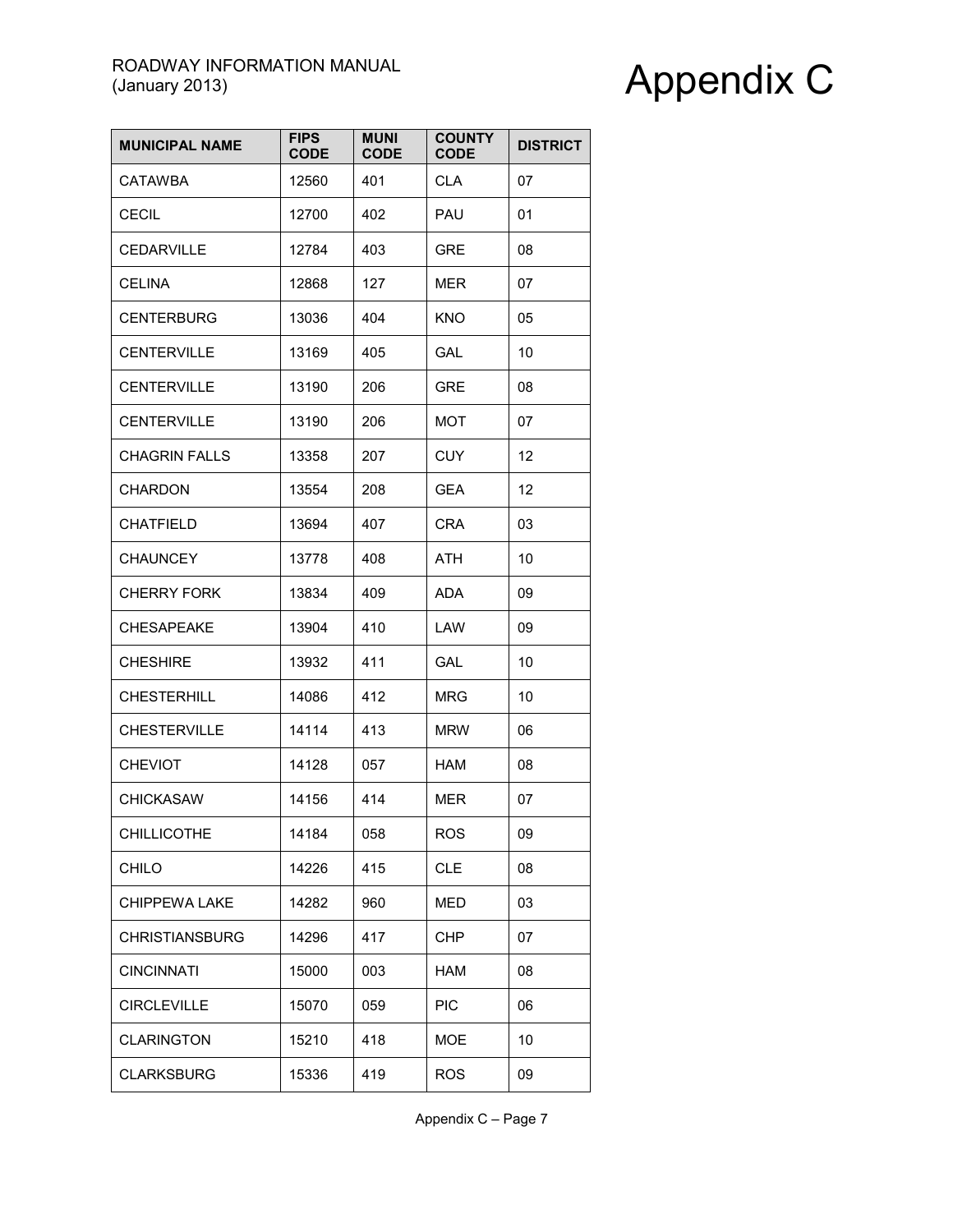| <b>MUNICIPAL NAME</b> | <b>FIPS</b><br><b>CODE</b> | <b>MUNI</b><br><b>CODE</b> | <b>COUNTY</b><br><b>CODE</b> | <b>DISTRICT</b> |
|-----------------------|----------------------------|----------------------------|------------------------------|-----------------|
| <b>CATAWBA</b>        | 12560                      | 401                        | <b>CLA</b>                   | 07              |
| <b>CECIL</b>          | 12700                      | 402                        | PAU                          | 01              |
| <b>CEDARVILLE</b>     | 12784                      | 403                        | <b>GRE</b>                   | 08              |
| <b>CELINA</b>         | 12868                      | 127                        | MER                          | 07              |
| <b>CENTERBURG</b>     | 13036                      | 404                        | KNO                          | 05              |
| <b>CENTERVILLE</b>    | 13169                      | 405                        | GAL                          | 10              |
| <b>CENTERVILLE</b>    | 13190                      | 206                        | <b>GRE</b>                   | 08              |
| <b>CENTERVILLE</b>    | 13190                      | 206                        | MOT                          | 07              |
| <b>CHAGRIN FALLS</b>  | 13358                      | 207                        | <b>CUY</b>                   | 12              |
| <b>CHARDON</b>        | 13554                      | 208                        | GEA                          | 12              |
| <b>CHATFIELD</b>      | 13694                      | 407                        | <b>CRA</b>                   | 03              |
| <b>CHAUNCEY</b>       | 13778                      | 408                        | ATH                          | 10              |
| <b>CHERRY FORK</b>    | 13834                      | 409                        | ADA                          | 09              |
| <b>CHESAPEAKE</b>     | 13904                      | 410                        | LAW                          | 09              |
| <b>CHESHIRE</b>       | 13932                      | 411                        | <b>GAL</b>                   | 10              |
| <b>CHESTERHILL</b>    | 14086                      | 412                        | MRG                          | 10              |
| <b>CHESTERVILLE</b>   | 14114                      | 413                        | <b>MRW</b>                   | 06              |
| <b>CHEVIOT</b>        | 14128                      | 057                        | <b>HAM</b>                   | 08              |
| <b>CHICKASAW</b>      | 14156                      | 414                        | MER                          | 07              |
| <b>CHILLICOTHE</b>    | 14184                      | 058                        | <b>ROS</b>                   | 09              |
| CHILO                 | 14226                      | 415                        | <b>CLE</b>                   | 08              |
| <b>CHIPPEWA LAKE</b>  | 14282                      | 960                        | MED                          | 03              |
| <b>CHRISTIANSBURG</b> | 14296                      | 417                        | CHP                          | 07              |
| <b>CINCINNATI</b>     | 15000                      | 003                        | HAM                          | 08              |
| <b>CIRCLEVILLE</b>    | 15070                      | 059                        | <b>PIC</b>                   | 06              |
| <b>CLARINGTON</b>     | 15210                      | 418                        | <b>MOE</b>                   | 10              |
| <b>CLARKSBURG</b>     | 15336                      | 419                        | <b>ROS</b>                   | 09              |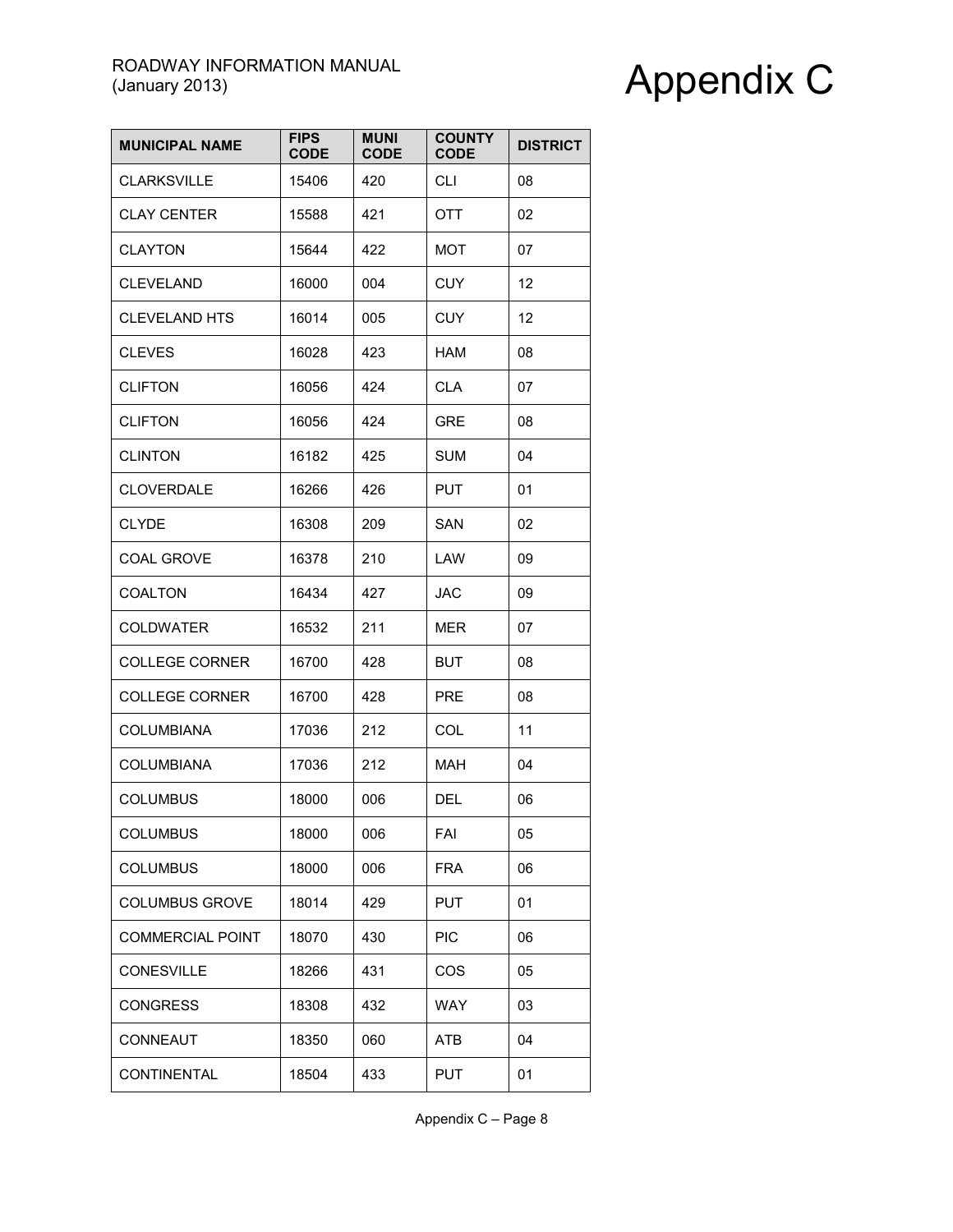| <b>MUNICIPAL NAME</b>   | <b>FIPS</b><br><b>CODE</b> | <b>MUNI</b><br><b>CODE</b> | <b>COUNTY</b><br><b>CODE</b> | <b>DISTRICT</b> |
|-------------------------|----------------------------|----------------------------|------------------------------|-----------------|
| <b>CLARKSVILLE</b>      | 15406                      | 420                        | <b>CLI</b>                   | 08              |
| <b>CLAY CENTER</b>      | 15588                      | 421                        | <b>OTT</b>                   | 02              |
| <b>CLAYTON</b>          | 15644                      | 422                        | <b>MOT</b>                   | 07              |
| <b>CLEVELAND</b>        | 16000                      | 004                        | <b>CUY</b>                   | 12              |
| <b>CLEVELAND HTS</b>    | 16014                      | 005                        | <b>CUY</b>                   | 12              |
| <b>CLEVES</b>           | 16028                      | 423                        | HAM                          | 08              |
| <b>CLIFTON</b>          | 16056                      | 424                        | <b>CLA</b>                   | 07              |
| <b>CLIFTON</b>          | 16056                      | 424                        | <b>GRE</b>                   | 08              |
| <b>CLINTON</b>          | 16182                      | 425                        | <b>SUM</b>                   | 04              |
| <b>CLOVERDALE</b>       | 16266                      | 426                        | <b>PUT</b>                   | 01              |
| <b>CLYDE</b>            | 16308                      | 209                        | SAN                          | 02              |
| <b>COAL GROVE</b>       | 16378                      | 210                        | LAW                          | 09              |
| <b>COALTON</b>          | 16434                      | 427                        | JAC                          | 09              |
| <b>COLDWATER</b>        | 16532                      | 211                        | <b>MER</b>                   | 07              |
| <b>COLLEGE CORNER</b>   | 16700                      | 428                        | <b>BUT</b>                   | 08              |
| <b>COLLEGE CORNER</b>   | 16700                      | 428                        | <b>PRE</b>                   | 08              |
| <b>COLUMBIANA</b>       | 17036                      | 212                        | COL                          | 11              |
| <b>COLUMBIANA</b>       | 17036                      | 212                        | <b>MAH</b>                   | 04              |
| <b>COLUMBUS</b>         | 18000                      | 006                        | DEL                          | 06              |
| <b>COLUMBUS</b>         | 18000                      | 006                        | FAI                          | 05              |
| <b>COLUMBUS</b>         | 18000                      | 006                        | <b>FRA</b>                   | 06              |
| <b>COLUMBUS GROVE</b>   | 18014                      | 429                        | <b>PUT</b>                   | 01              |
| <b>COMMERCIAL POINT</b> | 18070                      | 430                        | <b>PIC</b>                   | 06              |
| <b>CONESVILLE</b>       | 18266                      | 431                        | COS                          | 05              |
| <b>CONGRESS</b>         | 18308                      | 432                        | <b>WAY</b>                   | 03              |
| CONNEAUT                | 18350                      | 060                        | <b>ATB</b>                   | 04              |
| <b>CONTINENTAL</b>      | 18504                      | 433                        | <b>PUT</b>                   | 01              |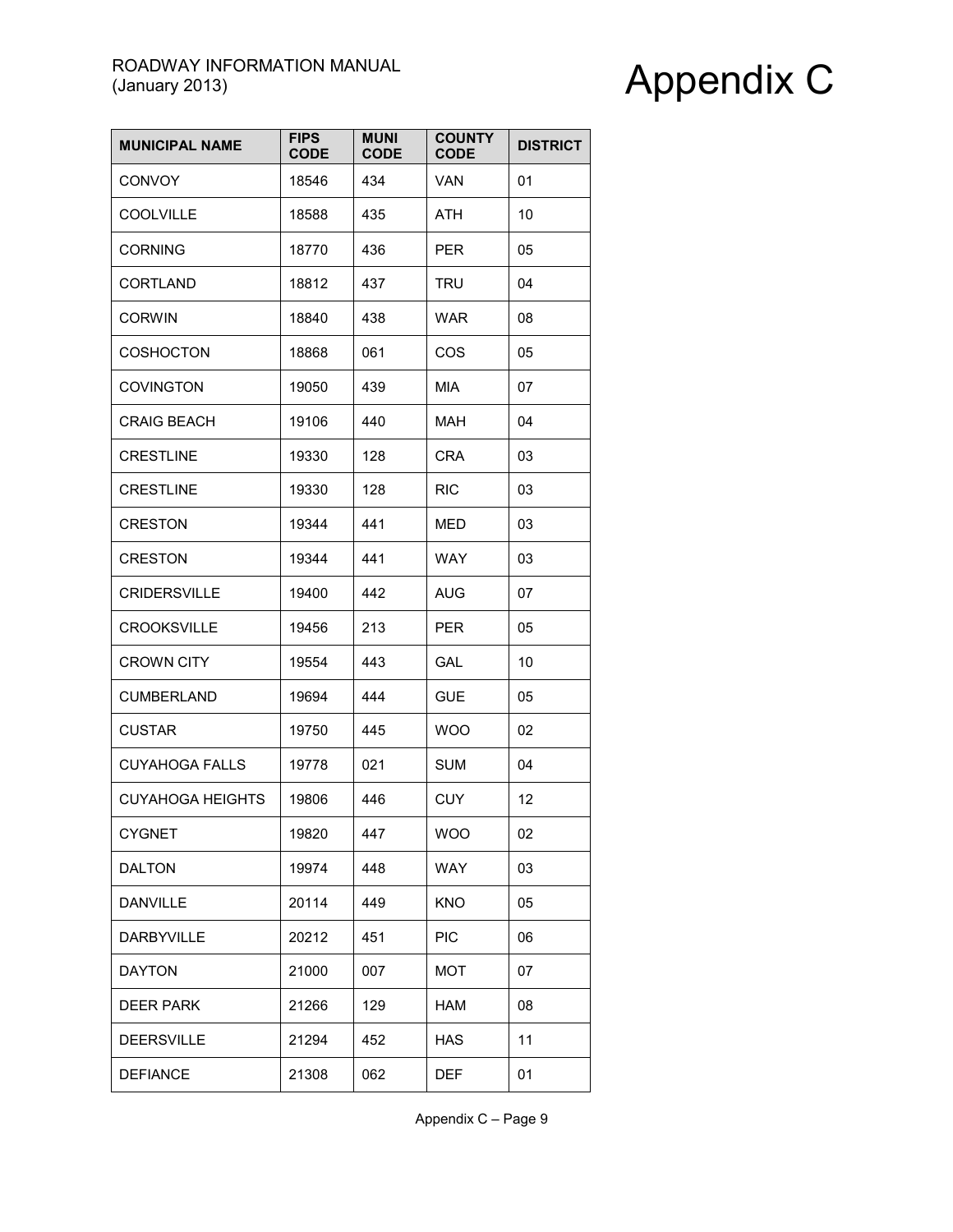| <b>MUNICIPAL NAME</b>   | <b>FIPS</b><br><b>CODE</b> | <b>MUNI</b><br><b>CODE</b> | <b>COUNTY</b><br><b>CODE</b> | <b>DISTRICT</b> |
|-------------------------|----------------------------|----------------------------|------------------------------|-----------------|
| <b>CONVOY</b>           | 18546                      | 434                        | VAN                          | 01              |
| <b>COOLVILLE</b>        | 18588                      | 435                        | <b>ATH</b>                   | 10              |
| <b>CORNING</b>          | 18770                      | 436                        | <b>PER</b>                   | 05              |
| <b>CORTLAND</b>         | 18812                      | 437                        | TRU                          | 04              |
| <b>CORWIN</b>           | 18840                      | 438                        | <b>WAR</b>                   | 08              |
| <b>COSHOCTON</b>        | 18868                      | 061                        | <b>COS</b>                   | 05              |
| <b>COVINGTON</b>        | 19050                      | 439                        | MIA                          | 07              |
| <b>CRAIG BEACH</b>      | 19106                      | 440                        | MAH                          | 04              |
| <b>CRESTLINE</b>        | 19330                      | 128                        | CRA                          | 03              |
| <b>CRESTLINE</b>        | 19330                      | 128                        | <b>RIC</b>                   | 03              |
| <b>CRESTON</b>          | 19344                      | 441                        | MED                          | 03              |
| <b>CRESTON</b>          | 19344                      | 441                        | WAY                          | 03              |
| <b>CRIDERSVILLE</b>     | 19400                      | 442                        | AUG                          | 07              |
| <b>CROOKSVILLE</b>      | 19456                      | 213                        | <b>PER</b>                   | 05              |
| <b>CROWN CITY</b>       | 19554                      | 443                        | <b>GAL</b>                   | 10              |
| <b>CUMBERLAND</b>       | 19694                      | 444                        | <b>GUE</b>                   | 05              |
| <b>CUSTAR</b>           | 19750                      | 445                        | <b>WOO</b>                   | 02              |
| <b>CUYAHOGA FALLS</b>   | 19778                      | 021                        | <b>SUM</b>                   | 04              |
| <b>CUYAHOGA HEIGHTS</b> | 19806                      | 446                        | <b>CUY</b>                   | 12              |
| <b>CYGNET</b>           | 19820                      | 447                        | <b>WOO</b>                   | 02              |
| <b>DALTON</b>           | 19974                      | 448                        | <b>WAY</b>                   | 03              |
| <b>DANVILLE</b>         | 20114                      | 449                        | <b>KNO</b>                   | 05              |
| DARBYVILLE              | 20212                      | 451                        | <b>PIC</b>                   | 06              |
| <b>DAYTON</b>           | 21000                      | 007                        | MOT                          | 07              |
| <b>DEER PARK</b>        | 21266                      | 129                        | <b>HAM</b>                   | 08              |
| <b>DEERSVILLE</b>       | 21294                      | 452                        | <b>HAS</b>                   | 11              |
| <b>DEFIANCE</b>         | 21308                      | 062                        | <b>DEF</b>                   | 01              |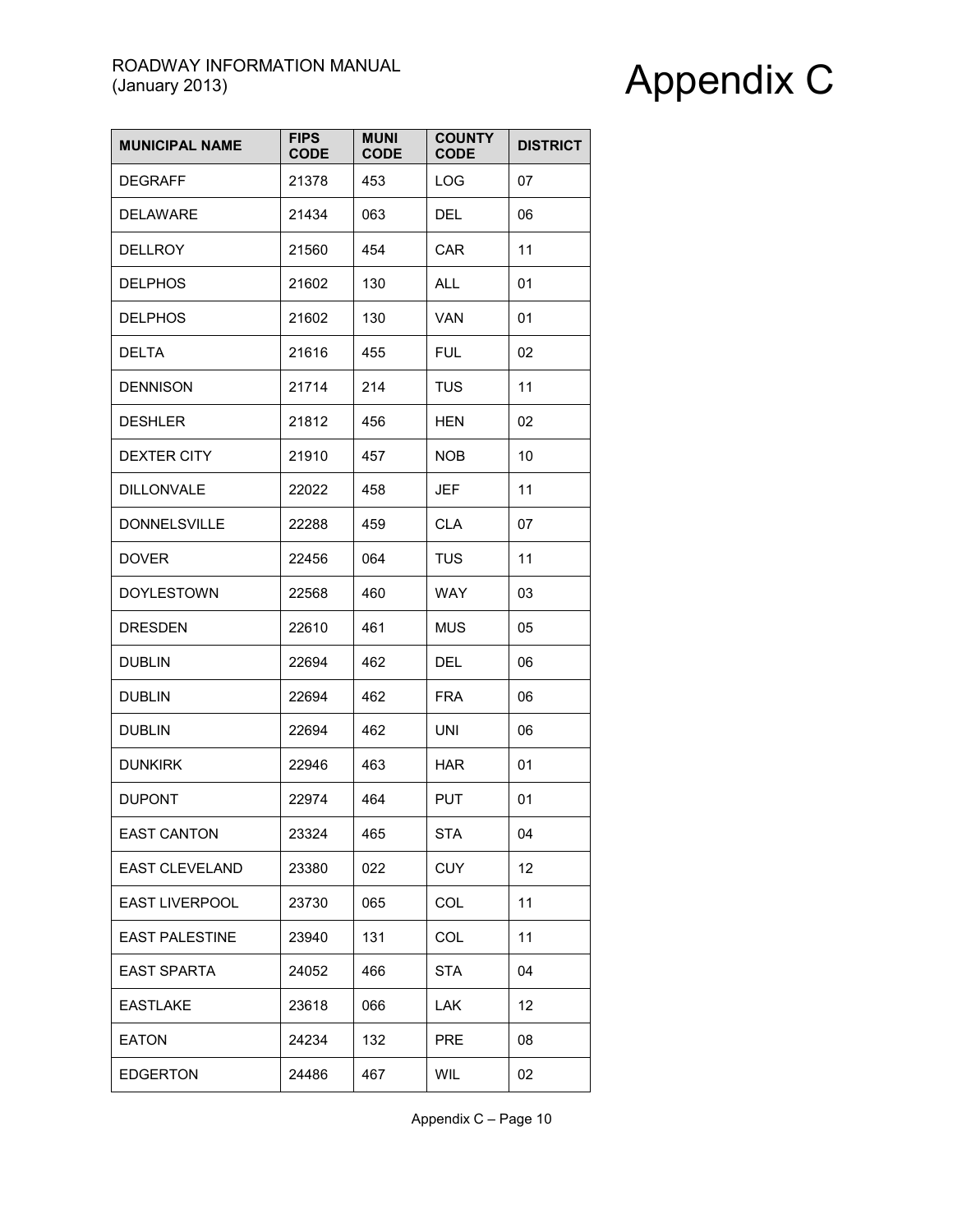| <b>MUNICIPAL NAME</b> | <b>FIPS</b><br><b>CODE</b> | <b>MUNI</b><br><b>CODE</b> | <b>COUNTY</b><br><b>CODE</b> | <b>DISTRICT</b> |
|-----------------------|----------------------------|----------------------------|------------------------------|-----------------|
| <b>DEGRAFF</b>        | 21378                      | 453                        | <b>LOG</b>                   | 07              |
| <b>DELAWARE</b>       | 21434                      | 063                        | <b>DEL</b>                   | 06              |
| <b>DELLROY</b>        | 21560                      | 454                        | <b>CAR</b>                   | 11              |
| <b>DELPHOS</b>        | 21602                      | 130                        | <b>ALL</b>                   | 01              |
| <b>DELPHOS</b>        | 21602                      | 130                        | <b>VAN</b>                   | 01              |
| <b>DELTA</b>          | 21616                      | 455                        | <b>FUL</b>                   | 02              |
| <b>DENNISON</b>       | 21714                      | 214                        | <b>TUS</b>                   | 11              |
| <b>DESHLER</b>        | 21812                      | 456                        | <b>HEN</b>                   | 02              |
| <b>DEXTER CITY</b>    | 21910                      | 457                        | NOB.                         | 10              |
| <b>DILLONVALE</b>     | 22022                      | 458                        | <b>JEF</b>                   | 11              |
| <b>DONNELSVILLE</b>   | 22288                      | 459                        | <b>CLA</b>                   | 07              |
| <b>DOVER</b>          | 22456                      | 064                        | <b>TUS</b>                   | 11              |
| <b>DOYLESTOWN</b>     | 22568                      | 460                        | <b>WAY</b>                   | 03              |
| <b>DRESDEN</b>        | 22610                      | 461                        | <b>MUS</b>                   | 05              |
| <b>DUBLIN</b>         | 22694                      | 462                        | DEL                          | 06              |
| <b>DUBLIN</b>         | 22694                      | 462                        | <b>FRA</b>                   | 06              |
| <b>DUBLIN</b>         | 22694                      | 462                        | <b>UNI</b>                   | 06              |
| <b>DUNKIRK</b>        | 22946                      | 463                        | <b>HAR</b>                   | 01              |
| <b>DUPONT</b>         | 22974                      | 464                        | <b>PUT</b>                   | 01              |
| <b>EAST CANTON</b>    | 23324                      | 465                        | <b>STA</b>                   | 04              |
| <b>EAST CLEVELAND</b> | 23380                      | 022                        | <b>CUY</b>                   | 12              |
| EAST LIVERPOOL        | 23730                      | 065                        | COL                          | 11              |
| <b>EAST PALESTINE</b> | 23940                      | 131                        | COL                          | 11              |
| <b>EAST SPARTA</b>    | 24052                      | 466                        | <b>STA</b>                   | 04              |
| <b>EASTLAKE</b>       | 23618                      | 066                        | <b>LAK</b>                   | 12              |
| <b>EATON</b>          | 24234                      | 132                        | <b>PRE</b>                   | 08              |
| <b>EDGERTON</b>       | 24486                      | 467                        | <b>WIL</b>                   | 02              |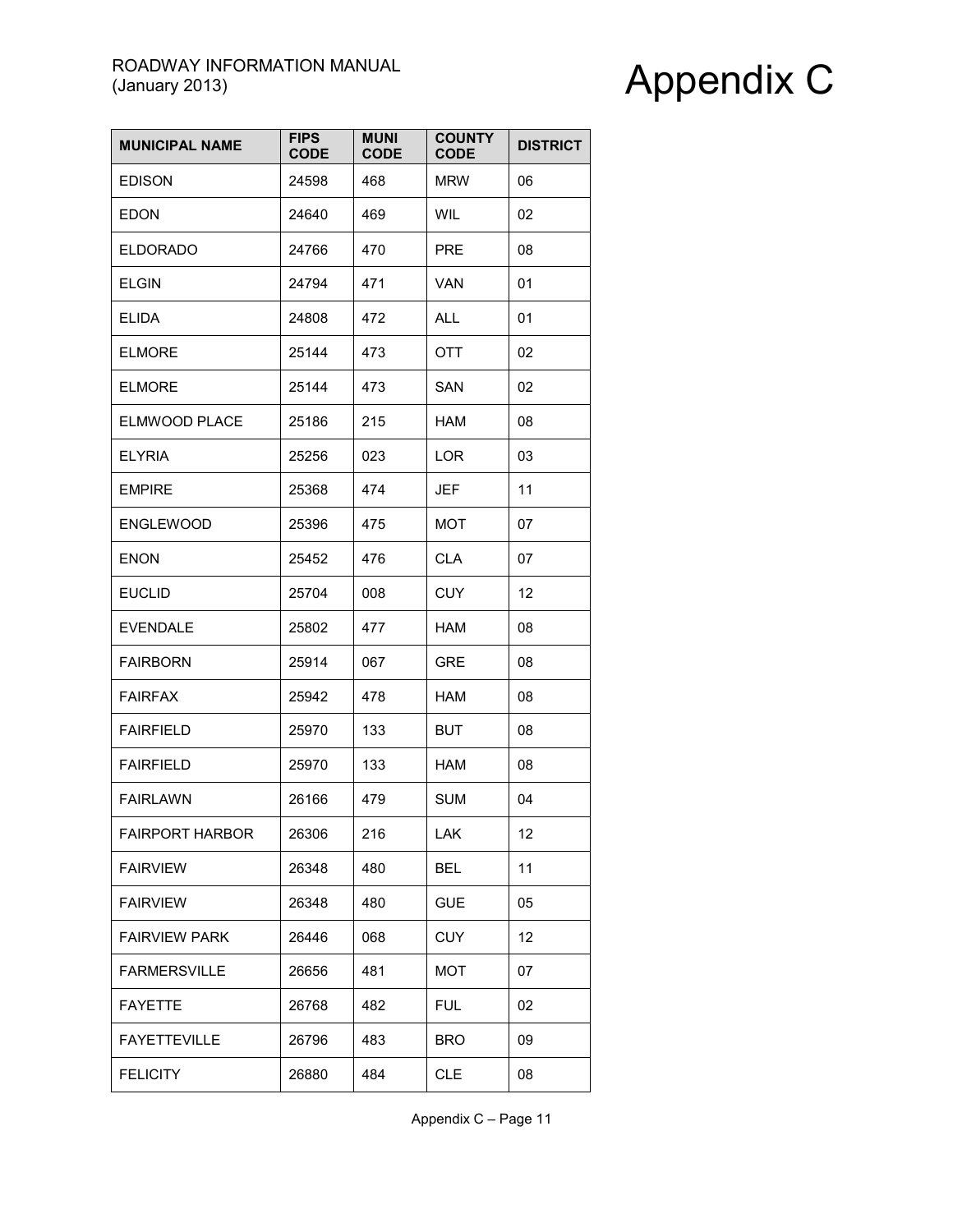| <b>MUNICIPAL NAME</b>  | <b>FIPS</b><br><b>CODE</b> | <b>MUNI</b><br><b>CODE</b> | <b>COUNTY</b><br><b>CODE</b> | <b>DISTRICT</b> |
|------------------------|----------------------------|----------------------------|------------------------------|-----------------|
| <b>EDISON</b>          | 24598                      | 468                        | <b>MRW</b>                   | 06              |
| <b>EDON</b>            | 24640                      | 469                        | <b>WIL</b>                   | 02              |
| <b>ELDORADO</b>        | 24766                      | 470                        | <b>PRE</b>                   | 08              |
| <b>ELGIN</b>           | 24794                      | 471                        | VAN                          | 01              |
| ELIDA                  | 24808                      | 472                        | ALL                          | 01              |
| <b>ELMORE</b>          | 25144                      | 473                        | <b>OTT</b>                   | 02              |
| <b>ELMORE</b>          | 25144                      | 473                        | <b>SAN</b>                   | 02              |
| ELMWOOD PLACE          | 25186                      | 215                        | HAM                          | 08              |
| <b>ELYRIA</b>          | 25256                      | 023                        | LOR                          | 03              |
| <b>EMPIRE</b>          | 25368                      | 474                        | <b>JEF</b>                   | 11              |
| <b>ENGLEWOOD</b>       | 25396                      | 475                        | <b>MOT</b>                   | 07              |
| <b>ENON</b>            | 25452                      | 476                        | <b>CLA</b>                   | 07              |
| <b>EUCLID</b>          | 25704                      | 008                        | <b>CUY</b>                   | 12              |
| <b>EVENDALE</b>        | 25802                      | 477                        | <b>HAM</b>                   | 08              |
| <b>FAIRBORN</b>        | 25914                      | 067                        | <b>GRE</b>                   | 08              |
| <b>FAIRFAX</b>         | 25942                      | 478                        | HAM                          | 08              |
| <b>FAIRFIELD</b>       | 25970                      | 133                        | <b>BUT</b>                   | 08              |
| <b>FAIRFIELD</b>       | 25970                      | 133                        | <b>HAM</b>                   | 08              |
| <b>FAIRLAWN</b>        | 26166                      | 479                        | <b>SUM</b>                   | 04              |
| <b>FAIRPORT HARBOR</b> | 26306                      | 216                        | LAK                          | 12              |
| <b>FAIRVIEW</b>        | 26348                      | 480                        | <b>BEL</b>                   | 11              |
| <b>FAIRVIEW</b>        | 26348                      | 480                        | <b>GUE</b>                   | 05              |
| <b>FAIRVIEW PARK</b>   | 26446                      | 068                        | <b>CUY</b>                   | 12              |
| <b>FARMERSVILLE</b>    | 26656                      | 481                        | MOT                          | 07              |
| <b>FAYETTE</b>         | 26768                      | 482                        | <b>FUL</b>                   | 02              |
| <b>FAYETTEVILLE</b>    | 26796                      | 483                        | <b>BRO</b>                   | 09              |
| <b>FELICITY</b>        | 26880                      | 484                        | <b>CLE</b>                   | 08              |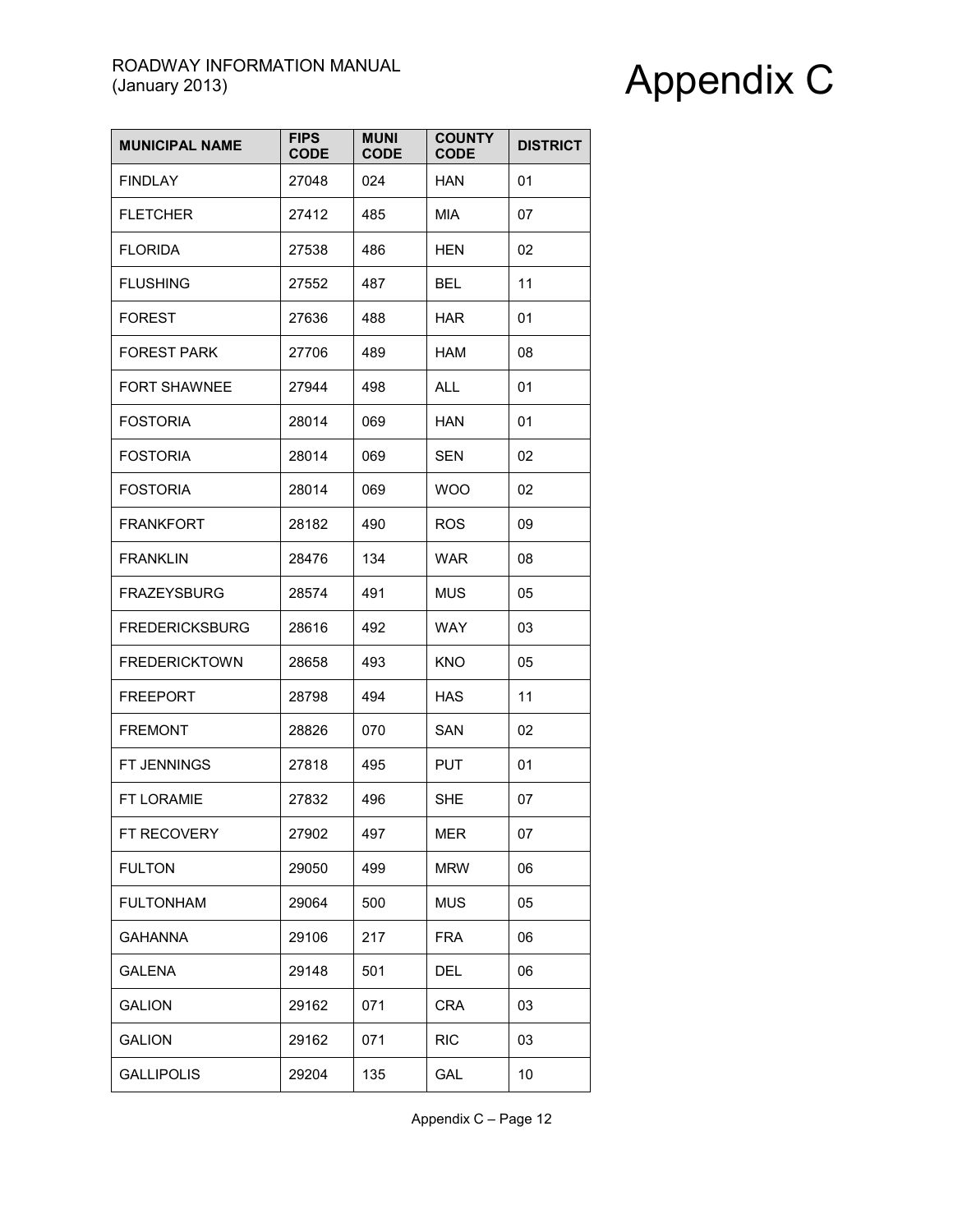| <b>MUNICIPAL NAME</b> | <b>FIPS</b><br><b>CODE</b> | <b>MUNI</b><br><b>CODE</b> | <b>COUNTY</b><br><b>CODE</b> | <b>DISTRICT</b> |
|-----------------------|----------------------------|----------------------------|------------------------------|-----------------|
| <b>FINDLAY</b>        | 27048                      | 024                        | <b>HAN</b>                   | 01              |
| <b>FLETCHER</b>       | 27412                      | 485                        | <b>MIA</b>                   | 07              |
| <b>FLORIDA</b>        | 27538                      | 486                        | <b>HEN</b>                   | 02              |
| <b>FLUSHING</b>       | 27552                      | 487                        | BEL                          | 11              |
| <b>FOREST</b>         | 27636                      | 488                        | <b>HAR</b>                   | 01              |
| <b>FOREST PARK</b>    | 27706                      | 489                        | <b>HAM</b>                   | 08              |
| <b>FORT SHAWNEE</b>   | 27944                      | 498                        | <b>ALL</b>                   | 01              |
| <b>FOSTORIA</b>       | 28014                      | 069                        | HAN                          | 01              |
| <b>FOSTORIA</b>       | 28014                      | 069                        | <b>SEN</b>                   | 02              |
| <b>FOSTORIA</b>       | 28014                      | 069                        | <b>WOO</b>                   | 02              |
| <b>FRANKFORT</b>      | 28182                      | 490                        | <b>ROS</b>                   | 09              |
| <b>FRANKLIN</b>       | 28476                      | 134                        | <b>WAR</b>                   | 08              |
| <b>FRAZEYSBURG</b>    | 28574                      | 491                        | MUS                          | 05              |
| <b>FREDERICKSBURG</b> | 28616                      | 492                        | <b>WAY</b>                   | 03              |
| <b>FREDERICKTOWN</b>  | 28658                      | 493                        | <b>KNO</b>                   | 05              |
| <b>FREEPORT</b>       | 28798                      | 494                        | HAS                          | 11              |
| <b>FREMONT</b>        | 28826                      | 070                        | SAN                          | 02              |
| FT JENNINGS           | 27818                      | 495                        | <b>PUT</b>                   | 01              |
| <b>FT LORAMIE</b>     | 27832                      | 496                        | SHE                          | 07              |
| FT RECOVERY           | 27902                      | 497                        | <b>MER</b>                   | 07              |
| <b>FULTON</b>         | 29050                      | 499                        | <b>MRW</b>                   | 06              |
| <b>FULTONHAM</b>      | 29064                      | 500                        | <b>MUS</b>                   | 05              |
| <b>GAHANNA</b>        | 29106                      | 217                        | <b>FRA</b>                   | 06              |
| <b>GALENA</b>         | 29148                      | 501                        | <b>DEL</b>                   | 06              |
| <b>GALION</b>         | 29162                      | 071                        | <b>CRA</b>                   | 03              |
| <b>GALION</b>         | 29162                      | 071                        | <b>RIC</b>                   | 03              |
| <b>GALLIPOLIS</b>     | 29204                      | 135                        | GAL                          | 10              |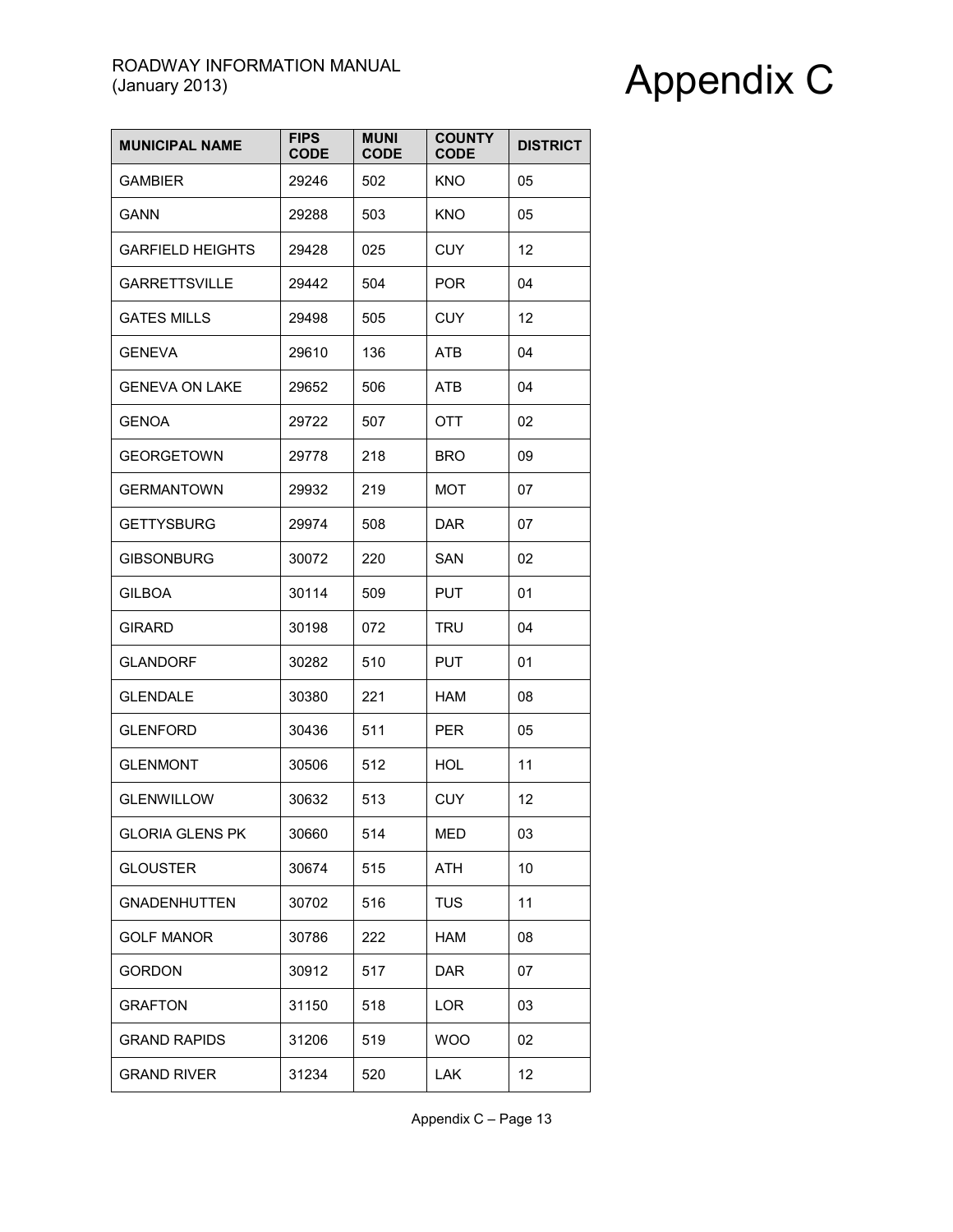| <b>MUNICIPAL NAME</b>   | <b>FIPS</b><br><b>CODE</b> | <b>MUNI</b><br><b>CODE</b> | <b>COUNTY</b><br><b>CODE</b> | <b>DISTRICT</b> |
|-------------------------|----------------------------|----------------------------|------------------------------|-----------------|
| <b>GAMBIER</b>          | 29246                      | 502                        | <b>KNO</b>                   | 05              |
| <b>GANN</b>             | 29288                      | 503                        | <b>KNO</b>                   | 05              |
| <b>GARFIELD HEIGHTS</b> | 29428                      | 025                        | <b>CUY</b>                   | 12              |
| <b>GARRETTSVILLE</b>    | 29442                      | 504                        | <b>POR</b>                   | 04              |
| <b>GATES MILLS</b>      | 29498                      | 505                        | CUY                          | 12              |
| <b>GENEVA</b>           | 29610                      | 136                        | <b>ATB</b>                   | 04              |
| <b>GENEVA ON LAKE</b>   | 29652                      | 506                        | ATB                          | 04              |
| <b>GENOA</b>            | 29722                      | 507                        | OTT                          | 02              |
| <b>GEORGETOWN</b>       | 29778                      | 218                        | <b>BRO</b>                   | 09              |
| <b>GERMANTOWN</b>       | 29932                      | 219                        | MOT                          | 07              |
| <b>GETTYSBURG</b>       | 29974                      | 508                        | <b>DAR</b>                   | 07              |
| <b>GIBSONBURG</b>       | 30072                      | 220                        | SAN                          | 02              |
| <b>GILBOA</b>           | 30114                      | 509                        | <b>PUT</b>                   | 01              |
| <b>GIRARD</b>           | 30198                      | 072                        | TRU                          | 04              |
| <b>GLANDORF</b>         | 30282                      | 510                        | <b>PUT</b>                   | 01              |
| <b>GLENDALE</b>         | 30380                      | 221                        | HAM                          | 08              |
| <b>GLENFORD</b>         | 30436                      | 511                        | <b>PER</b>                   | 05              |
| <b>GLENMONT</b>         | 30506                      | 512                        | HOL                          | 11              |
| <b>GLENWILLOW</b>       | 30632                      | 513                        | <b>CUY</b>                   | 12              |
| <b>GLORIA GLENS PK</b>  | 30660                      | 514                        | <b>MED</b>                   | 03              |
| <b>GLOUSTER</b>         | 30674                      | 515                        | <b>ATH</b>                   | 10              |
| <b>GNADENHUTTEN</b>     | 30702                      | 516                        | <b>TUS</b>                   | 11              |
| <b>GOLF MANOR</b>       | 30786                      | 222                        | HAM                          | 08              |
| <b>GORDON</b>           | 30912                      | 517                        | <b>DAR</b>                   | 07              |
| <b>GRAFTON</b>          | 31150                      | 518                        | LOR                          | 03              |
| <b>GRAND RAPIDS</b>     | 31206                      | 519                        | <b>WOO</b>                   | 02              |
| <b>GRAND RIVER</b>      | 31234                      | 520                        | <b>LAK</b>                   | 12              |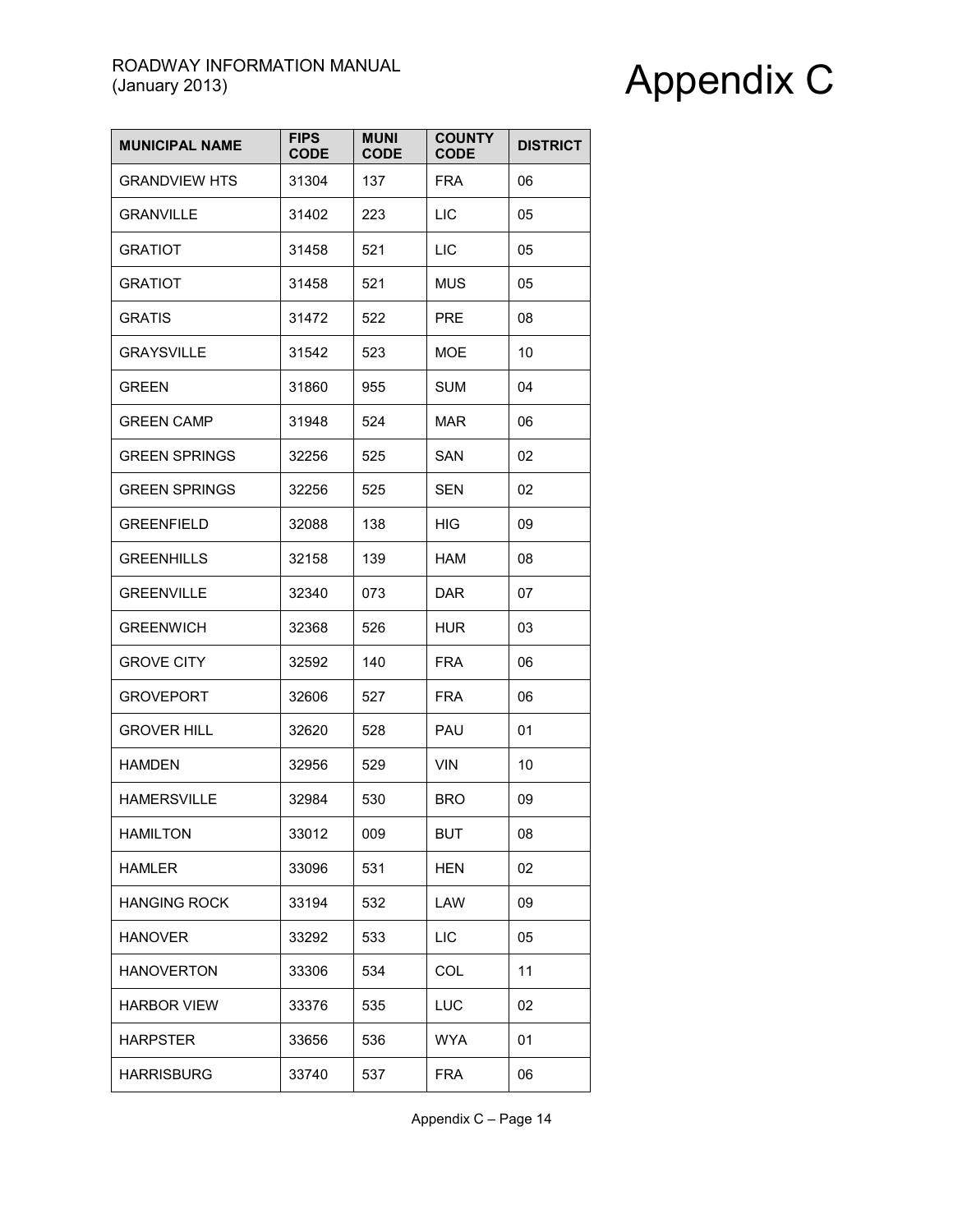| <b>MUNICIPAL NAME</b> | <b>FIPS</b><br><b>CODE</b> | <b>MUNI</b><br><b>CODE</b> | <b>COUNTY</b><br><b>CODE</b> | <b>DISTRICT</b> |
|-----------------------|----------------------------|----------------------------|------------------------------|-----------------|
| <b>GRANDVIEW HTS</b>  | 31304                      | 137                        | <b>FRA</b>                   | 06              |
| <b>GRANVILLE</b>      | 31402                      | 223                        | <b>LIC</b>                   | 05              |
| <b>GRATIOT</b>        | 31458                      | 521                        | <b>LIC</b>                   | 05              |
| <b>GRATIOT</b>        | 31458                      | 521                        | MUS                          | 05              |
| <b>GRATIS</b>         | 31472                      | 522                        | <b>PRE</b>                   | 08              |
| <b>GRAYSVILLE</b>     | 31542                      | 523                        | <b>MOE</b>                   | 10              |
| <b>GREEN</b>          | 31860                      | 955                        | <b>SUM</b>                   | 04              |
| <b>GREEN CAMP</b>     | 31948                      | 524                        | MAR                          | 06              |
| <b>GREEN SPRINGS</b>  | 32256                      | 525                        | SAN                          | 02              |
| <b>GREEN SPRINGS</b>  | 32256                      | 525                        | SEN                          | 02              |
| <b>GREENFIELD</b>     | 32088                      | 138                        | <b>HIG</b>                   | 09              |
| <b>GREENHILLS</b>     | 32158                      | 139                        | HAM                          | 08              |
| <b>GREENVILLE</b>     | 32340                      | 073                        | <b>DAR</b>                   | 07              |
| <b>GREENWICH</b>      | 32368                      | 526                        | <b>HUR</b>                   | 03              |
| <b>GROVE CITY</b>     | 32592                      | 140                        | <b>FRA</b>                   | 06              |
| <b>GROVEPORT</b>      | 32606                      | 527                        | <b>FRA</b>                   | 06              |
| <b>GROVER HILL</b>    | 32620                      | 528                        | PAU                          | 01              |
| <b>HAMDEN</b>         | 32956                      | 529                        | <b>VIN</b>                   | 10              |
| <b>HAMERSVILLE</b>    | 32984                      | 530                        | <b>BRO</b>                   | 09              |
| <b>HAMILTON</b>       | 33012                      | 009                        | <b>BUT</b>                   | 08              |
| <b>HAMLER</b>         | 33096                      | 531                        | <b>HEN</b>                   | 02              |
| <b>HANGING ROCK</b>   | 33194                      | 532                        | LAW                          | 09              |
| <b>HANOVER</b>        | 33292                      | 533                        | LIC                          | 05              |
| <b>HANOVERTON</b>     | 33306                      | 534                        | COL                          | 11              |
| <b>HARBOR VIEW</b>    | 33376                      | 535                        | LUC                          | 02              |
| <b>HARPSTER</b>       | 33656                      | 536                        | <b>WYA</b>                   | 01              |
| <b>HARRISBURG</b>     | 33740                      | 537                        | <b>FRA</b>                   | 06              |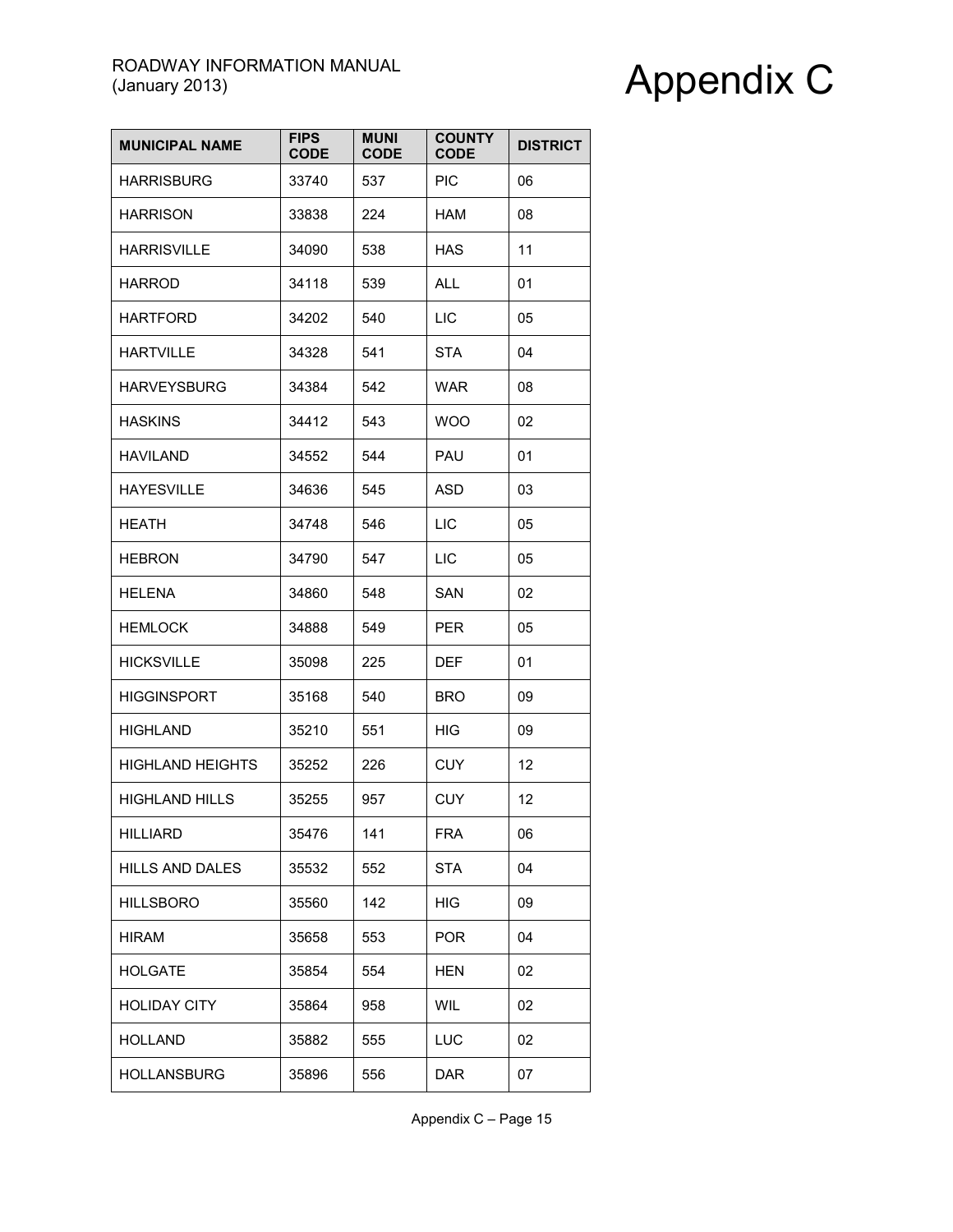| <b>MUNICIPAL NAME</b>   | <b>FIPS</b><br><b>CODE</b> | <b>MUNI</b><br><b>CODE</b> | <b>COUNTY</b><br><b>CODE</b> | <b>DISTRICT</b> |
|-------------------------|----------------------------|----------------------------|------------------------------|-----------------|
| <b>HARRISBURG</b>       | 33740                      | 537                        | <b>PIC</b>                   | 06              |
| <b>HARRISON</b>         | 33838                      | 224                        | HAM                          | 08              |
| <b>HARRISVILLE</b>      | 34090                      | 538                        | <b>HAS</b>                   | 11              |
| <b>HARROD</b>           | 34118                      | 539                        | <b>ALL</b>                   | 01              |
| <b>HARTFORD</b>         | 34202                      | 540                        | <b>LIC</b>                   | 05              |
| <b>HARTVILLE</b>        | 34328                      | 541                        | <b>STA</b>                   | 04              |
| <b>HARVEYSBURG</b>      | 34384                      | 542                        | WAR                          | 08              |
| <b>HASKINS</b>          | 34412                      | 543                        | <b>WOO</b>                   | 02              |
| <b>HAVILAND</b>         | 34552                      | 544                        | PAU                          | 01              |
| <b>HAYESVILLE</b>       | 34636                      | 545                        | <b>ASD</b>                   | 03              |
| <b>HEATH</b>            | 34748                      | 546                        | LIC                          | 05              |
| <b>HEBRON</b>           | 34790                      | 547                        | LIC                          | 05              |
| <b>HELENA</b>           | 34860                      | 548                        | SAN                          | 02              |
| <b>HEMLOCK</b>          | 34888                      | 549                        | <b>PER</b>                   | 05              |
| <b>HICKSVILLE</b>       | 35098                      | 225                        | DEF                          | 01              |
| <b>HIGGINSPORT</b>      | 35168                      | 540                        | <b>BRO</b>                   | 09              |
| <b>HIGHLAND</b>         | 35210                      | 551                        | <b>HIG</b>                   | 09              |
| <b>HIGHLAND HEIGHTS</b> | 35252                      | 226                        | <b>CUY</b>                   | 12              |
| <b>HIGHLAND HILLS</b>   | 35255                      | 957                        | <b>CUY</b>                   | 12              |
| <b>HILLIARD</b>         | 35476                      | 141                        | <b>FRA</b>                   | 06              |
| HILLS AND DALES         | 35532                      | 552                        | <b>STA</b>                   | 04              |
| <b>HILLSBORO</b>        | 35560                      | 142                        | HIG                          | 09              |
| HIRAM                   | 35658                      | 553                        | <b>POR</b>                   | 04              |
| <b>HOLGATE</b>          | 35854                      | 554                        | <b>HEN</b>                   | 02              |
| <b>HOLIDAY CITY</b>     | 35864                      | 958                        | <b>WIL</b>                   | 02              |
| <b>HOLLAND</b>          | 35882                      | 555                        | LUC                          | 02              |
| <b>HOLLANSBURG</b>      | 35896                      | 556                        | <b>DAR</b>                   | 07              |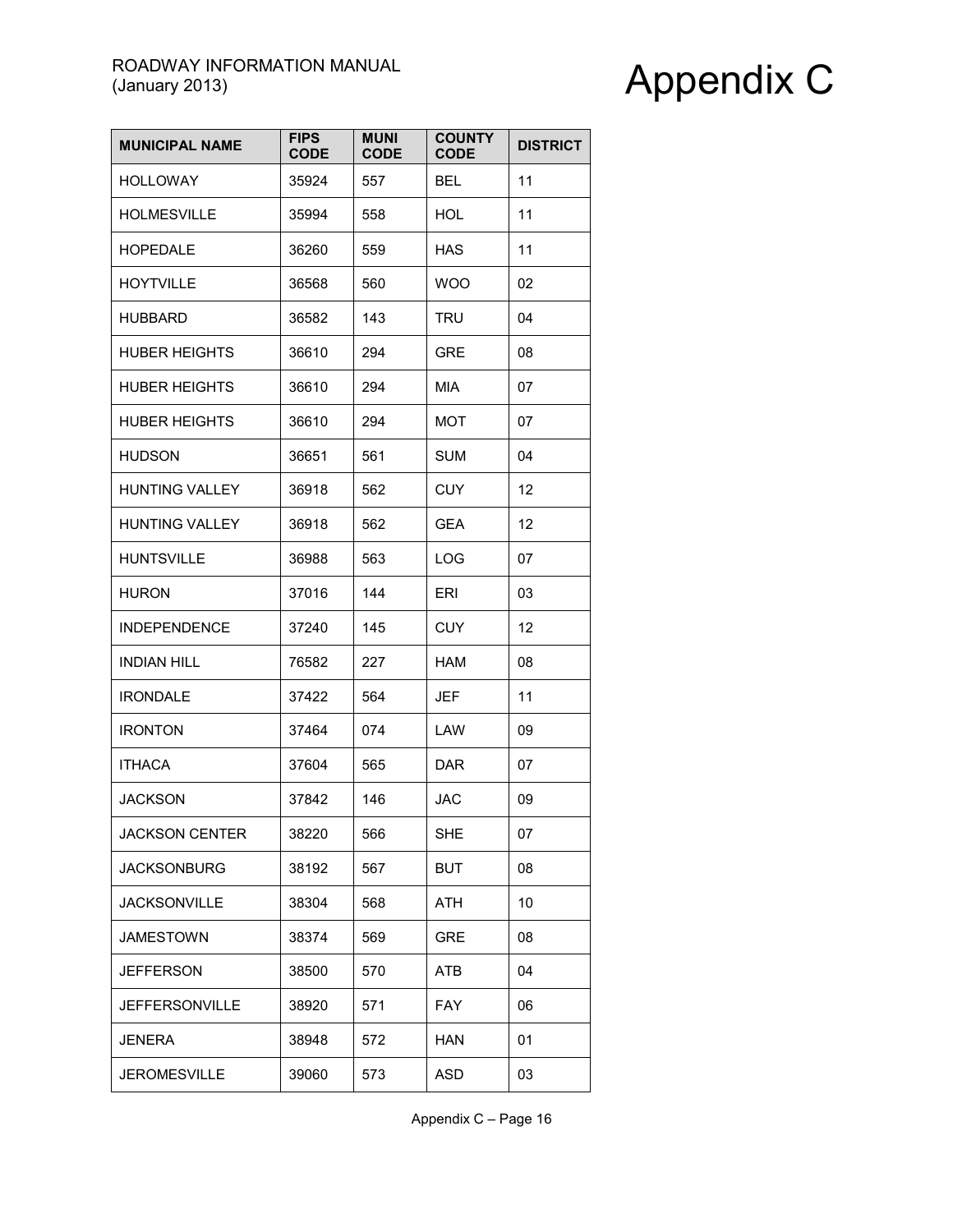| <b>MUNICIPAL NAME</b> | <b>FIPS</b><br><b>CODE</b> | <b>MUNI</b><br><b>CODE</b> | <b>COUNTY</b><br><b>CODE</b> | <b>DISTRICT</b> |
|-----------------------|----------------------------|----------------------------|------------------------------|-----------------|
| <b>HOLLOWAY</b>       | 35924                      | 557                        | <b>BEL</b>                   | 11              |
| <b>HOLMESVILLE</b>    | 35994                      | 558                        | <b>HOL</b>                   | 11              |
| <b>HOPEDALE</b>       | 36260                      | 559                        | HAS                          | 11              |
| <b>HOYTVILLE</b>      | 36568                      | 560                        | <b>WOO</b>                   | 02              |
| HUBBARD               | 36582                      | 143                        | TRU                          | 04              |
| <b>HUBER HEIGHTS</b>  | 36610                      | 294                        | <b>GRE</b>                   | 08              |
| <b>HUBER HEIGHTS</b>  | 36610                      | 294                        | <b>MIA</b>                   | 07              |
| <b>HUBER HEIGHTS</b>  | 36610                      | 294                        | MOT                          | 07              |
| <b>HUDSON</b>         | 36651                      | 561                        | <b>SUM</b>                   | 04              |
| <b>HUNTING VALLEY</b> | 36918                      | 562                        | <b>CUY</b>                   | 12              |
| <b>HUNTING VALLEY</b> | 36918                      | 562                        | <b>GEA</b>                   | 12              |
| <b>HUNTSVILLE</b>     | 36988                      | 563                        | <b>LOG</b>                   | 07              |
| <b>HURON</b>          | 37016                      | 144                        | ERI                          | 03              |
| <b>INDEPENDENCE</b>   | 37240                      | 145                        | <b>CUY</b>                   | 12              |
| <b>INDIAN HILL</b>    | 76582                      | 227                        | <b>HAM</b>                   | 08              |
| <b>IRONDALE</b>       | 37422                      | 564                        | <b>JEF</b>                   | 11              |
| <b>IRONTON</b>        | 37464                      | 074                        | LAW                          | 09              |
| <b>ITHACA</b>         | 37604                      | 565                        | <b>DAR</b>                   | 07              |
| JACKSON               | 37842                      | 146                        | JAC                          | 09              |
| <b>JACKSON CENTER</b> | 38220                      | 566                        | <b>SHE</b>                   | 07              |
| <b>JACKSONBURG</b>    | 38192                      | 567                        | <b>BUT</b>                   | 08              |
| <b>JACKSONVILLE</b>   | 38304                      | 568                        | <b>ATH</b>                   | 10              |
| <b>JAMESTOWN</b>      | 38374                      | 569                        | <b>GRE</b>                   | 08              |
| JEFFERSON             | 38500                      | 570                        | <b>ATB</b>                   | 04              |
| <b>JEFFERSONVILLE</b> | 38920                      | 571                        | <b>FAY</b>                   | 06              |
| JENERA                | 38948                      | 572                        | <b>HAN</b>                   | 01              |
| JEROMESVILLE          | 39060                      | 573                        | <b>ASD</b>                   | 03              |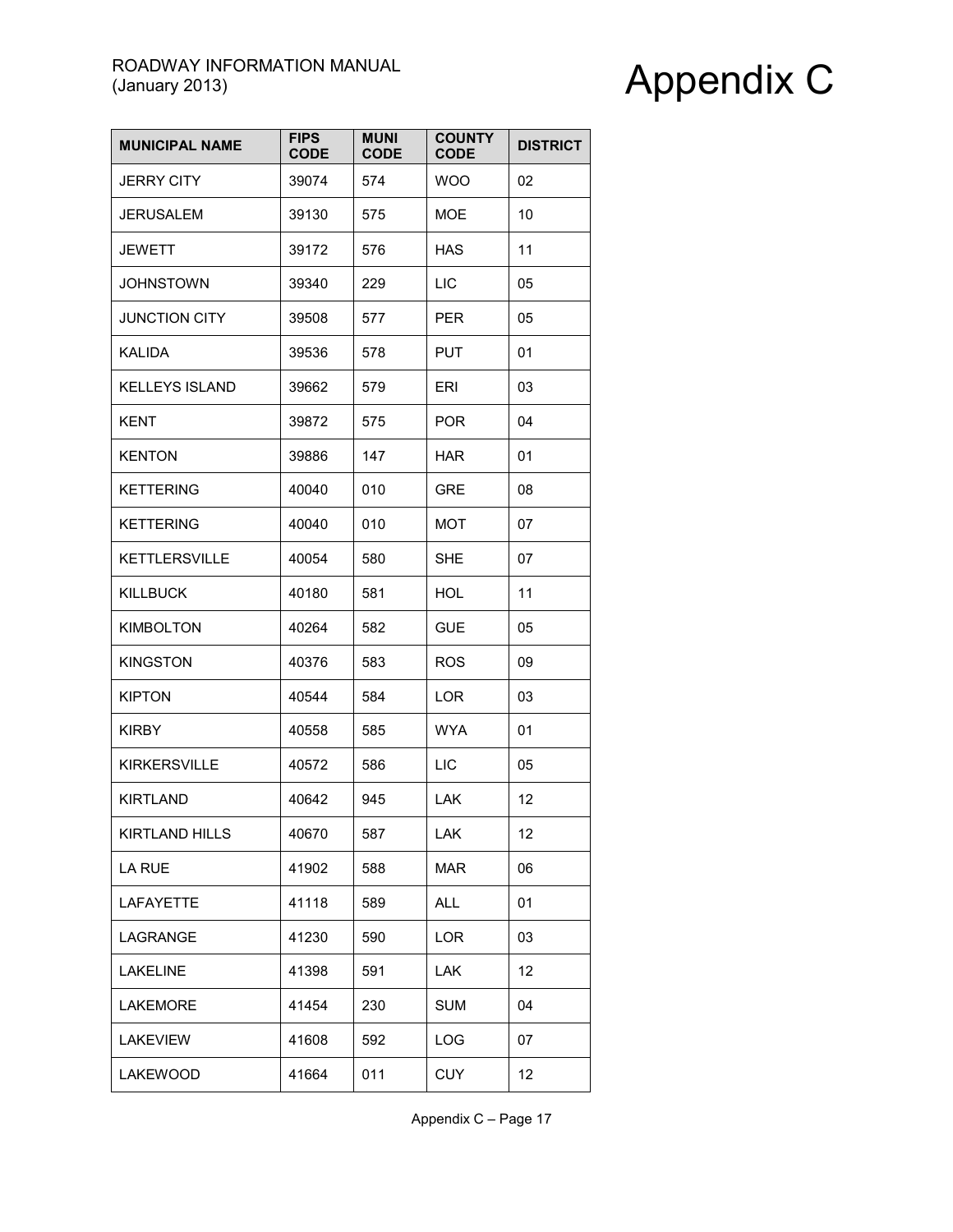| <b>MUNICIPAL NAME</b> | <b>FIPS</b><br><b>CODE</b> | <b>MUNI</b><br><b>CODE</b> | <b>COUNTY</b><br><b>CODE</b> | <b>DISTRICT</b> |
|-----------------------|----------------------------|----------------------------|------------------------------|-----------------|
| <b>JERRY CITY</b>     | 39074                      | 574                        | <b>WOO</b>                   | 02              |
| <b>JERUSALEM</b>      | 39130                      | 575                        | <b>MOE</b>                   | 10              |
| <b>JEWETT</b>         | 39172                      | 576                        | HAS                          | 11              |
| <b>JOHNSTOWN</b>      | 39340                      | 229                        | <b>LIC</b>                   | 05              |
| <b>JUNCTION CITY</b>  | 39508                      | 577                        | <b>PER</b>                   | 05              |
| <b>KALIDA</b>         | 39536                      | 578                        | <b>PUT</b>                   | 01              |
| <b>KELLEYS ISLAND</b> | 39662                      | 579                        | ERI                          | 03              |
| <b>KENT</b>           | 39872                      | 575                        | <b>POR</b>                   | 04              |
| <b>KENTON</b>         | 39886                      | 147                        | <b>HAR</b>                   | 01              |
| <b>KETTERING</b>      | 40040                      | 010                        | <b>GRE</b>                   | 08              |
| <b>KETTERING</b>      | 40040                      | 010                        | MOT                          | 07              |
| <b>KETTLERSVILLE</b>  | 40054                      | 580                        | <b>SHE</b>                   | 07              |
| <b>KILLBUCK</b>       | 40180                      | 581                        | HOL                          | 11              |
| <b>KIMBOLTON</b>      | 40264                      | 582                        | <b>GUE</b>                   | 05              |
| <b>KINGSTON</b>       | 40376                      | 583                        | <b>ROS</b>                   | 09              |
| <b>KIPTON</b>         | 40544                      | 584                        | LOR                          | 03              |
| <b>KIRBY</b>          | 40558                      | 585                        | <b>WYA</b>                   | 01              |
| <b>KIRKERSVILLE</b>   | 40572                      | 586                        | LIC                          | 05              |
| <b>KIRTLAND</b>       | 40642                      | 945                        | LAK.                         | 12              |
| <b>KIRTLAND HILLS</b> | 40670                      | 587                        | LAK                          | 12              |
| LA RUE                | 41902                      | 588                        | <b>MAR</b>                   | 06              |
| <b>LAFAYETTE</b>      | 41118                      | 589                        | <b>ALL</b>                   | 01              |
| LAGRANGE              | 41230                      | 590                        | LOR                          | 03              |
| <b>LAKELINE</b>       | 41398                      | 591                        | LAK                          | 12              |
| <b>LAKEMORE</b>       | 41454                      | 230                        | <b>SUM</b>                   | 04              |
| <b>LAKEVIEW</b>       | 41608                      | 592                        | LOG                          | 07              |
| LAKEWOOD              | 41664                      | 011                        | <b>CUY</b>                   | 12              |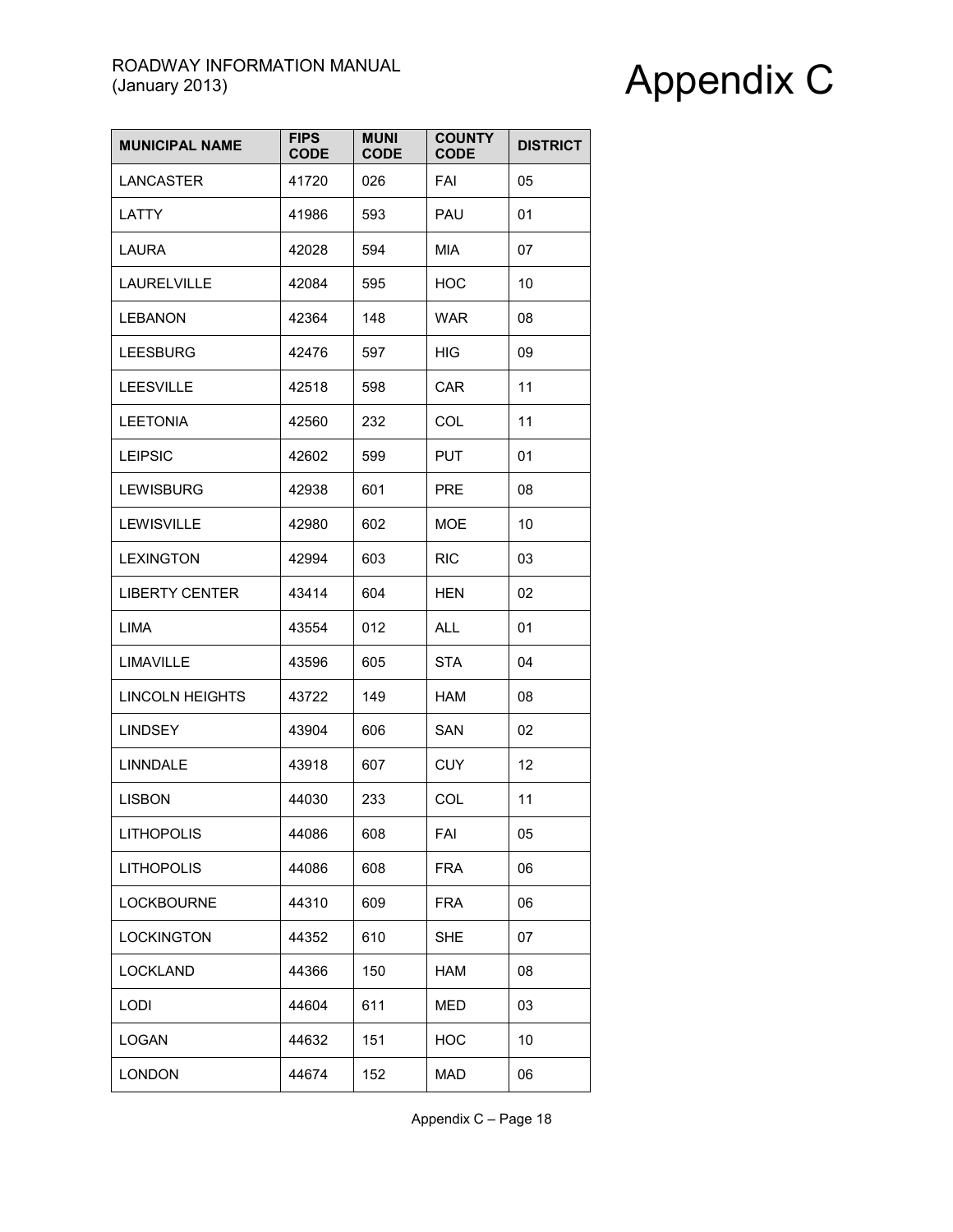| <b>MUNICIPAL NAME</b>  | <b>FIPS</b><br><b>CODE</b> | <b>MUNI</b><br><b>CODE</b> | <b>COUNTY</b><br><b>CODE</b> | <b>DISTRICT</b> |
|------------------------|----------------------------|----------------------------|------------------------------|-----------------|
| <b>LANCASTER</b>       | 41720                      | 026                        | <b>FAI</b>                   | 05              |
| LATTY                  | 41986                      | 593                        | PAU                          | 01              |
| LAURA                  | 42028                      | 594                        | <b>MIA</b>                   | 07              |
| <b>LAURELVILLE</b>     | 42084                      | 595                        | <b>HOC</b>                   | 10              |
| <b>LEBANON</b>         | 42364                      | 148                        | WAR                          | 08              |
| <b>LEESBURG</b>        | 42476                      | 597                        | <b>HIG</b>                   | 09              |
| <b>LEESVILLE</b>       | 42518                      | 598                        | <b>CAR</b>                   | 11              |
| <b>LEETONIA</b>        | 42560                      | 232                        | COL                          | 11              |
| <b>LEIPSIC</b>         | 42602                      | 599                        | <b>PUT</b>                   | 01              |
| <b>LEWISBURG</b>       | 42938                      | 601                        | <b>PRE</b>                   | 08              |
| LEWISVILLE             | 42980                      | 602                        | <b>MOE</b>                   | 10              |
| <b>LEXINGTON</b>       | 42994                      | 603                        | <b>RIC</b>                   | 03              |
| <b>LIBERTY CENTER</b>  | 43414                      | 604                        | HEN                          | 02              |
| <b>LIMA</b>            | 43554                      | 012                        | <b>ALL</b>                   | 01              |
| LIMAVILLE              | 43596                      | 605                        | <b>STA</b>                   | 04              |
| <b>LINCOLN HEIGHTS</b> | 43722                      | 149                        | <b>HAM</b>                   | 08              |
| <b>LINDSEY</b>         | 43904                      | 606                        | SAN                          | 02              |
| <b>LINNDALE</b>        | 43918                      | 607                        | <b>CUY</b>                   | 12              |
| <b>LISBON</b>          | 44030                      | 233                        | COL                          | 11              |
| <b>LITHOPOLIS</b>      | 44086                      | 608                        | FAI                          | 05              |
| <b>LITHOPOLIS</b>      | 44086                      | 608                        | <b>FRA</b>                   | 06              |
| <b>LOCKBOURNE</b>      | 44310                      | 609                        | <b>FRA</b>                   | 06              |
| <b>LOCKINGTON</b>      | 44352                      | 610                        | <b>SHE</b>                   | 07              |
| <b>LOCKLAND</b>        | 44366                      | 150                        | <b>HAM</b>                   | 08              |
| <b>LODI</b>            | 44604                      | 611                        | <b>MED</b>                   | 03              |
| <b>LOGAN</b>           | 44632                      | 151                        | <b>HOC</b>                   | 10              |
| <b>LONDON</b>          | 44674                      | 152                        | <b>MAD</b>                   | 06              |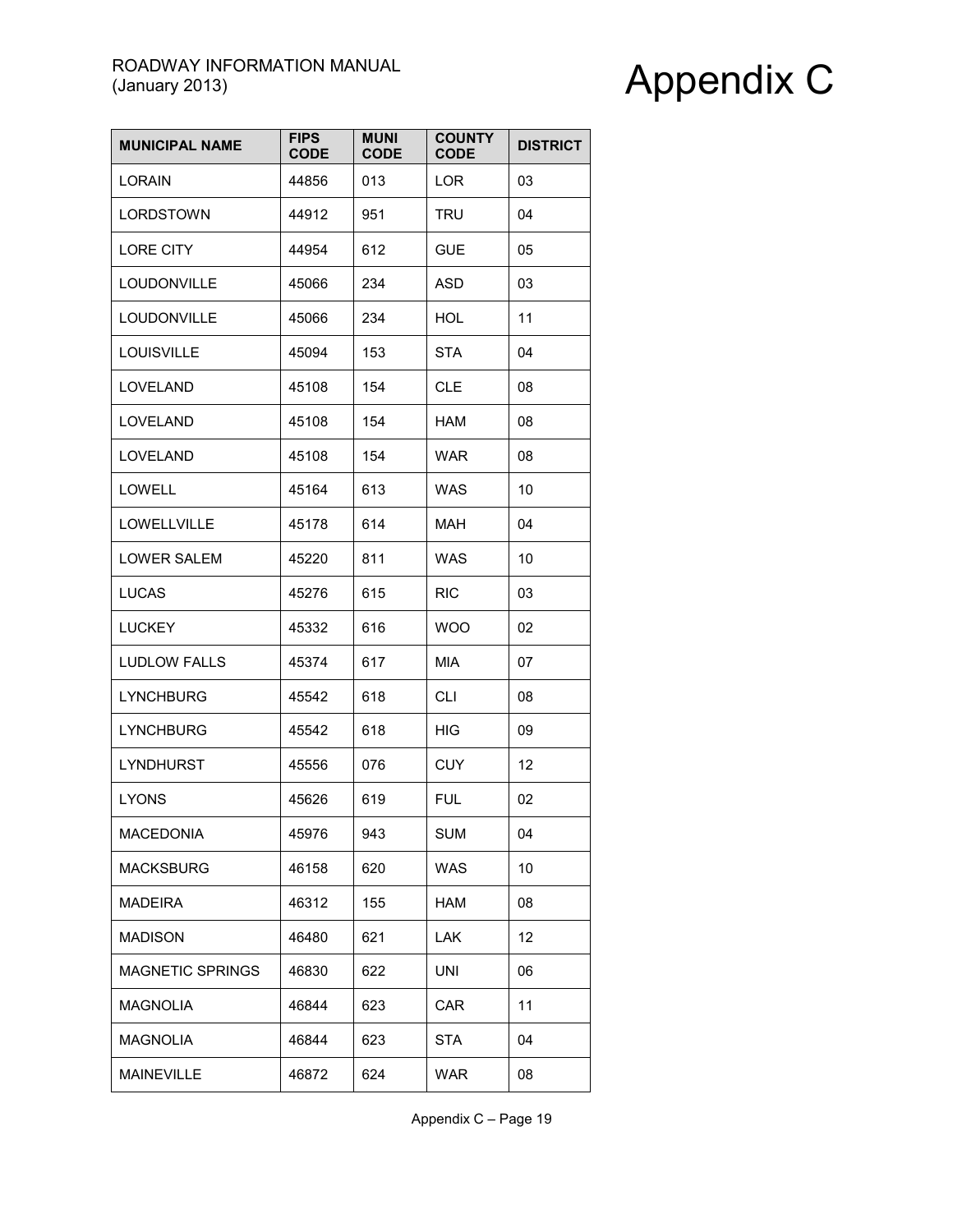| <b>MUNICIPAL NAME</b>   | <b>FIPS</b><br><b>CODE</b> | <b>MUNI</b><br><b>CODE</b> | <b>COUNTY</b><br><b>CODE</b> | <b>DISTRICT</b> |
|-------------------------|----------------------------|----------------------------|------------------------------|-----------------|
| <b>LORAIN</b>           | 44856                      | 013                        | LOR                          | 03              |
| LORDSTOWN               | 44912                      | 951                        | <b>TRU</b>                   | 04              |
| <b>LORE CITY</b>        | 44954                      | 612                        | <b>GUE</b>                   | 05              |
| LOUDONVILLE             | 45066                      | 234                        | <b>ASD</b>                   | 03              |
| LOUDONVILLE             | 45066                      | 234                        | HOL                          | 11              |
| <b>LOUISVILLE</b>       | 45094                      | 153                        | <b>STA</b>                   | 04              |
| LOVELAND                | 45108                      | 154                        | <b>CLE</b>                   | 08              |
| <b>LOVELAND</b>         | 45108                      | 154                        | <b>HAM</b>                   | 08              |
| <b>LOVELAND</b>         | 45108                      | 154                        | <b>WAR</b>                   | 08              |
| <b>LOWELL</b>           | 45164                      | 613                        | <b>WAS</b>                   | 10              |
| LOWELLVILLE             | 45178                      | 614                        | <b>MAH</b>                   | 04              |
| <b>LOWER SALEM</b>      | 45220                      | 811                        | <b>WAS</b>                   | 10              |
| <b>LUCAS</b>            | 45276                      | 615                        | <b>RIC</b>                   | 03              |
| <b>LUCKEY</b>           | 45332                      | 616                        | <b>WOO</b>                   | 02              |
| <b>LUDLOW FALLS</b>     | 45374                      | 617                        | <b>MIA</b>                   | 07              |
| <b>LYNCHBURG</b>        | 45542                      | 618                        | <b>CLI</b>                   | 08              |
| <b>LYNCHBURG</b>        | 45542                      | 618                        | <b>HIG</b>                   | 09              |
| LYNDHURST               | 45556                      | 076                        | <b>CUY</b>                   | 12              |
| <b>LYONS</b>            | 45626                      | 619                        | <b>FUL</b>                   | 02              |
| MACEDONIA               | 45976                      | 943                        | <b>SUM</b>                   | 04              |
| <b>MACKSBURG</b>        | 46158                      | 620                        | <b>WAS</b>                   | 10              |
| <b>MADEIRA</b>          | 46312                      | 155                        | HAM                          | 08              |
| <b>MADISON</b>          | 46480                      | 621                        | <b>LAK</b>                   | 12              |
| <b>MAGNETIC SPRINGS</b> | 46830                      | 622                        | UNI                          | 06              |
| <b>MAGNOLIA</b>         | 46844                      | 623                        | <b>CAR</b>                   | 11              |
| <b>MAGNOLIA</b>         | 46844                      | 623                        | <b>STA</b>                   | 04              |
| <b>MAINEVILLE</b>       | 46872                      | 624                        | <b>WAR</b>                   | 08              |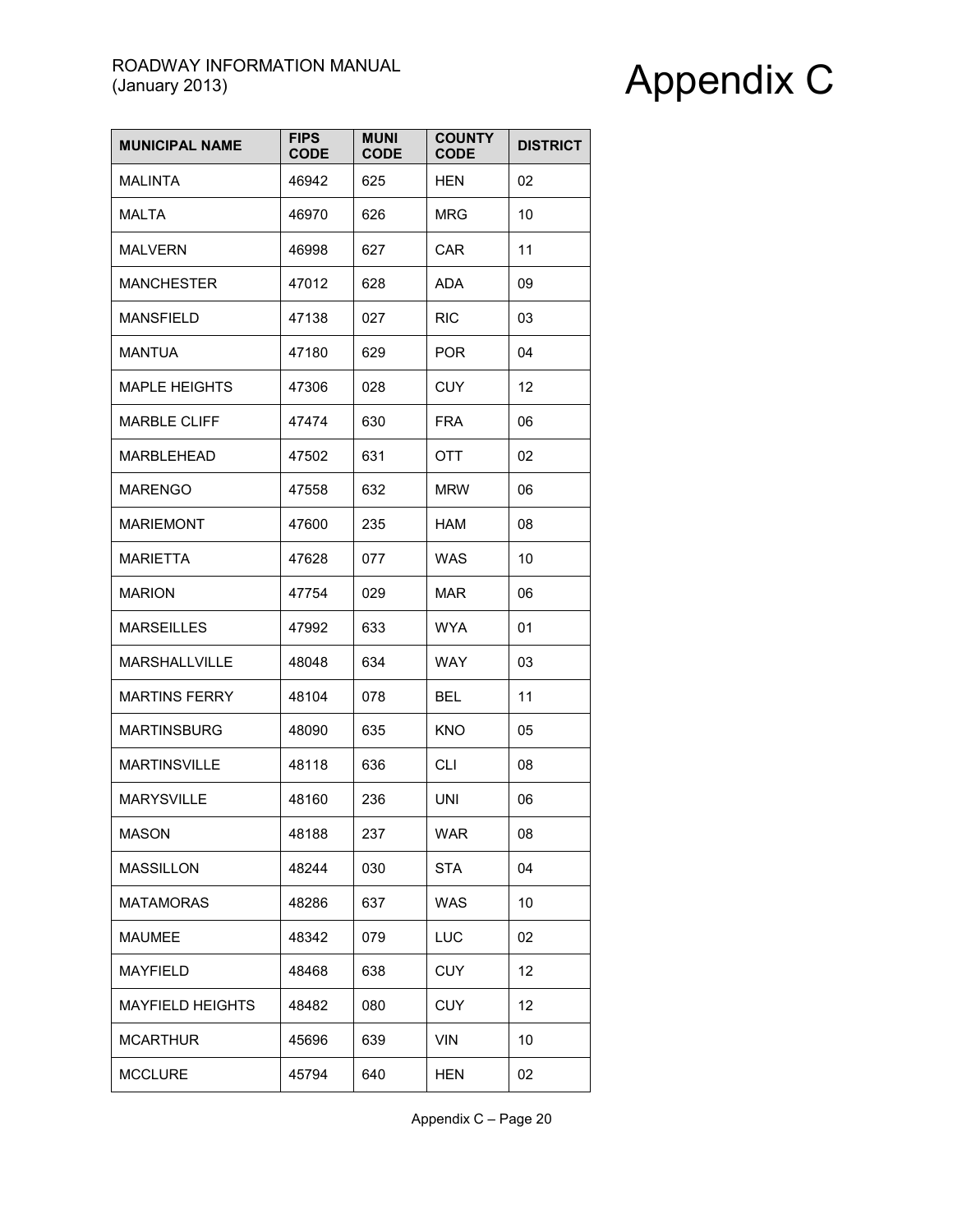| <b>MUNICIPAL NAME</b>   | <b>FIPS</b><br><b>CODE</b> | <b>MUNI</b><br><b>CODE</b> | <b>COUNTY</b><br><b>CODE</b> | <b>DISTRICT</b> |
|-------------------------|----------------------------|----------------------------|------------------------------|-----------------|
| <b>MALINTA</b>          | 46942                      | 625                        | <b>HEN</b>                   | 02              |
| <b>MALTA</b>            | 46970                      | 626                        | <b>MRG</b>                   | 10              |
| <b>MALVERN</b>          | 46998                      | 627                        | CAR                          | 11              |
| <b>MANCHESTER</b>       | 47012                      | 628                        | ADA                          | 09              |
| <b>MANSFIELD</b>        | 47138                      | 027                        | <b>RIC</b>                   | 03              |
| <b>MANTUA</b>           | 47180                      | 629                        | <b>POR</b>                   | 04              |
| <b>MAPLE HEIGHTS</b>    | 47306                      | 028                        | <b>CUY</b>                   | 12              |
| <b>MARBLE CLIFF</b>     | 47474                      | 630                        | <b>FRA</b>                   | 06              |
| MARBLEHEAD              | 47502                      | 631                        | OTT                          | 02              |
| <b>MARENGO</b>          | 47558                      | 632                        | <b>MRW</b>                   | 06              |
| <b>MARIEMONT</b>        | 47600                      | 235                        | HAM                          | 08              |
| MARIETTA                | 47628                      | 077                        | <b>WAS</b>                   | 10              |
| <b>MARION</b>           | 47754                      | 029                        | MAR                          | 06              |
| <b>MARSEILLES</b>       | 47992                      | 633                        | <b>WYA</b>                   | 01              |
| <b>MARSHALLVILLE</b>    | 48048                      | 634                        | <b>WAY</b>                   | 03              |
| <b>MARTINS FERRY</b>    | 48104                      | 078                        | <b>BEL</b>                   | 11              |
| <b>MARTINSBURG</b>      | 48090                      | 635                        | <b>KNO</b>                   | 05              |
| <b>MARTINSVILLE</b>     | 48118                      | 636                        | <b>CLI</b>                   | 08              |
| <b>MARYSVILLE</b>       | 48160                      | 236                        | UNI                          | 06              |
| <b>MASON</b>            | 48188                      | 237                        | <b>WAR</b>                   | 08              |
| <b>MASSILLON</b>        | 48244                      | 030                        | <b>STA</b>                   | 04              |
| <b>MATAMORAS</b>        | 48286                      | 637                        | <b>WAS</b>                   | 10              |
| <b>MAUMEE</b>           | 48342                      | 079                        | LUC                          | 02              |
| <b>MAYFIELD</b>         | 48468                      | 638                        | <b>CUY</b>                   | 12              |
| <b>MAYFIELD HEIGHTS</b> | 48482                      | 080                        | <b>CUY</b>                   | 12              |
| <b>MCARTHUR</b>         | 45696                      | 639                        | <b>VIN</b>                   | 10              |
| <b>MCCLURE</b>          | 45794                      | 640                        | <b>HEN</b>                   | 02              |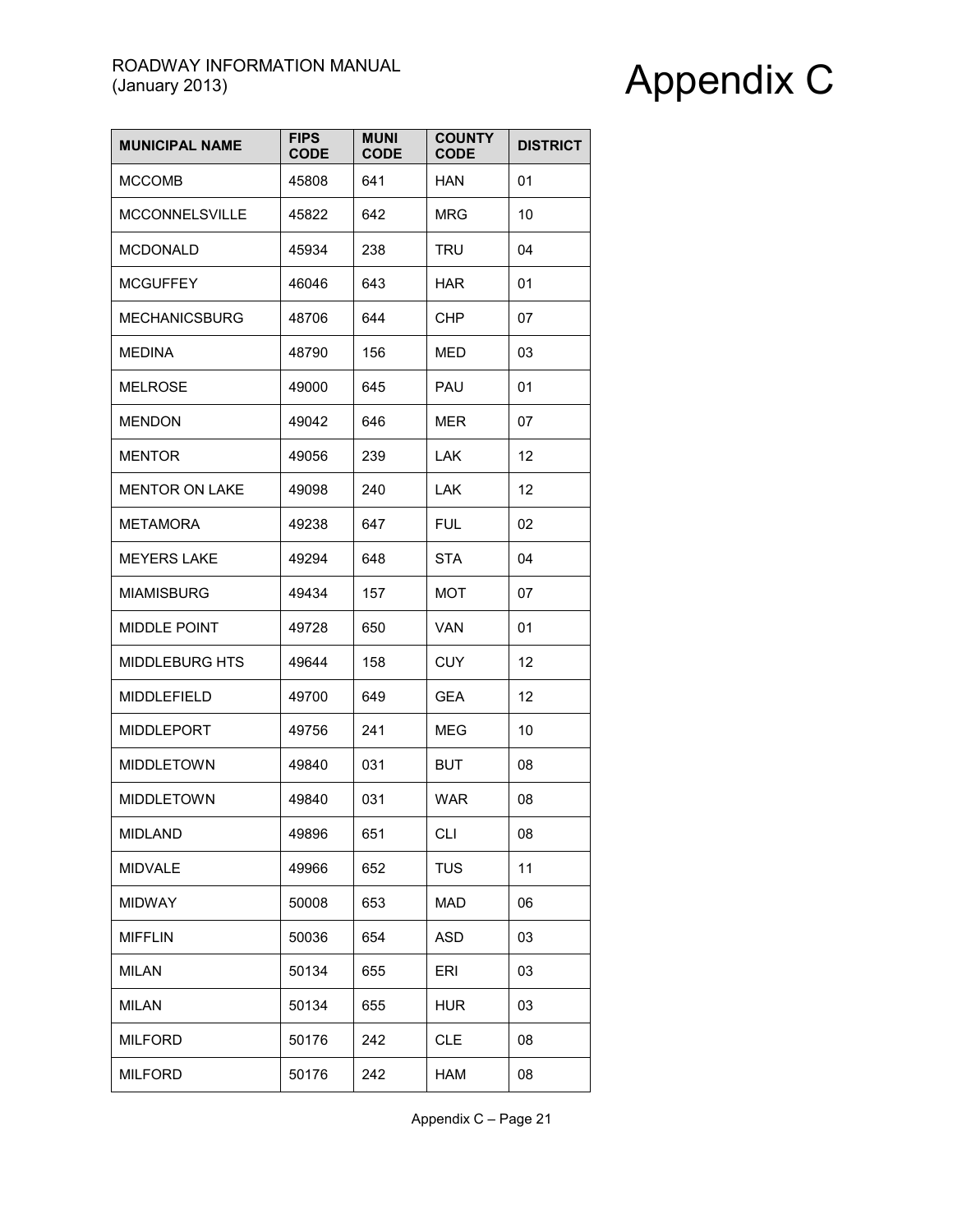| <b>MUNICIPAL NAME</b> | <b>FIPS</b><br><b>CODE</b> | <b>MUNI</b><br><b>CODE</b> | <b>COUNTY</b><br><b>CODE</b> | <b>DISTRICT</b> |
|-----------------------|----------------------------|----------------------------|------------------------------|-----------------|
| <b>MCCOMB</b>         | 45808                      | 641                        | <b>HAN</b>                   | 01              |
| <b>MCCONNELSVILLE</b> | 45822                      | 642                        | <b>MRG</b>                   | 10              |
| <b>MCDONALD</b>       | 45934                      | 238                        | TRU                          | 04              |
| <b>MCGUFFEY</b>       | 46046                      | 643                        | <b>HAR</b>                   | 01              |
| <b>MECHANICSBURG</b>  | 48706                      | 644                        | CHP                          | 07              |
| <b>MEDINA</b>         | 48790                      | 156                        | MED                          | 03              |
| <b>MELROSE</b>        | 49000                      | 645                        | PAU                          | 01              |
| <b>MENDON</b>         | 49042                      | 646                        | MER                          | 07              |
| <b>MENTOR</b>         | 49056                      | 239                        | LAK.                         | 12              |
| <b>MENTOR ON LAKE</b> | 49098                      | 240                        | LAK.                         | 12              |
| <b>METAMORA</b>       | 49238                      | 647                        | <b>FUL</b>                   | 02              |
| <b>MEYERS LAKE</b>    | 49294                      | 648                        | <b>STA</b>                   | 04              |
| <b>MIAMISBURG</b>     | 49434                      | 157                        | MOT                          | 07              |
| <b>MIDDLE POINT</b>   | 49728                      | 650                        | VAN                          | 01              |
| MIDDLEBURG HTS        | 49644                      | 158                        | <b>CUY</b>                   | 12              |
| <b>MIDDLEFIELD</b>    | 49700                      | 649                        | GEA                          | 12              |
| <b>MIDDLEPORT</b>     | 49756                      | 241                        | <b>MEG</b>                   | 10              |
| <b>MIDDLETOWN</b>     | 49840                      | 031                        | <b>BUT</b>                   | 08              |
| <b>MIDDLETOWN</b>     | 49840                      | 031                        | WAR                          | 08              |
| <b>MIDLAND</b>        | 49896                      | 651                        | <b>CLI</b>                   | 08              |
| <b>MIDVALE</b>        | 49966                      | 652                        | <b>TUS</b>                   | 11              |
| <b>MIDWAY</b>         | 50008                      | 653                        | <b>MAD</b>                   | 06              |
| <b>MIFFLIN</b>        | 50036                      | 654                        | <b>ASD</b>                   | 03              |
| <b>MILAN</b>          | 50134                      | 655                        | ERI                          | 03              |
| <b>MILAN</b>          | 50134                      | 655                        | <b>HUR</b>                   | 03              |
| <b>MILFORD</b>        | 50176                      | 242                        | <b>CLE</b>                   | 08              |
| <b>MILFORD</b>        | 50176                      | 242                        | HAM                          | 08              |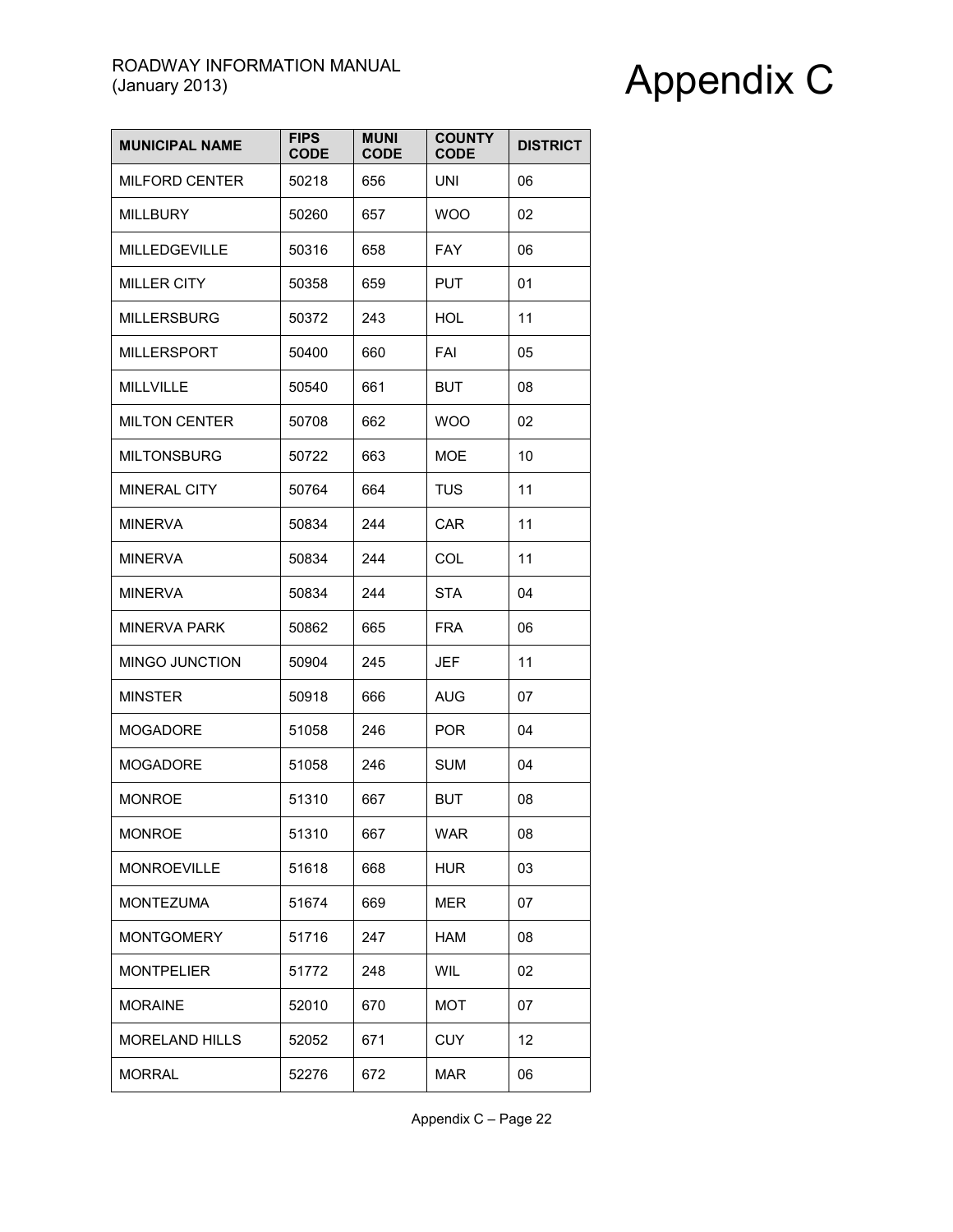| <b>MUNICIPAL NAME</b> | <b>FIPS</b><br><b>CODE</b> | <b>MUNI</b><br><b>CODE</b> | <b>COUNTY</b><br><b>CODE</b> | <b>DISTRICT</b> |
|-----------------------|----------------------------|----------------------------|------------------------------|-----------------|
| MILFORD CENTER        | 50218                      | 656                        | <b>UNI</b>                   | 06              |
| <b>MILLBURY</b>       | 50260                      | 657                        | <b>WOO</b>                   | 02              |
| <b>MILLEDGEVILLE</b>  | 50316                      | 658                        | <b>FAY</b>                   | 06              |
| <b>MILLER CITY</b>    | 50358                      | 659                        | <b>PUT</b>                   | 01              |
| <b>MILLERSBURG</b>    | 50372                      | 243                        | HOL                          | 11              |
| <b>MILLERSPORT</b>    | 50400                      | 660                        | FAI                          | 05              |
| MILLVILLE             | 50540                      | 661                        | <b>BUT</b>                   | 08              |
| <b>MILTON CENTER</b>  | 50708                      | 662                        | <b>WOO</b>                   | 02              |
| <b>MILTONSBURG</b>    | 50722                      | 663                        | MOE                          | 10              |
| <b>MINERAL CITY</b>   | 50764                      | 664                        | <b>TUS</b>                   | 11              |
| <b>MINERVA</b>        | 50834                      | 244                        | <b>CAR</b>                   | 11              |
| <b>MINERVA</b>        | 50834                      | 244                        | <b>COL</b>                   | 11              |
| <b>MINERVA</b>        | 50834                      | 244                        | STA                          | 04              |
| <b>MINERVA PARK</b>   | 50862                      | 665                        | <b>FRA</b>                   | 06              |
| MINGO JUNCTION        | 50904                      | 245                        | <b>JEF</b>                   | 11              |
| <b>MINSTER</b>        | 50918                      | 666                        | AUG                          | 07              |
| <b>MOGADORE</b>       | 51058                      | 246                        | <b>POR</b>                   | 04              |
| <b>MOGADORE</b>       | 51058                      | 246                        | <b>SUM</b>                   | 04              |
| <b>MONROE</b>         | 51310                      | 667                        | <b>BUT</b>                   | 08              |
| <b>MONROE</b>         | 51310                      | 667                        | <b>WAR</b>                   | 08              |
| <b>MONROEVILLE</b>    | 51618                      | 668                        | <b>HUR</b>                   | 03              |
| <b>MONTEZUMA</b>      | 51674                      | 669                        | MER                          | 07              |
| <b>MONTGOMERY</b>     | 51716                      | 247                        | HAM                          | 08              |
| <b>MONTPELIER</b>     | 51772                      | 248                        | <b>WIL</b>                   | 02              |
| <b>MORAINE</b>        | 52010                      | 670                        | <b>MOT</b>                   | 07              |
| <b>MORELAND HILLS</b> | 52052                      | 671                        | <b>CUY</b>                   | 12              |
| <b>MORRAL</b>         | 52276                      | 672                        | <b>MAR</b>                   | 06              |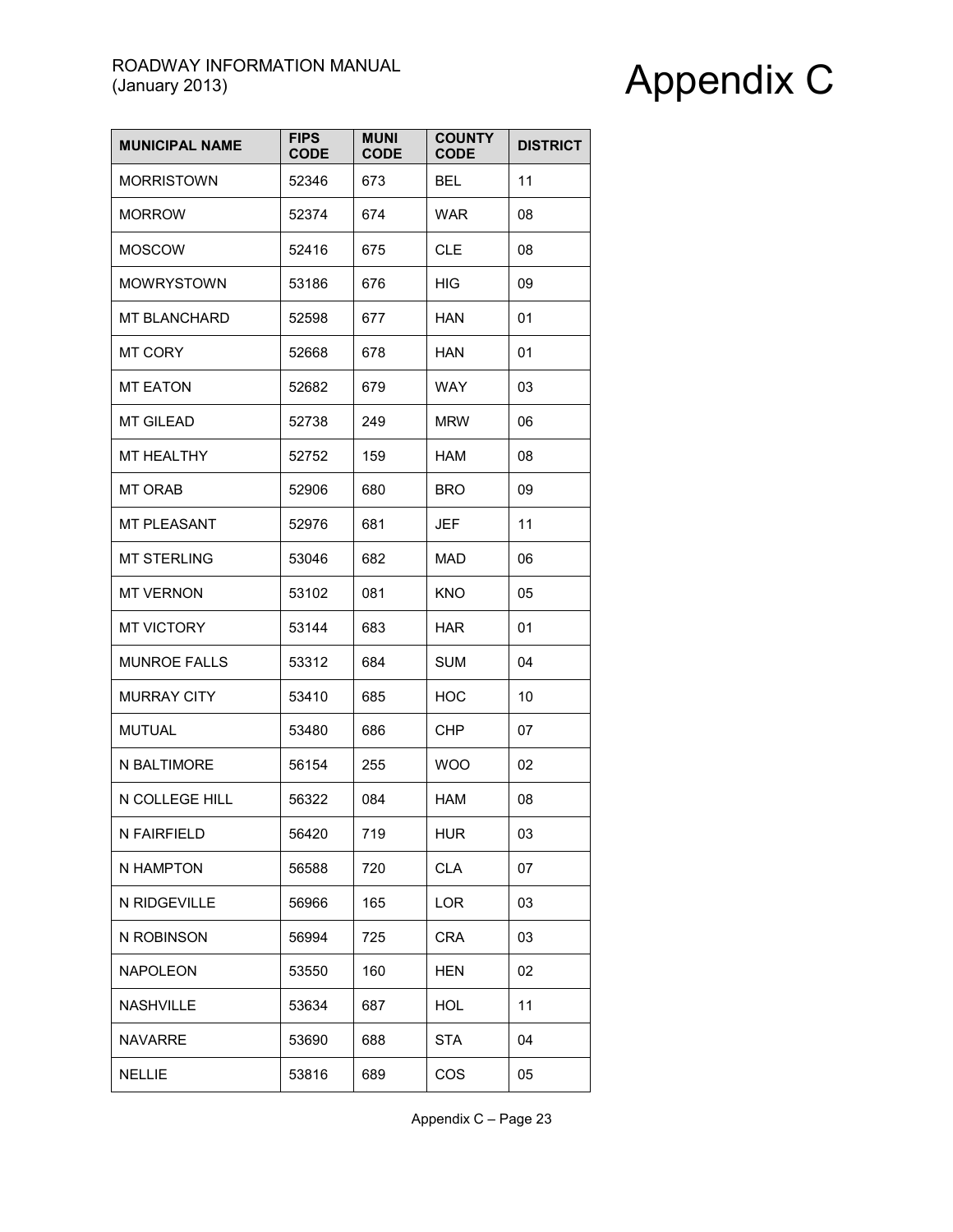| <b>MUNICIPAL NAME</b> | <b>FIPS</b><br><b>CODE</b> | <b>MUNI</b><br><b>CODE</b> | <b>COUNTY</b><br><b>CODE</b> | <b>DISTRICT</b> |
|-----------------------|----------------------------|----------------------------|------------------------------|-----------------|
| <b>MORRISTOWN</b>     | 52346                      | 673                        | <b>BEL</b>                   | 11              |
| <b>MORROW</b>         | 52374                      | 674                        | <b>WAR</b>                   | 08              |
| <b>MOSCOW</b>         | 52416                      | 675                        | CLE                          | 08              |
| <b>MOWRYSTOWN</b>     | 53186                      | 676                        | HIG                          | 09              |
| <b>MT BLANCHARD</b>   | 52598                      | 677                        | HAN                          | 01              |
| <b>MT CORY</b>        | 52668                      | 678                        | <b>HAN</b>                   | 01              |
| <b>MT EATON</b>       | 52682                      | 679                        | <b>WAY</b>                   | 03              |
| <b>MT GILEAD</b>      | 52738                      | 249                        | <b>MRW</b>                   | 06              |
| MT HEALTHY            | 52752                      | 159                        | <b>HAM</b>                   | 08              |
| <b>MT ORAB</b>        | 52906                      | 680                        | <b>BRO</b>                   | 09              |
| MT PLEASANT           | 52976                      | 681                        | JEF                          | 11              |
| <b>MT STERLING</b>    | 53046                      | 682                        | MAD                          | 06              |
| <b>MT VERNON</b>      | 53102                      | 081                        | KNO                          | 05              |
| <b>MT VICTORY</b>     | 53144                      | 683                        | <b>HAR</b>                   | 01              |
| <b>MUNROE FALLS</b>   | 53312                      | 684                        | <b>SUM</b>                   | 04              |
| <b>MURRAY CITY</b>    | 53410                      | 685                        | <b>HOC</b>                   | 10              |
| <b>MUTUAL</b>         | 53480                      | 686                        | <b>CHP</b>                   | 07              |
| N BALTIMORE           | 56154                      | 255                        | <b>WOO</b>                   | 02              |
| N COLLEGE HILL        | 56322                      | 084                        | <b>HAM</b>                   | 08              |
| N FAIRFIELD           | 56420                      | 719                        | <b>HUR</b>                   | 03              |
| N HAMPTON             | 56588                      | 720                        | <b>CLA</b>                   | 07              |
| N RIDGEVILLE          | 56966                      | 165                        | LOR                          | 03              |
| N ROBINSON            | 56994                      | 725                        | <b>CRA</b>                   | 03              |
| <b>NAPOLEON</b>       | 53550                      | 160                        | <b>HEN</b>                   | 02              |
| <b>NASHVILLE</b>      | 53634                      | 687                        | <b>HOL</b>                   | 11              |
| <b>NAVARRE</b>        | 53690                      | 688                        | <b>STA</b>                   | 04              |
| <b>NELLIE</b>         | 53816                      | 689                        | COS                          | 05              |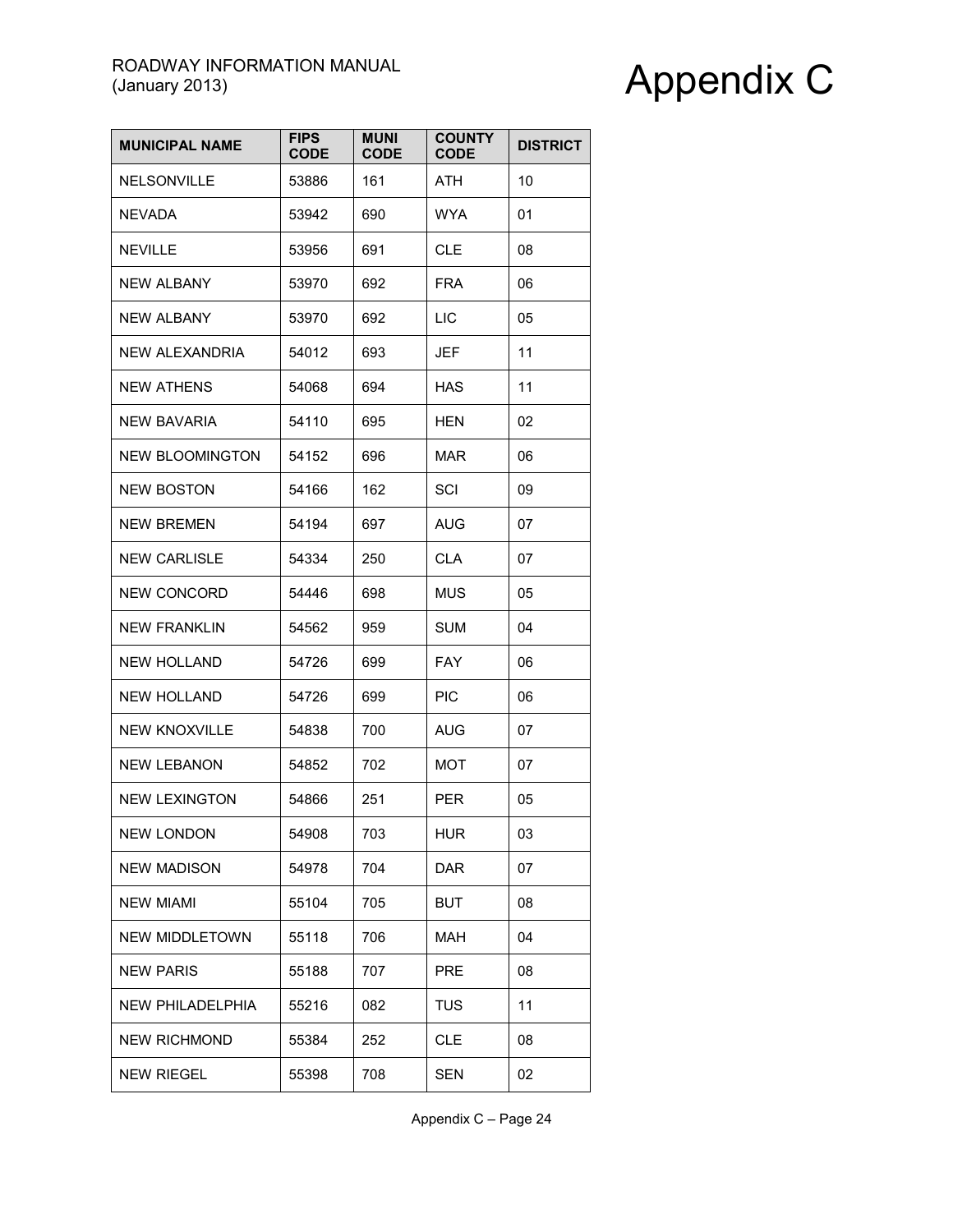| <b>MUNICIPAL NAME</b>  | <b>FIPS</b><br><b>CODE</b> | <b>MUNI</b><br><b>CODE</b> | <b>COUNTY</b><br><b>CODE</b> | <b>DISTRICT</b> |
|------------------------|----------------------------|----------------------------|------------------------------|-----------------|
| <b>NELSONVILLE</b>     | 53886                      | 161                        | ATH                          | 10              |
| <b>NEVADA</b>          | 53942                      | 690                        | <b>WYA</b>                   | 01              |
| <b>NEVILLE</b>         | 53956                      | 691                        | CLE                          | 08              |
| <b>NEW ALBANY</b>      | 53970                      | 692                        | <b>FRA</b>                   | 06              |
| <b>NEW ALBANY</b>      | 53970                      | 692                        | LIC                          | 05              |
| NEW ALEXANDRIA         | 54012                      | 693                        | JEF                          | 11              |
| <b>NEW ATHENS</b>      | 54068                      | 694                        | HAS                          | 11              |
| NEW BAVARIA            | 54110                      | 695                        | HEN                          | 02              |
| <b>NEW BLOOMINGTON</b> | 54152                      | 696                        | MAR                          | 06              |
| <b>NEW BOSTON</b>      | 54166                      | 162                        | SCI                          | 09              |
| <b>NEW BREMEN</b>      | 54194                      | 697                        | <b>AUG</b>                   | 07              |
| <b>NEW CARLISLE</b>    | 54334                      | 250                        | <b>CLA</b>                   | 07              |
| <b>NEW CONCORD</b>     | 54446                      | 698                        | MUS                          | 05              |
| <b>NEW FRANKLIN</b>    | 54562                      | 959                        | <b>SUM</b>                   | 04              |
| <b>NEW HOLLAND</b>     | 54726                      | 699                        | <b>FAY</b>                   | 06              |
| <b>NEW HOLLAND</b>     | 54726                      | 699                        | <b>PIC</b>                   | 06              |
| <b>NEW KNOXVILLE</b>   | 54838                      | 700                        | AUG                          | 07              |
| <b>NEW LEBANON</b>     | 54852                      | 702                        | MOT                          | 07              |
| <b>NEW LEXINGTON</b>   | 54866                      | 251                        | <b>PER</b>                   | 05              |
| <b>NEW LONDON</b>      | 54908                      | 703                        | <b>HUR</b>                   | 03              |
| <b>NEW MADISON</b>     | 54978                      | 704                        | <b>DAR</b>                   | 07              |
| <b>NEW MIAMI</b>       | 55104                      | 705                        | <b>BUT</b>                   | 08              |
| NEW MIDDLETOWN         | 55118                      | 706                        | MAH                          | 04              |
| <b>NEW PARIS</b>       | 55188                      | 707                        | PRE                          | 08              |
| NEW PHILADELPHIA       | 55216                      | 082                        | <b>TUS</b>                   | 11              |
| <b>NEW RICHMOND</b>    | 55384                      | 252                        | <b>CLE</b>                   | 08              |
| <b>NEW RIEGEL</b>      | 55398                      | 708                        | <b>SEN</b>                   | 02              |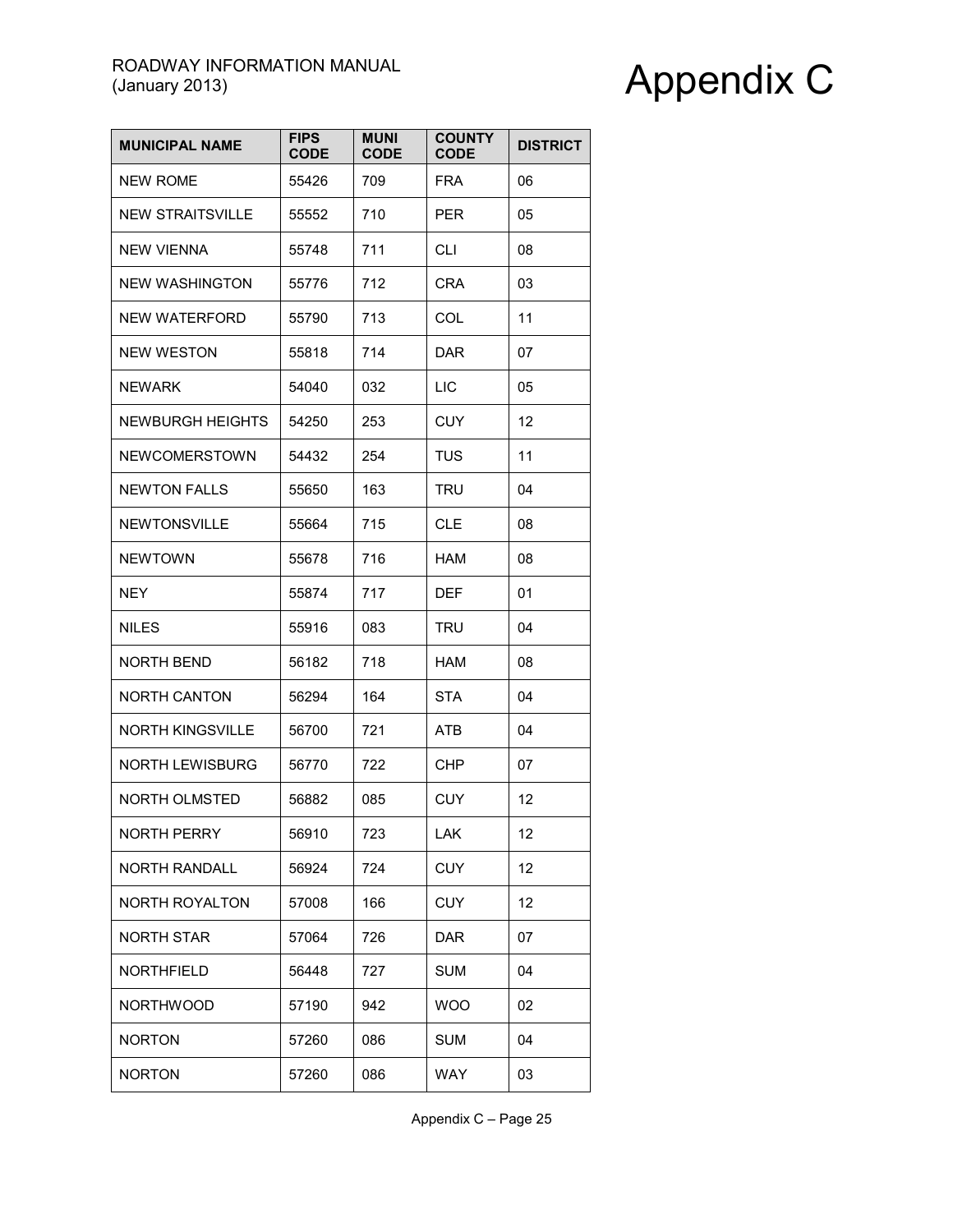| <b>MUNICIPAL NAME</b>   | <b>FIPS</b><br><b>CODE</b> | <b>MUNI</b><br><b>CODE</b> | <b>COUNTY</b><br><b>CODE</b> | <b>DISTRICT</b> |
|-------------------------|----------------------------|----------------------------|------------------------------|-----------------|
| <b>NEW ROME</b>         | 55426                      | 709                        | <b>FRA</b>                   | 06              |
| <b>NEW STRAITSVILLE</b> | 55552                      | 710                        | <b>PER</b>                   | 05              |
| <b>NEW VIENNA</b>       | 55748                      | 711                        | <b>CLI</b>                   | 08              |
| <b>NEW WASHINGTON</b>   | 55776                      | 712                        | <b>CRA</b>                   | 03              |
| NEW WATERFORD           | 55790                      | 713                        | COL                          | 11              |
| <b>NEW WESTON</b>       | 55818                      | 714                        | <b>DAR</b>                   | 07              |
| <b>NEWARK</b>           | 54040                      | 032                        | LIC                          | 05              |
| NEWBURGH HEIGHTS        | 54250                      | 253                        | CUY                          | 12              |
| NEWCOMERSTOWN           | 54432                      | 254                        | <b>TUS</b>                   | 11              |
| <b>NEWTON FALLS</b>     | 55650                      | 163                        | <b>TRU</b>                   | 04              |
| <b>NEWTONSVILLE</b>     | 55664                      | 715                        | <b>CLE</b>                   | 08              |
| <b>NEWTOWN</b>          | 55678                      | 716                        | <b>HAM</b>                   | 08              |
| <b>NEY</b>              | 55874                      | 717                        | DEF                          | 01              |
| NILES                   | 55916                      | 083                        | TRU                          | 04              |
| NORTH BEND              | 56182                      | 718                        | HAM                          | 08              |
| NORTH CANTON            | 56294                      | 164                        | STA                          | 04              |
| <b>NORTH KINGSVILLE</b> | 56700                      | 721                        | ATB                          | 04              |
| <b>NORTH LEWISBURG</b>  | 56770                      | 722                        | <b>CHP</b>                   | 07              |
| <b>NORTH OLMSTED</b>    | 56882                      | 085                        | CUY                          | 12              |
| <b>NORTH PERRY</b>      | 56910                      | 723                        | LAK                          | 12              |
| <b>NORTH RANDALL</b>    | 56924                      | 724                        | <b>CUY</b>                   | 12              |
| NORTH ROYALTON          | 57008                      | 166                        | <b>CUY</b>                   | 12              |
| <b>NORTH STAR</b>       | 57064                      | 726                        | <b>DAR</b>                   | 07              |
| <b>NORTHFIELD</b>       | 56448                      | 727                        | <b>SUM</b>                   | 04              |
| NORTHWOOD               | 57190                      | 942                        | <b>WOO</b>                   | 02              |
| <b>NORTON</b>           | 57260                      | 086                        | <b>SUM</b>                   | 04              |
| <b>NORTON</b>           | 57260                      | 086                        | <b>WAY</b>                   | 03              |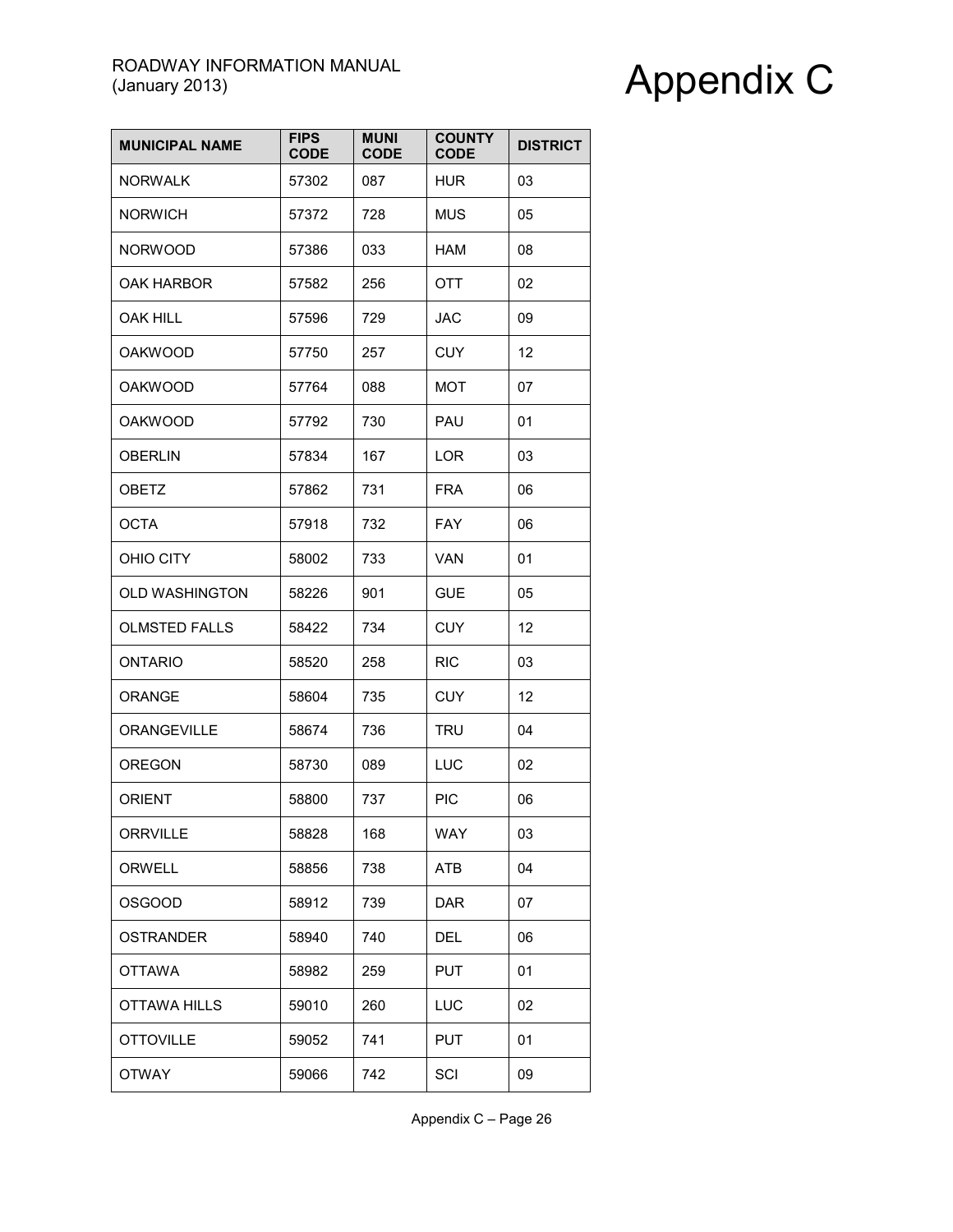| <b>MUNICIPAL NAME</b> | <b>FIPS</b><br><b>CODE</b> | <b>MUNI</b><br><b>CODE</b> | <b>COUNTY</b><br><b>CODE</b> | <b>DISTRICT</b> |
|-----------------------|----------------------------|----------------------------|------------------------------|-----------------|
| <b>NORWALK</b>        | 57302                      | 087                        | <b>HUR</b>                   | 03              |
| <b>NORWICH</b>        | 57372                      | 728                        | <b>MUS</b>                   | 05              |
| <b>NORWOOD</b>        | 57386                      | 033                        | <b>HAM</b>                   | 08              |
| <b>OAK HARBOR</b>     | 57582                      | 256                        | OTT                          | 02              |
| OAK HILL              | 57596                      | 729                        | <b>JAC</b>                   | 09              |
| <b>OAKWOOD</b>        | 57750                      | 257                        | <b>CUY</b>                   | 12              |
| <b>OAKWOOD</b>        | 57764                      | 088                        | MOT                          | 07              |
| <b>OAKWOOD</b>        | 57792                      | 730                        | PAU                          | 01              |
| <b>OBERLIN</b>        | 57834                      | 167                        | <b>LOR</b>                   | 03              |
| <b>OBETZ</b>          | 57862                      | 731                        | <b>FRA</b>                   | 06              |
| <b>OCTA</b>           | 57918                      | 732                        | <b>FAY</b>                   | 06              |
| OHIO CITY             | 58002                      | 733                        | <b>VAN</b>                   | 01              |
| <b>OLD WASHINGTON</b> | 58226                      | 901                        | <b>GUE</b>                   | 05              |
| <b>OLMSTED FALLS</b>  | 58422                      | 734                        | <b>CUY</b>                   | 12              |
| <b>ONTARIO</b>        | 58520                      | 258                        | <b>RIC</b>                   | 03              |
| <b>ORANGE</b>         | 58604                      | 735                        | <b>CUY</b>                   | 12              |
| <b>ORANGEVILLE</b>    | 58674                      | 736                        | <b>TRU</b>                   | 04              |
| <b>OREGON</b>         | 58730                      | 089                        | LUC                          | 02              |
| <b>ORIENT</b>         | 58800                      | 737                        | <b>PIC</b>                   | 06              |
| <b>ORRVILLE</b>       | 58828                      | 168                        | WAY                          | 03              |
| <b>ORWELL</b>         | 58856                      | 738                        | ATB                          | 04              |
| <b>OSGOOD</b>         | 58912                      | 739                        | <b>DAR</b>                   | 07              |
| <b>OSTRANDER</b>      | 58940                      | 740                        | <b>DEL</b>                   | 06              |
| <b>OTTAWA</b>         | 58982                      | 259                        | <b>PUT</b>                   | 01              |
| OTTAWA HILLS          | 59010                      | 260                        | LUC                          | 02              |
| <b>OTTOVILLE</b>      | 59052                      | 741                        | <b>PUT</b>                   | 01              |
| <b>OTWAY</b>          | 59066                      | 742                        | SCI                          | 09              |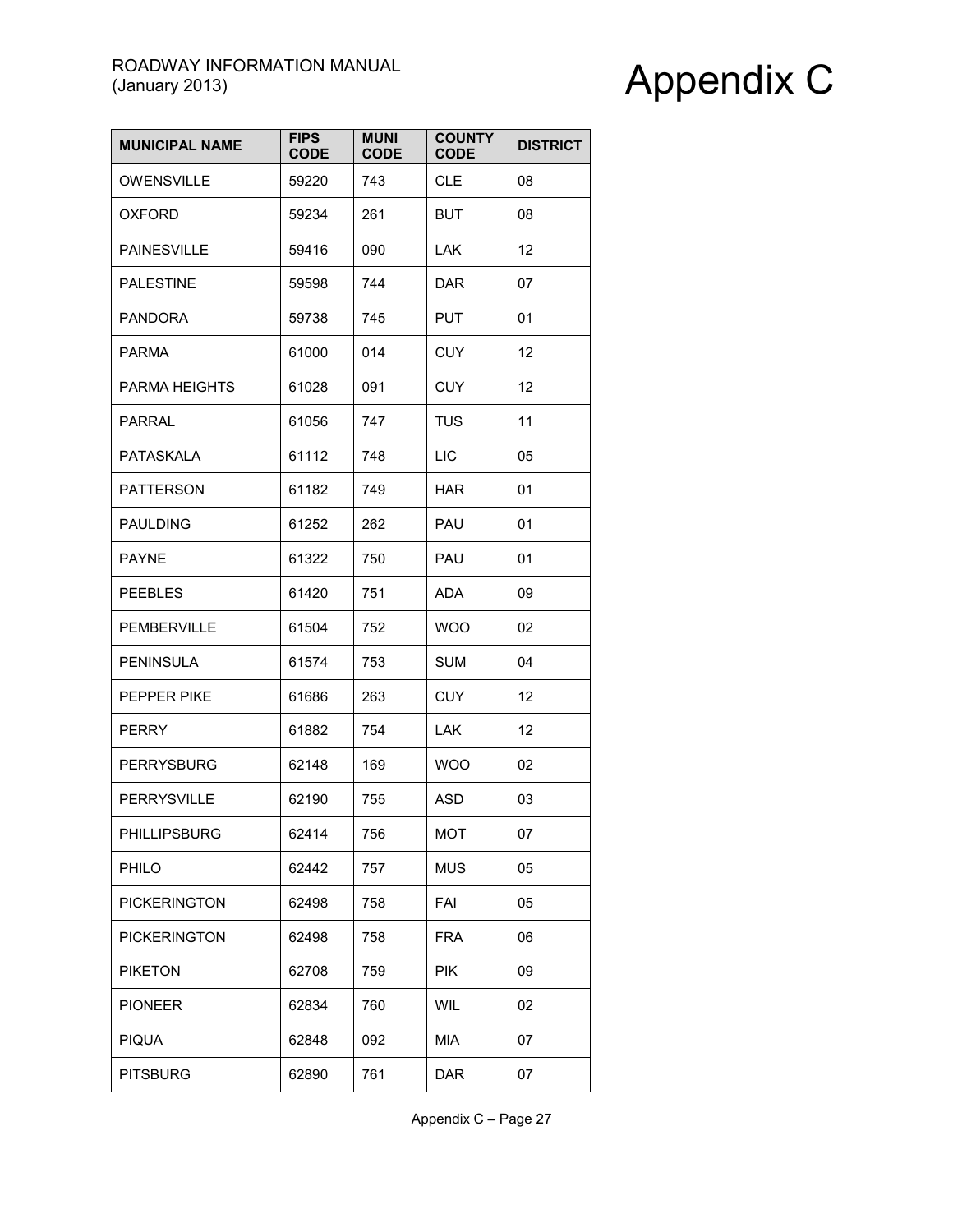| <b>MUNICIPAL NAME</b> | <b>FIPS</b><br><b>CODE</b> | <b>MUNI</b><br><b>CODE</b> | <b>COUNTY</b><br><b>CODE</b> | <b>DISTRICT</b> |
|-----------------------|----------------------------|----------------------------|------------------------------|-----------------|
| <b>OWENSVILLE</b>     | 59220                      | 743                        | <b>CLE</b>                   | 08              |
| OXFORD                | 59234                      | 261                        | <b>BUT</b>                   | 08              |
| <b>PAINESVILLE</b>    | 59416                      | 090                        | LAK.                         | 12              |
| <b>PALESTINE</b>      | 59598                      | 744                        | <b>DAR</b>                   | 07              |
| <b>PANDORA</b>        | 59738                      | 745                        | <b>PUT</b>                   | 01              |
| <b>PARMA</b>          | 61000                      | 014                        | <b>CUY</b>                   | 12              |
| <b>PARMA HEIGHTS</b>  | 61028                      | 091                        | <b>CUY</b>                   | 12              |
| PARRAL                | 61056                      | 747                        | <b>TUS</b>                   | 11              |
| <b>PATASKALA</b>      | 61112                      | 748                        | LIC                          | 05              |
| <b>PATTERSON</b>      | 61182                      | 749                        | <b>HAR</b>                   | 01              |
| <b>PAULDING</b>       | 61252                      | 262                        | PAU                          | 01              |
| <b>PAYNE</b>          | 61322                      | 750                        | PAU                          | 01              |
| <b>PEEBLES</b>        | 61420                      | 751                        | ADA                          | 09              |
| <b>PEMBERVILLE</b>    | 61504                      | 752                        | <b>WOO</b>                   | 02              |
| <b>PENINSULA</b>      | 61574                      | 753                        | SUM                          | 04              |
| PEPPER PIKE           | 61686                      | 263                        | <b>CUY</b>                   | 12              |
| <b>PERRY</b>          | 61882                      | 754                        | LAK.                         | 12              |
| <b>PERRYSBURG</b>     | 62148                      | 169                        | <b>WOO</b>                   | 02              |
| PERRYSVILLE           | 62190                      | 755                        | <b>ASD</b>                   | 03              |
| PHILLIPSBURG          | 62414                      | 756                        | <b>MOT</b>                   | 07              |
| PHILO                 | 62442                      | 757                        | <b>MUS</b>                   | 05              |
| <b>PICKERINGTON</b>   | 62498                      | 758                        | FAI                          | 05              |
| <b>PICKERINGTON</b>   | 62498                      | 758                        | <b>FRA</b>                   | 06              |
| <b>PIKETON</b>        | 62708                      | 759                        | <b>PIK</b>                   | 09              |
| <b>PIONEER</b>        | 62834                      | 760                        | WIL                          | 02              |
| <b>PIQUA</b>          | 62848                      | 092                        | MIA                          | 07              |
| <b>PITSBURG</b>       | 62890                      | 761                        | <b>DAR</b>                   | 07              |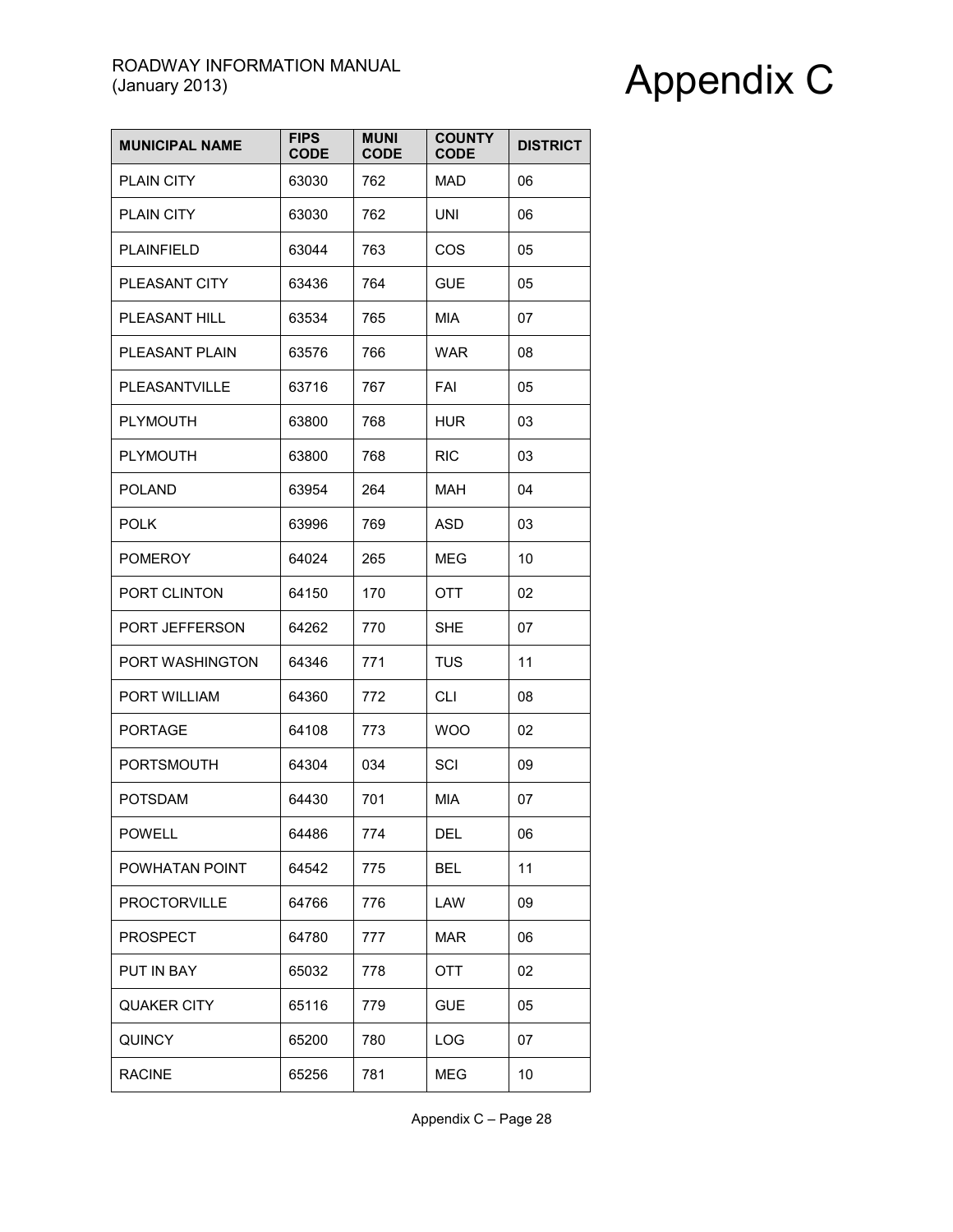| <b>MUNICIPAL NAME</b> | <b>FIPS</b><br><b>CODE</b> | <b>MUNI</b><br><b>CODE</b> | <b>COUNTY</b><br><b>CODE</b> | <b>DISTRICT</b> |
|-----------------------|----------------------------|----------------------------|------------------------------|-----------------|
| <b>PLAIN CITY</b>     | 63030                      | 762                        | MAD                          | 06              |
| <b>PLAIN CITY</b>     | 63030                      | 762                        | <b>UNI</b>                   | 06              |
| <b>PLAINFIELD</b>     | 63044                      | 763                        | COS                          | 05              |
| PLEASANT CITY         | 63436                      | 764                        | <b>GUE</b>                   | 05              |
| PLEASANT HILL         | 63534                      | 765                        | <b>MIA</b>                   | 07              |
| PLEASANT PLAIN        | 63576                      | 766                        | <b>WAR</b>                   | 08              |
| PLEASANTVILLE         | 63716                      | 767                        | FAI                          | 05              |
| <b>PLYMOUTH</b>       | 63800                      | 768                        | <b>HUR</b>                   | 03              |
| <b>PLYMOUTH</b>       | 63800                      | 768                        | <b>RIC</b>                   | 03              |
| <b>POLAND</b>         | 63954                      | 264                        | <b>MAH</b>                   | 04              |
| <b>POLK</b>           | 63996                      | 769                        | <b>ASD</b>                   | 03              |
| <b>POMEROY</b>        | 64024                      | 265                        | <b>MEG</b>                   | 10              |
| PORT CLINTON          | 64150                      | 170                        | OTT                          | 02              |
| PORT JEFFERSON        | 64262                      | 770                        | <b>SHE</b>                   | 07              |
| PORT WASHINGTON       | 64346                      | 771                        | <b>TUS</b>                   | 11              |
| PORT WILLIAM          | 64360                      | 772                        | CLI                          | 08              |
| <b>PORTAGE</b>        | 64108                      | 773                        | <b>WOO</b>                   | 02              |
| PORTSMOUTH            | 64304                      | 034                        | SCI                          | 09              |
| <b>POTSDAM</b>        | 64430                      | 701                        | <b>MIA</b>                   | 07              |
| <b>POWELL</b>         | 64486                      | 774                        | DEL                          | 06              |
| POWHATAN POINT        | 64542                      | 775                        | <b>BEL</b>                   | 11              |
| <b>PROCTORVILLE</b>   | 64766                      | 776                        | LAW                          | 09              |
| <b>PROSPECT</b>       | 64780                      | 777                        | <b>MAR</b>                   | 06              |
| PUT IN BAY            | 65032                      | 778                        | OTT                          | 02              |
| <b>QUAKER CITY</b>    | 65116                      | 779                        | <b>GUE</b>                   | 05              |
| <b>QUINCY</b>         | 65200                      | 780                        | LOG                          | 07              |
| <b>RACINE</b>         | 65256                      | 781                        | <b>MEG</b>                   | 10              |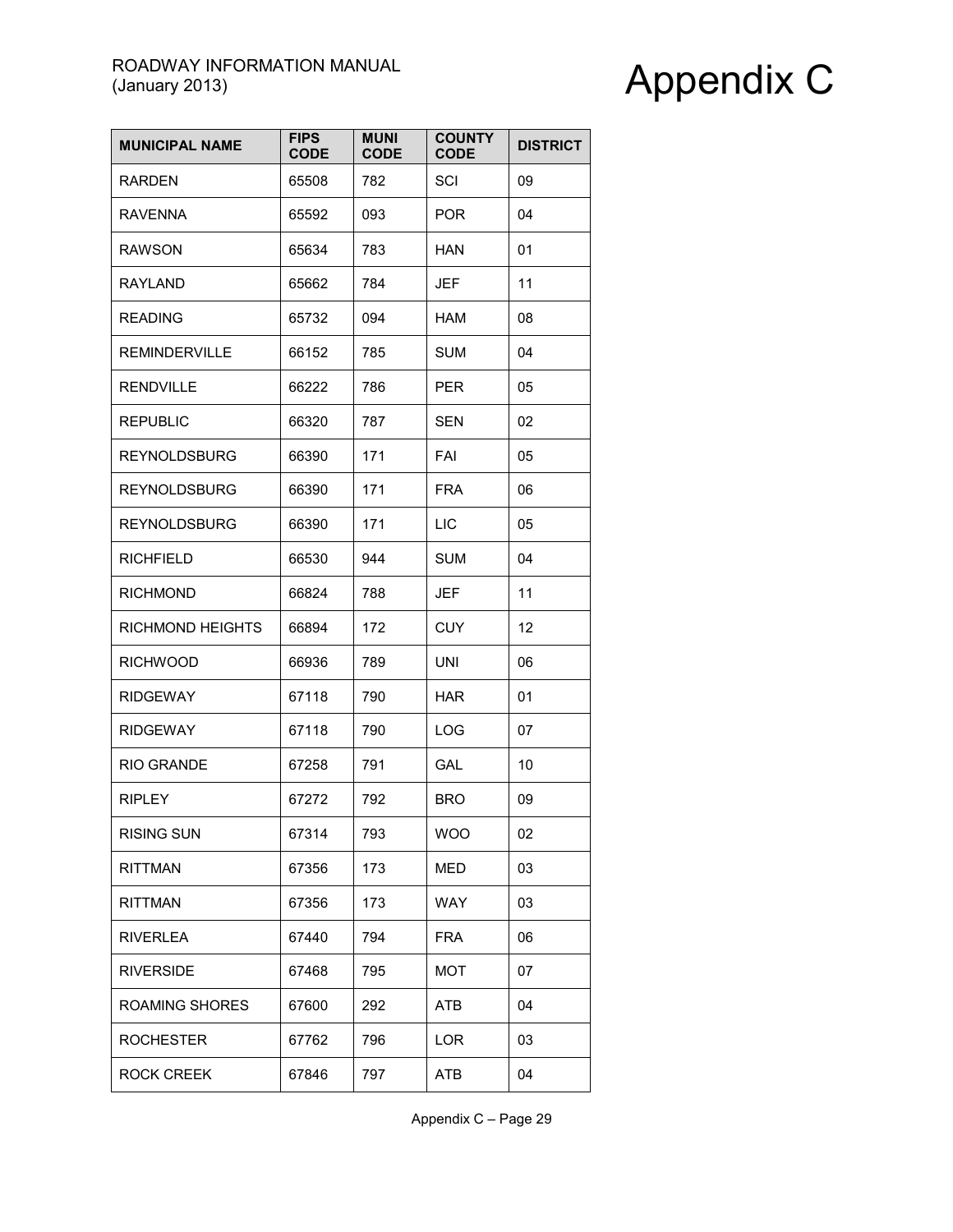| <b>MUNICIPAL NAME</b> | <b>FIPS</b><br><b>CODE</b> | <b>MUNI</b><br><b>CODE</b> | <b>COUNTY</b><br><b>CODE</b> | <b>DISTRICT</b> |
|-----------------------|----------------------------|----------------------------|------------------------------|-----------------|
| <b>RARDEN</b>         | 65508                      | 782                        | SCI                          | 09              |
| <b>RAVENNA</b>        | 65592                      | 093                        | <b>POR</b>                   | 04              |
| <b>RAWSON</b>         | 65634                      | 783                        | HAN                          | 01              |
| <b>RAYLAND</b>        | 65662                      | 784                        | <b>JEF</b>                   | 11              |
| <b>READING</b>        | 65732                      | 094                        | <b>HAM</b>                   | 08              |
| <b>REMINDERVILLE</b>  | 66152                      | 785                        | <b>SUM</b>                   | 04              |
| <b>RENDVILLE</b>      | 66222                      | 786                        | <b>PER</b>                   | 05              |
| <b>REPUBLIC</b>       | 66320                      | 787                        | <b>SEN</b>                   | 02              |
| <b>REYNOLDSBURG</b>   | 66390                      | 171                        | FAI                          | 05              |
| <b>REYNOLDSBURG</b>   | 66390                      | 171                        | <b>FRA</b>                   | 06              |
| <b>REYNOLDSBURG</b>   | 66390                      | 171                        | LIC                          | 05              |
| <b>RICHFIELD</b>      | 66530                      | 944                        | <b>SUM</b>                   | 04              |
| <b>RICHMOND</b>       | 66824                      | 788                        | <b>JEF</b>                   | 11              |
| RICHMOND HEIGHTS      | 66894                      | 172                        | <b>CUY</b>                   | 12              |
| <b>RICHWOOD</b>       | 66936                      | 789                        | <b>UNI</b>                   | 06              |
| <b>RIDGEWAY</b>       | 67118                      | 790                        | <b>HAR</b>                   | 01              |
| <b>RIDGEWAY</b>       | 67118                      | 790                        | LOG                          | 07              |
| <b>RIO GRANDE</b>     | 67258                      | 791                        | GAL                          | 10              |
| <b>RIPLEY</b>         | 67272                      | 792                        | <b>BRO</b>                   | 09              |
| <b>RISING SUN</b>     | 67314                      | 793                        | <b>WOO</b>                   | 02              |
| <b>RITTMAN</b>        | 67356                      | 173                        | <b>MED</b>                   | 03              |
| <b>RITTMAN</b>        | 67356                      | 173                        | <b>WAY</b>                   | 03              |
| <b>RIVERLEA</b>       | 67440                      | 794                        | <b>FRA</b>                   | 06              |
| <b>RIVERSIDE</b>      | 67468                      | 795                        | MOT                          | 07              |
| ROAMING SHORES        | 67600                      | 292                        | ATB                          | 04              |
| <b>ROCHESTER</b>      | 67762                      | 796                        | <b>LOR</b>                   | 03              |
| <b>ROCK CREEK</b>     | 67846                      | 797                        | ATB                          | 04              |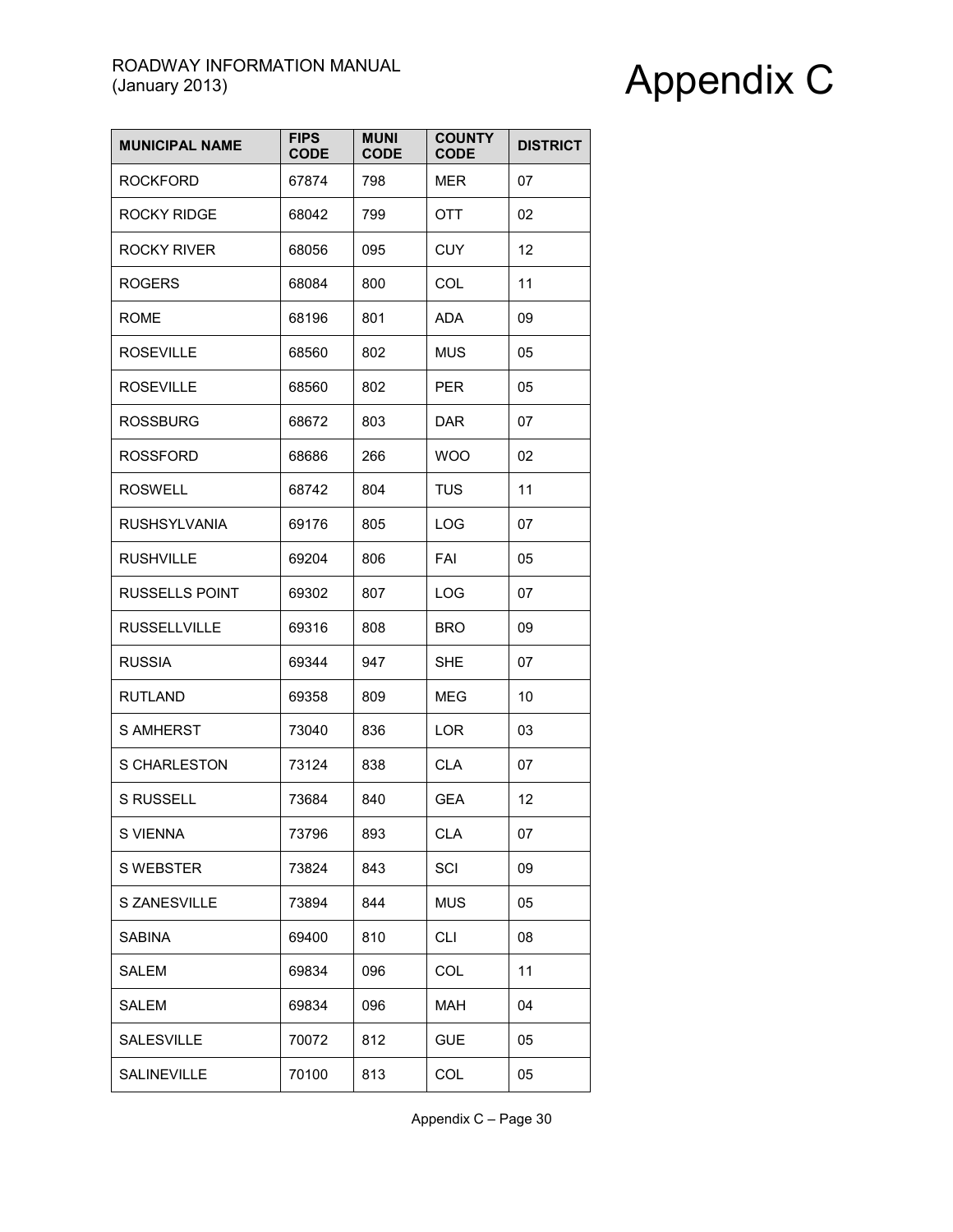| <b>MUNICIPAL NAME</b> | <b>FIPS</b><br><b>CODE</b> | <b>MUNI</b><br><b>CODE</b> | <b>COUNTY</b><br><b>CODE</b> | <b>DISTRICT</b> |
|-----------------------|----------------------------|----------------------------|------------------------------|-----------------|
| <b>ROCKFORD</b>       | 67874                      | 798                        | MER                          | 07              |
| <b>ROCKY RIDGE</b>    | 68042                      | 799                        | <b>OTT</b>                   | 02              |
| <b>ROCKY RIVER</b>    | 68056                      | 095                        | <b>CUY</b>                   | 12              |
| <b>ROGERS</b>         | 68084                      | 800                        | <b>COL</b>                   | 11              |
| <b>ROME</b>           | 68196                      | 801                        | ADA                          | 09              |
| <b>ROSEVILLE</b>      | 68560                      | 802                        | <b>MUS</b>                   | 05              |
| <b>ROSEVILLE</b>      | 68560                      | 802                        | <b>PER</b>                   | 05              |
| <b>ROSSBURG</b>       | 68672                      | 803                        | <b>DAR</b>                   | 07              |
| <b>ROSSFORD</b>       | 68686                      | 266                        | <b>WOO</b>                   | 02              |
| <b>ROSWELL</b>        | 68742                      | 804                        | <b>TUS</b>                   | 11              |
| <b>RUSHSYLVANIA</b>   | 69176                      | 805                        | LOG                          | 07              |
| <b>RUSHVILLE</b>      | 69204                      | 806                        | <b>FAI</b>                   | 05              |
| <b>RUSSELLS POINT</b> | 69302                      | 807                        | LOG                          | 07              |
| <b>RUSSELLVILLE</b>   | 69316                      | 808                        | <b>BRO</b>                   | 09              |
| <b>RUSSIA</b>         | 69344                      | 947                        | <b>SHE</b>                   | 07              |
| <b>RUTLAND</b>        | 69358                      | 809                        | MEG                          | 10              |
| <b>S AMHERST</b>      | 73040                      | 836                        | <b>LOR</b>                   | 03              |
| S CHARLESTON          | 73124                      | 838                        | <b>CLA</b>                   | 07              |
| <b>S RUSSELL</b>      | 73684                      | 840                        | <b>GEA</b>                   | 12              |
| S VIENNA              | 73796                      | 893                        | <b>CLA</b>                   | 07              |
| S WEBSTER             | 73824                      | 843                        | SCI                          | 09              |
| S ZANESVILLE          | 73894                      | 844                        | <b>MUS</b>                   | 05              |
| <b>SABINA</b>         | 69400                      | 810                        | <b>CLI</b>                   | 08              |
| SALEM                 | 69834                      | 096                        | COL                          | 11              |
| <b>SALEM</b>          | 69834                      | 096                        | <b>MAH</b>                   | 04              |
| SALESVILLE            | 70072                      | 812                        | <b>GUE</b>                   | 05              |
| SALINEVILLE           | 70100                      | 813                        | COL                          | 05              |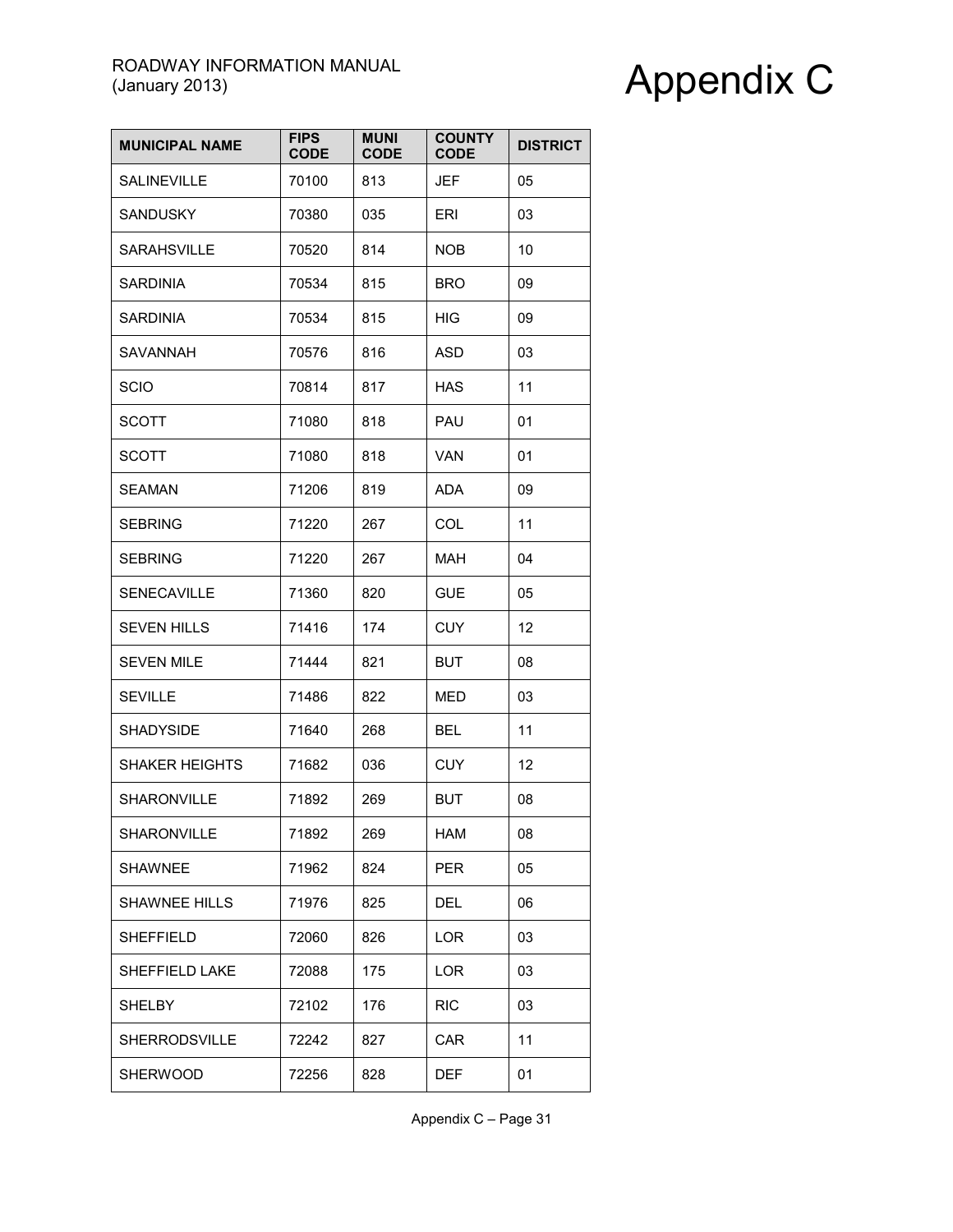| <b>MUNICIPAL NAME</b> | <b>FIPS</b><br><b>CODE</b> | <b>MUNI</b><br><b>CODE</b> | <b>COUNTY</b><br><b>CODE</b> | <b>DISTRICT</b> |
|-----------------------|----------------------------|----------------------------|------------------------------|-----------------|
| <b>SALINEVILLE</b>    | 70100                      | 813                        | <b>JEF</b>                   | 05              |
| <b>SANDUSKY</b>       | 70380                      | 035                        | ERI                          | 03              |
| <b>SARAHSVILLE</b>    | 70520                      | 814                        | <b>NOB</b>                   | 10              |
| <b>SARDINIA</b>       | 70534                      | 815                        | <b>BRO</b>                   | 09              |
| <b>SARDINIA</b>       | 70534                      | 815                        | <b>HIG</b>                   | 09              |
| SAVANNAH              | 70576                      | 816                        | <b>ASD</b>                   | 03              |
| <b>SCIO</b>           | 70814                      | 817                        | <b>HAS</b>                   | 11              |
| <b>SCOTT</b>          | 71080                      | 818                        | PAU                          | 01              |
| <b>SCOTT</b>          | 71080                      | 818                        | <b>VAN</b>                   | 01              |
| <b>SEAMAN</b>         | 71206                      | 819                        | <b>ADA</b>                   | 09              |
| <b>SEBRING</b>        | 71220                      | 267                        | COL                          | 11              |
| <b>SEBRING</b>        | 71220                      | 267                        | <b>MAH</b>                   | 04              |
| SENECAVILLE           | 71360                      | 820                        | <b>GUE</b>                   | 05              |
| <b>SEVEN HILLS</b>    | 71416                      | 174                        | <b>CUY</b>                   | 12              |
| <b>SEVEN MILE</b>     | 71444                      | 821                        | <b>BUT</b>                   | 08              |
| <b>SEVILLE</b>        | 71486                      | 822                        | <b>MED</b>                   | 03              |
| <b>SHADYSIDE</b>      | 71640                      | 268                        | <b>BEL</b>                   | 11              |
| <b>SHAKER HEIGHTS</b> | 71682                      | 036                        | <b>CUY</b>                   | 12              |
| SHARONVILLE           | 71892                      | 269                        | BUT                          | 08              |
| SHARONVILLE           | 71892                      | 269                        | HAM                          | 08              |
| <b>SHAWNEE</b>        | 71962                      | 824                        | <b>PER</b>                   | 05              |
| <b>SHAWNEE HILLS</b>  | 71976                      | 825                        | DEL                          | 06              |
| <b>SHEFFIELD</b>      | 72060                      | 826                        | LOR                          | 03              |
| SHEFFIELD LAKE        | 72088                      | 175                        | LOR                          | 03              |
| <b>SHELBY</b>         | 72102                      | 176                        | <b>RIC</b>                   | 03              |
| <b>SHERRODSVILLE</b>  | 72242                      | 827                        | CAR                          | 11              |
| <b>SHERWOOD</b>       | 72256                      | 828                        | <b>DEF</b>                   | 01              |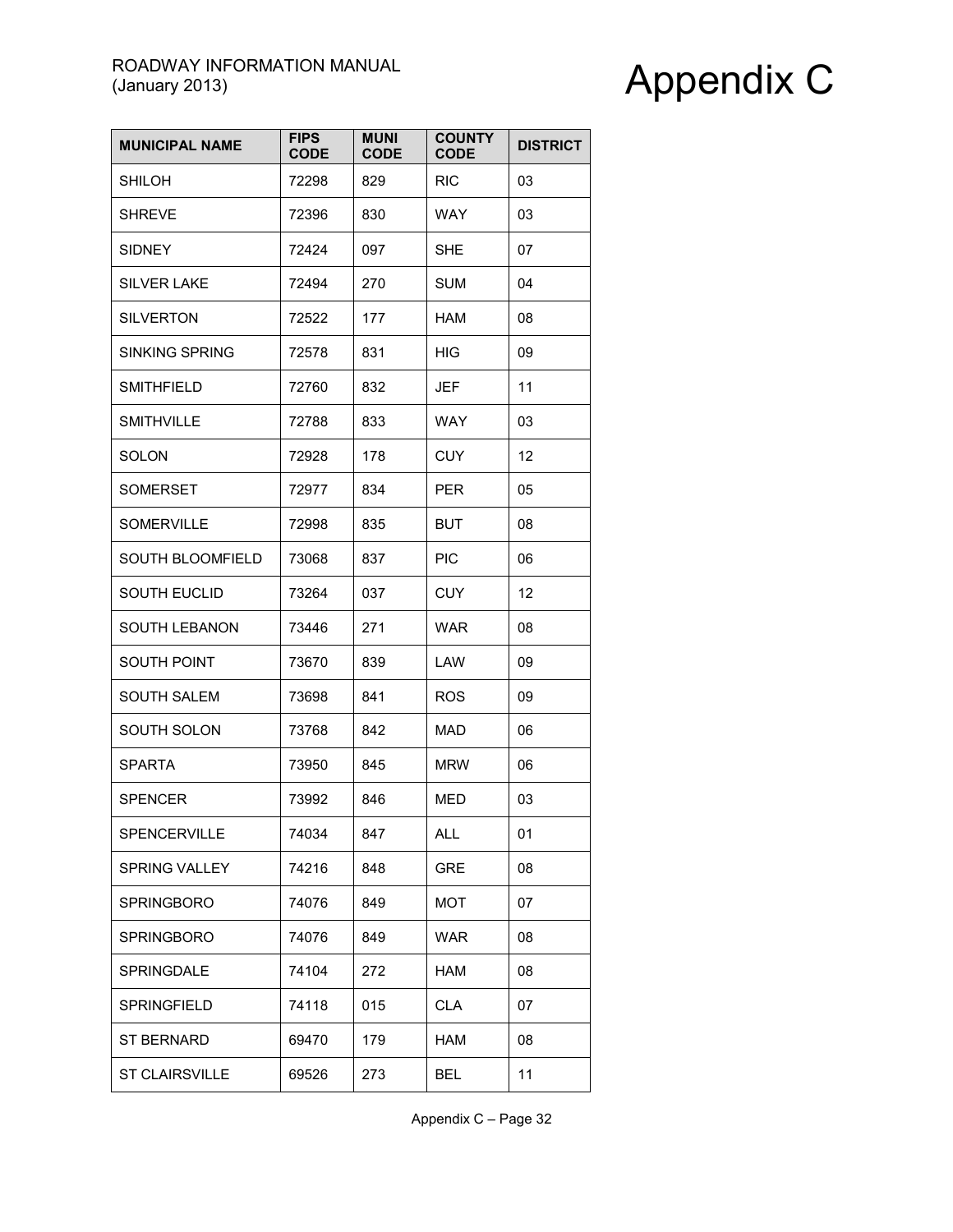| <b>MUNICIPAL NAME</b> | <b>FIPS</b><br><b>CODE</b> | <b>MUNI</b><br><b>CODE</b> | <b>COUNTY</b><br><b>CODE</b> | <b>DISTRICT</b> |
|-----------------------|----------------------------|----------------------------|------------------------------|-----------------|
| <b>SHILOH</b>         | 72298                      | 829                        | <b>RIC</b>                   | 03              |
| <b>SHREVE</b>         | 72396                      | 830                        | <b>WAY</b>                   | 03              |
| <b>SIDNEY</b>         | 72424                      | 097                        | <b>SHE</b>                   | 07              |
| <b>SILVER LAKE</b>    | 72494                      | 270                        | <b>SUM</b>                   | 04              |
| <b>SILVERTON</b>      | 72522                      | 177                        | <b>HAM</b>                   | 08              |
| <b>SINKING SPRING</b> | 72578                      | 831                        | <b>HIG</b>                   | 09              |
| <b>SMITHFIELD</b>     | 72760                      | 832                        | JEF                          | 11              |
| <b>SMITHVILLE</b>     | 72788                      | 833                        | WAY                          | 03              |
| <b>SOLON</b>          | 72928                      | 178                        | <b>CUY</b>                   | 12              |
| <b>SOMERSET</b>       | 72977                      | 834                        | <b>PER</b>                   | 05              |
| <b>SOMERVILLE</b>     | 72998                      | 835                        | <b>BUT</b>                   | 08              |
| SOUTH BLOOMFIELD      | 73068                      | 837                        | <b>PIC</b>                   | 06              |
| <b>SOUTH EUCLID</b>   | 73264                      | 037                        | <b>CUY</b>                   | 12              |
| SOUTH LEBANON         | 73446                      | 271                        | <b>WAR</b>                   | 08              |
| SOUTH POINT           | 73670                      | 839                        | LAW                          | 09              |
| <b>SOUTH SALEM</b>    | 73698                      | 841                        | <b>ROS</b>                   | 09              |
| SOUTH SOLON           | 73768                      | 842                        | <b>MAD</b>                   | 06              |
| <b>SPARTA</b>         | 73950                      | 845                        | <b>MRW</b>                   | 06              |
| <b>SPENCER</b>        | 73992                      | 846                        | MED                          | 03              |
| SPENCERVILLE          | 74034                      | 847                        | ALL                          | 01              |
| <b>SPRING VALLEY</b>  | 74216                      | 848                        | <b>GRE</b>                   | 08              |
| <b>SPRINGBORO</b>     | 74076                      | 849                        | MOT                          | 07              |
| <b>SPRINGBORO</b>     | 74076                      | 849                        | WAR                          | 08              |
| SPRINGDALE            | 74104                      | 272                        | HAM                          | 08              |
| <b>SPRINGFIELD</b>    | 74118                      | 015                        | <b>CLA</b>                   | 07              |
| ST BERNARD            | 69470                      | 179                        | HAM                          | 08              |
| <b>ST CLAIRSVILLE</b> | 69526                      | 273                        | <b>BEL</b>                   | 11              |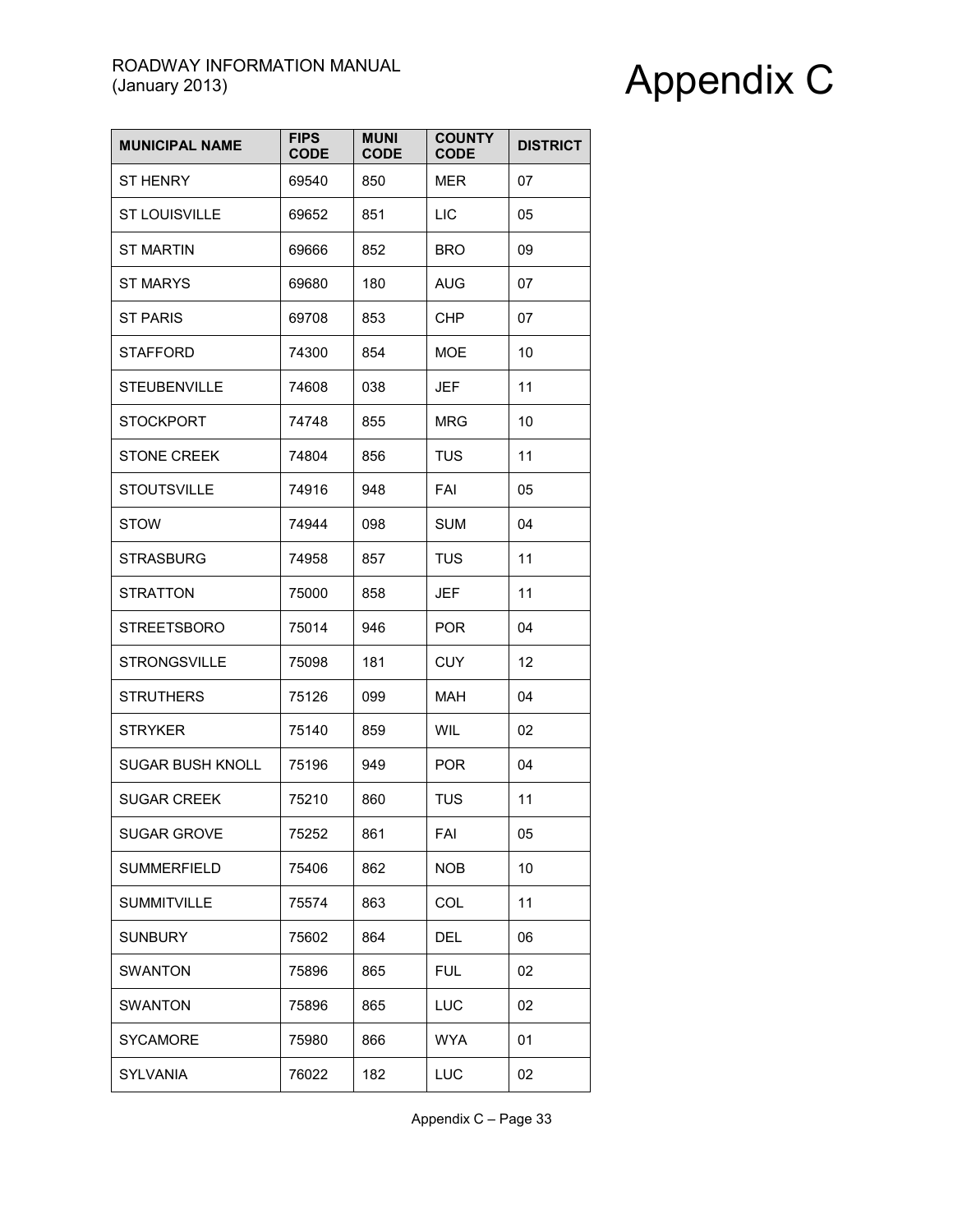| <b>MUNICIPAL NAME</b> | <b>FIPS</b><br><b>CODE</b> | <b>MUNI</b><br><b>CODE</b> | <b>COUNTY</b><br><b>CODE</b> | <b>DISTRICT</b> |
|-----------------------|----------------------------|----------------------------|------------------------------|-----------------|
| <b>ST HENRY</b>       | 69540                      | 850                        | MER                          | 07              |
| <b>ST LOUISVILLE</b>  | 69652                      | 851                        | <b>LIC</b>                   | 05              |
| <b>ST MARTIN</b>      | 69666                      | 852                        | <b>BRO</b>                   | 09              |
| <b>ST MARYS</b>       | 69680                      | 180                        | AUG                          | 07              |
| <b>ST PARIS</b>       | 69708                      | 853                        | CHP                          | 07              |
| <b>STAFFORD</b>       | 74300                      | 854                        | <b>MOE</b>                   | 10              |
| <b>STEUBENVILLE</b>   | 74608                      | 038                        | <b>JEF</b>                   | 11              |
| <b>STOCKPORT</b>      | 74748                      | 855                        | MRG                          | 10              |
| <b>STONE CREEK</b>    | 74804                      | 856                        | <b>TUS</b>                   | 11              |
| <b>STOUTSVILLE</b>    | 74916                      | 948                        | FAI                          | 05              |
| <b>STOW</b>           | 74944                      | 098                        | <b>SUM</b>                   | 04              |
| <b>STRASBURG</b>      | 74958                      | 857                        | <b>TUS</b>                   | 11              |
| <b>STRATTON</b>       | 75000                      | 858                        | JEF                          | 11              |
| <b>STREETSBORO</b>    | 75014                      | 946                        | <b>POR</b>                   | 04              |
| <b>STRONGSVILLE</b>   | 75098                      | 181                        | <b>CUY</b>                   | 12              |
| <b>STRUTHERS</b>      | 75126                      | 099                        | MAH                          | 04              |
| <b>STRYKER</b>        | 75140                      | 859                        | <b>WIL</b>                   | 02              |
| SUGAR BUSH KNOLL      | 75196                      | 949                        | <b>POR</b>                   | 04              |
| <b>SUGAR CREEK</b>    | 75210                      | 860                        | TUS                          | 11              |
| SUGAR GROVE           | 75252                      | 861                        | FAI                          | 05              |
| <b>SUMMERFIELD</b>    | 75406                      | 862                        | <b>NOB</b>                   | 10              |
| <b>SUMMITVILLE</b>    | 75574                      | 863                        | COL                          | 11              |
| <b>SUNBURY</b>        | 75602                      | 864                        | DEL                          | 06              |
| <b>SWANTON</b>        | 75896                      | 865                        | <b>FUL</b>                   | 02              |
| <b>SWANTON</b>        | 75896                      | 865                        | LUC                          | 02              |
| <b>SYCAMORE</b>       | 75980                      | 866                        | <b>WYA</b>                   | 01              |
| SYLVANIA              | 76022                      | 182                        | LUC                          | 02              |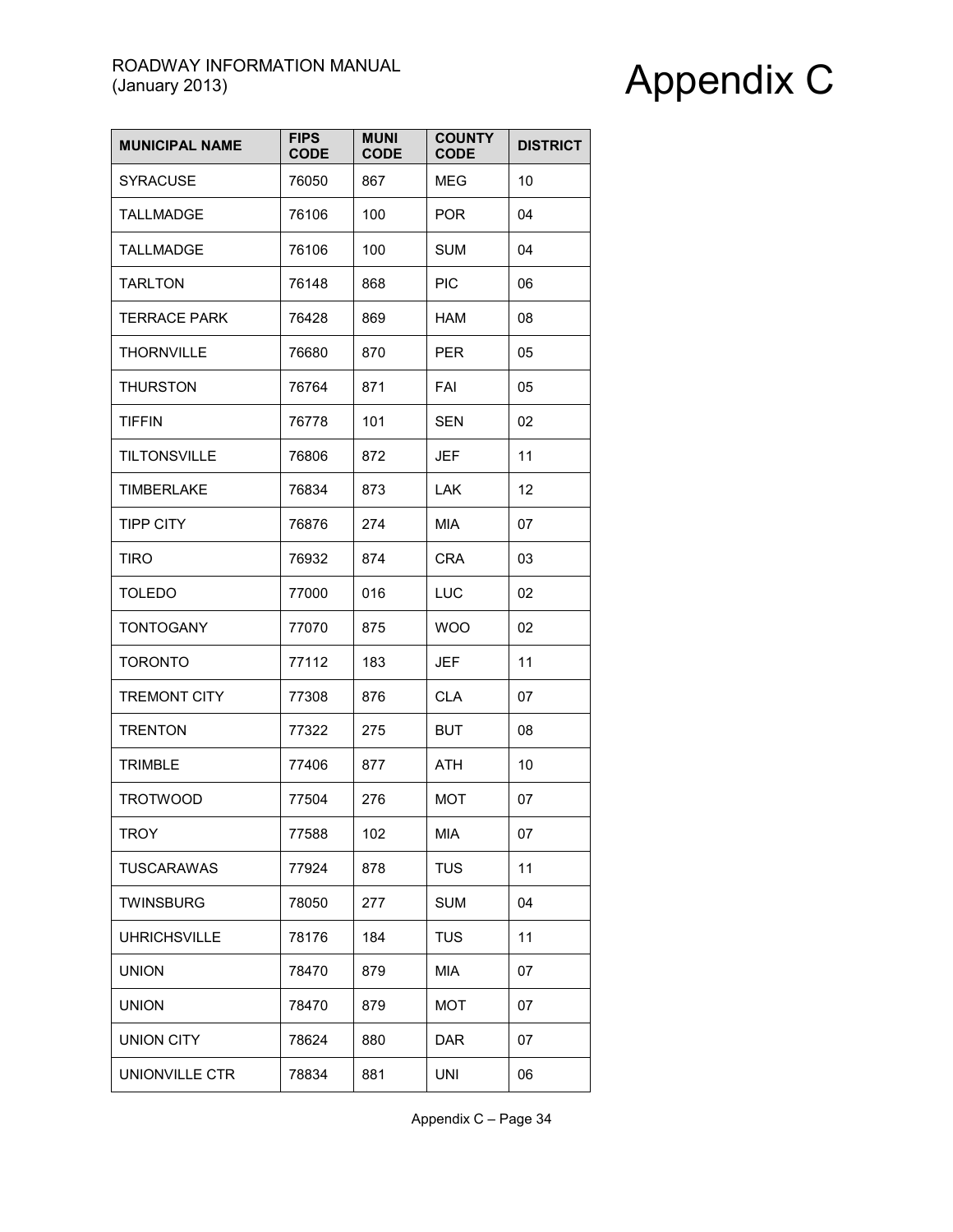| <b>MUNICIPAL NAME</b> | <b>FIPS</b><br><b>CODE</b> | <b>MUNI</b><br><b>CODE</b> | <b>COUNTY</b><br><b>CODE</b> | <b>DISTRICT</b> |
|-----------------------|----------------------------|----------------------------|------------------------------|-----------------|
| <b>SYRACUSE</b>       | 76050                      | 867                        | MEG                          | 10              |
| <b>TALLMADGE</b>      | 76106                      | 100                        | <b>POR</b>                   | 04              |
| <b>TALLMADGE</b>      | 76106                      | 100                        | <b>SUM</b>                   | 04              |
| <b>TARLTON</b>        | 76148                      | 868                        | <b>PIC</b>                   | 06              |
| <b>TERRACE PARK</b>   | 76428                      | 869                        | <b>HAM</b>                   | 08              |
| <b>THORNVILLE</b>     | 76680                      | 870                        | <b>PER</b>                   | 05              |
| <b>THURSTON</b>       | 76764                      | 871                        | FAI                          | 05              |
| <b>TIFFIN</b>         | 76778                      | 101                        | <b>SEN</b>                   | 02              |
| <b>TILTONSVILLE</b>   | 76806                      | 872                        | <b>JEF</b>                   | 11              |
| <b>TIMBERLAKE</b>     | 76834                      | 873                        | <b>LAK</b>                   | 12              |
| <b>TIPP CITY</b>      | 76876                      | 274                        | MIA                          | 07              |
| <b>TIRO</b>           | 76932                      | 874                        | <b>CRA</b>                   | 03              |
| <b>TOLEDO</b>         | 77000                      | 016                        | LUC                          | 02              |
| <b>TONTOGANY</b>      | 77070                      | 875                        | <b>WOO</b>                   | 02              |
| <b>TORONTO</b>        | 77112                      | 183                        | <b>JEF</b>                   | 11              |
| <b>TREMONT CITY</b>   | 77308                      | 876                        | CLA                          | 07              |
| <b>TRENTON</b>        | 77322                      | 275                        | <b>BUT</b>                   | 08              |
| <b>TRIMBLE</b>        | 77406                      | 877                        | ATH                          | 10              |
| <b>TROTWOOD</b>       | 77504                      | 276                        | <b>MOT</b>                   | 07              |
| <b>TROY</b>           | 77588                      | 102                        | MIA                          | 07              |
| <b>TUSCARAWAS</b>     | 77924                      | 878                        | <b>TUS</b>                   | 11              |
| <b>TWINSBURG</b>      | 78050                      | 277                        | <b>SUM</b>                   | 04              |
| <b>UHRICHSVILLE</b>   | 78176                      | 184                        | <b>TUS</b>                   | 11              |
| <b>UNION</b>          | 78470                      | 879                        | MIA                          | 07              |
| <b>UNION</b>          | 78470                      | 879                        | <b>MOT</b>                   | 07              |
| <b>UNION CITY</b>     | 78624                      | 880                        | <b>DAR</b>                   | 07              |
| UNIONVILLE CTR        | 78834                      | 881                        | <b>UNI</b>                   | 06              |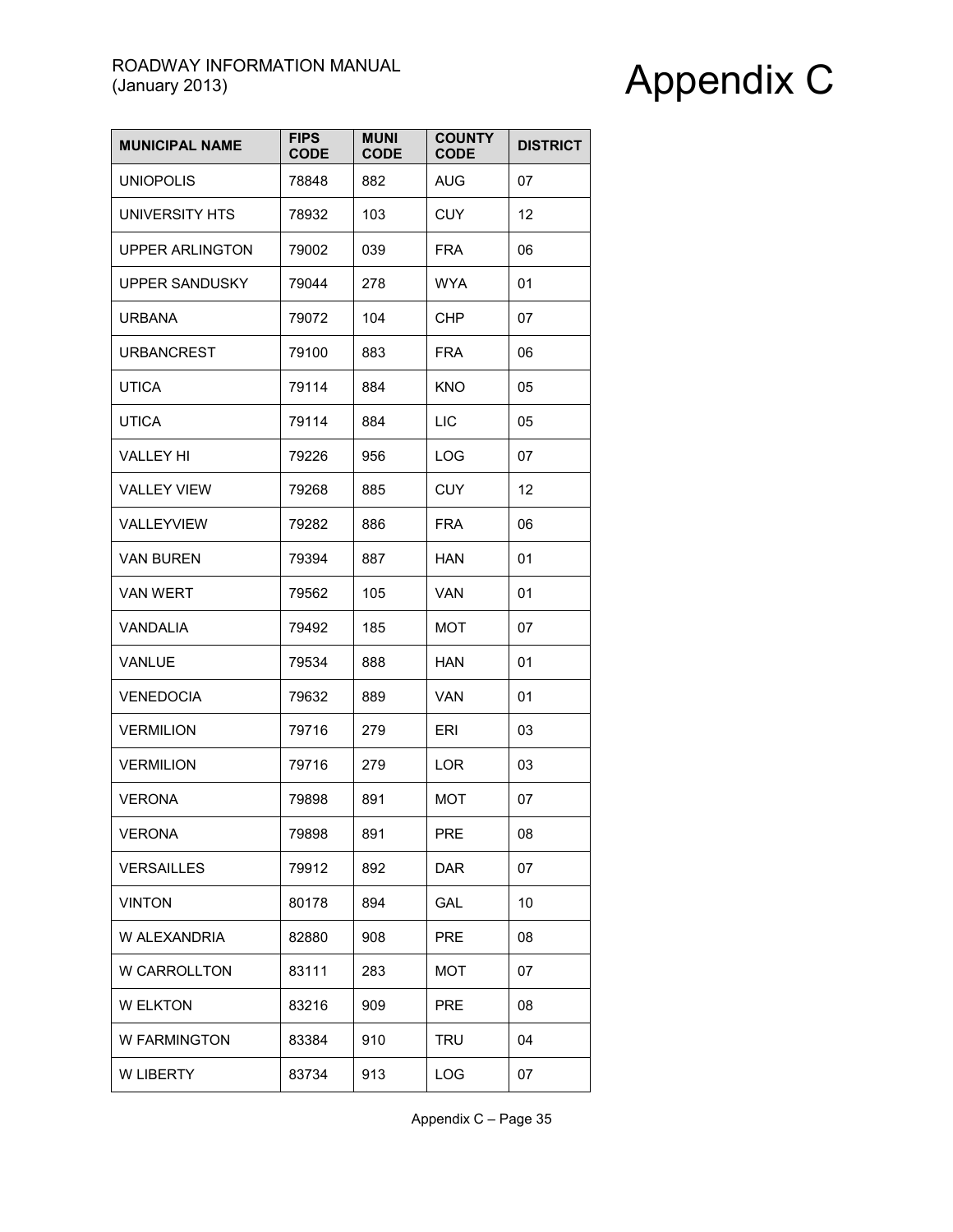| <b>MUNICIPAL NAME</b>  | <b>FIPS</b><br><b>CODE</b> | <b>MUNI</b><br><b>CODE</b> | <b>COUNTY</b><br><b>CODE</b> | <b>DISTRICT</b> |
|------------------------|----------------------------|----------------------------|------------------------------|-----------------|
| <b>UNIOPOLIS</b>       | 78848                      | 882                        | <b>AUG</b>                   | 07              |
| UNIVERSITY HTS         | 78932                      | 103                        | <b>CUY</b>                   | 12              |
| <b>UPPER ARLINGTON</b> | 79002                      | 039                        | <b>FRA</b>                   | 06              |
| <b>UPPER SANDUSKY</b>  | 79044                      | 278                        | WYA                          | 01              |
| <b>URBANA</b>          | 79072                      | 104                        | <b>CHP</b>                   | 07              |
| <b>URBANCREST</b>      | 79100                      | 883                        | <b>FRA</b>                   | 06              |
| <b>UTICA</b>           | 79114                      | 884                        | <b>KNO</b>                   | 05              |
| <b>UTICA</b>           | 79114                      | 884                        | <b>LIC</b>                   | 05              |
| VALLEY HI              | 79226                      | 956                        | <b>LOG</b>                   | 07              |
| <b>VALLEY VIEW</b>     | 79268                      | 885                        | <b>CUY</b>                   | 12              |
| VALLEYVIEW             | 79282                      | 886                        | <b>FRA</b>                   | 06              |
| <b>VAN BUREN</b>       | 79394                      | 887                        | HAN                          | 01              |
| <b>VAN WERT</b>        | 79562                      | 105                        | VAN                          | 01              |
| VANDALIA               | 79492                      | 185                        | MOT                          | 07              |
| VANLUE                 | 79534                      | 888                        | HAN                          | 01              |
| <b>VENEDOCIA</b>       | 79632                      | 889                        | VAN                          | 01              |
| <b>VERMILION</b>       | 79716                      | 279                        | ERI                          | 03              |
| <b>VERMILION</b>       | 79716                      | 279                        | <b>LOR</b>                   | 03              |
| <b>VERONA</b>          | 79898                      | 891                        | МОТ                          | 07              |
| <b>VERONA</b>          | 79898                      | 891                        | <b>PRE</b>                   | 08              |
| <b>VERSAILLES</b>      | 79912                      | 892                        | <b>DAR</b>                   | 07              |
| <b>VINTON</b>          | 80178                      | 894                        | GAL                          | 10              |
| W ALEXANDRIA           | 82880                      | 908                        | <b>PRE</b>                   | 08              |
| W CARROLLTON           | 83111                      | 283                        | MOT                          | 07              |
| <b>W ELKTON</b>        | 83216                      | 909                        | PRE                          | 08              |
| W FARMINGTON           | 83384                      | 910                        | <b>TRU</b>                   | 04              |
| W LIBERTY              | 83734                      | 913                        | LOG                          | 07              |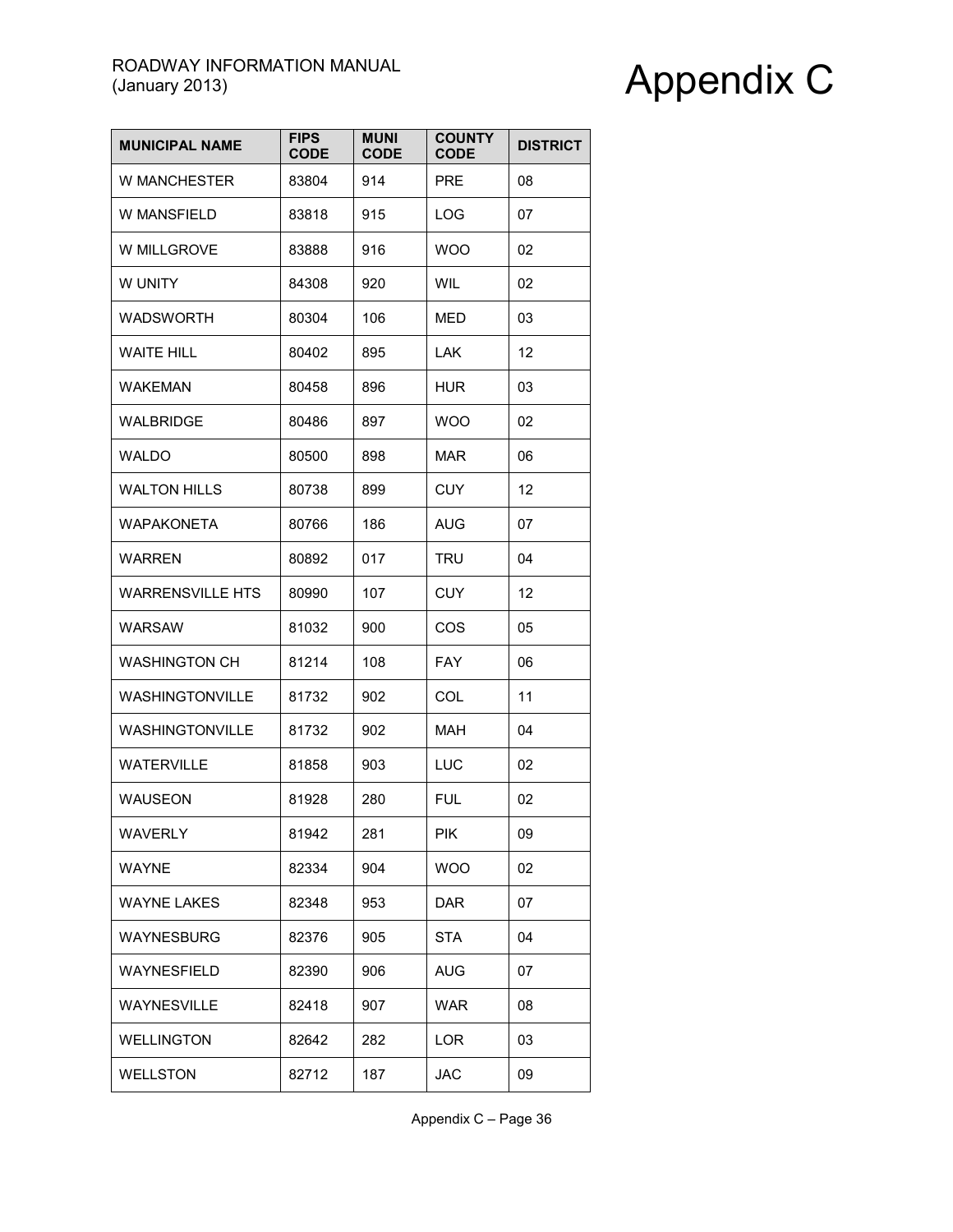| <b>MUNICIPAL NAME</b>   | <b>FIPS</b><br><b>CODE</b> | <b>MUNI</b><br><b>CODE</b> | <b>COUNTY</b><br><b>CODE</b> | <b>DISTRICT</b> |
|-------------------------|----------------------------|----------------------------|------------------------------|-----------------|
| <b>W MANCHESTER</b>     | 83804                      | 914                        | <b>PRE</b>                   | 08              |
| W MANSFIELD             | 83818                      | 915                        | <b>LOG</b>                   | 07              |
| W MILLGROVE             | 83888                      | 916                        | <b>WOO</b>                   | 02              |
| W UNITY                 | 84308                      | 920                        | WIL                          | 02              |
| WADSWORTH               | 80304                      | 106                        | MED                          | 03              |
| <b>WAITE HILL</b>       | 80402                      | 895                        | <b>LAK</b>                   | 12              |
| <b>WAKEMAN</b>          | 80458                      | 896                        | <b>HUR</b>                   | 03              |
| WALBRIDGE               | 80486                      | 897                        | <b>WOO</b>                   | 02              |
| WALDO                   | 80500                      | 898                        | MAR                          | 06              |
| <b>WALTON HILLS</b>     | 80738                      | 899                        | <b>CUY</b>                   | 12              |
| <b>WAPAKONETA</b>       | 80766                      | 186                        | AUG                          | 07              |
| <b>WARREN</b>           | 80892                      | 017                        | <b>TRU</b>                   | 04              |
| <b>WARRENSVILLE HTS</b> | 80990                      | 107                        | CUY                          | 12              |
| <b>WARSAW</b>           | 81032                      | 900                        | COS                          | 05              |
| <b>WASHINGTON CH</b>    | 81214                      | 108                        | <b>FAY</b>                   | 06              |
| WASHINGTONVILLE         | 81732                      | 902                        | COL                          | 11              |
| WASHINGTONVILLE         | 81732                      | 902                        | <b>MAH</b>                   | 04              |
| <b>WATERVILLE</b>       | 81858                      | 903                        | LUC                          | 02              |
| WAUSEON                 | 81928                      | 280                        | FUL                          | 02              |
| <b>WAVERLY</b>          | 81942                      | 281                        | <b>PIK</b>                   | 09              |
| <b>WAYNE</b>            | 82334                      | 904                        | <b>WOO</b>                   | 02              |
| <b>WAYNE LAKES</b>      | 82348                      | 953                        | <b>DAR</b>                   | 07              |
| WAYNESBURG              | 82376                      | 905                        | <b>STA</b>                   | 04              |
| WAYNESFIELD             | 82390                      | 906                        | AUG                          | 07              |
| WAYNESVILLE             | 82418                      | 907                        | <b>WAR</b>                   | 08              |
| <b>WELLINGTON</b>       | 82642                      | 282                        | <b>LOR</b>                   | 03              |
| <b>WELLSTON</b>         | 82712                      | 187                        | <b>JAC</b>                   | 09              |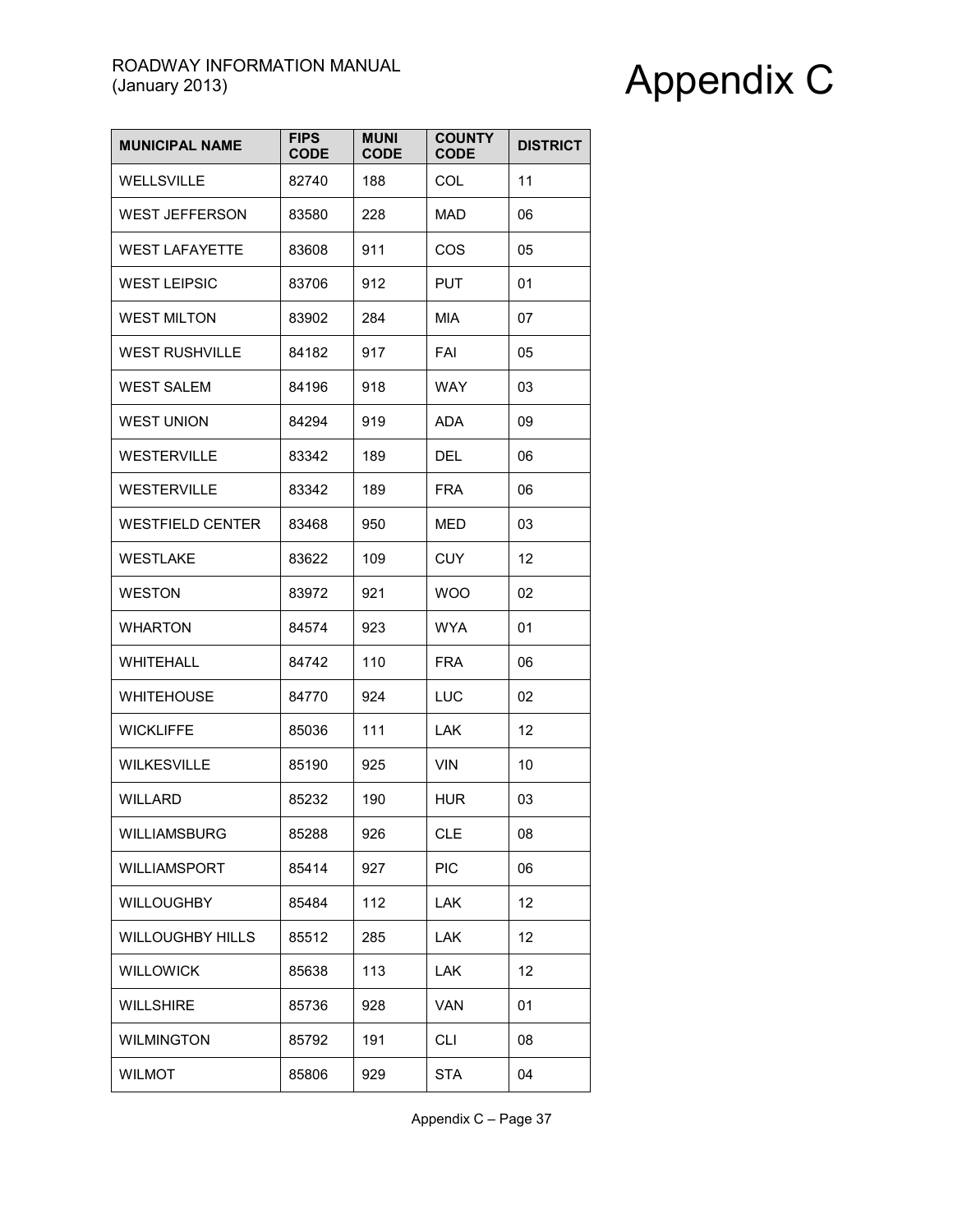| <b>MUNICIPAL NAME</b>   | <b>FIPS</b><br><b>CODE</b> | <b>MUNI</b><br><b>CODE</b> | <b>COUNTY</b><br><b>CODE</b> | <b>DISTRICT</b> |
|-------------------------|----------------------------|----------------------------|------------------------------|-----------------|
| <b>WELLSVILLE</b>       | 82740                      | 188                        | <b>COL</b>                   | 11              |
| <b>WEST JEFFERSON</b>   | 83580                      | 228                        | <b>MAD</b>                   | 06              |
| <b>WEST LAFAYETTE</b>   | 83608                      | 911                        | COS                          | 05              |
| <b>WEST LEIPSIC</b>     | 83706                      | 912                        | <b>PUT</b>                   | 01              |
| <b>WEST MILTON</b>      | 83902                      | 284                        | MIA                          | 07              |
| <b>WEST RUSHVILLE</b>   | 84182                      | 917                        | FAI                          | 05              |
| <b>WEST SALEM</b>       | 84196                      | 918                        | WAY                          | 03              |
| WEST UNION              | 84294                      | 919                        | ADA                          | 09              |
| <b>WESTERVILLE</b>      | 83342                      | 189                        | <b>DEL</b>                   | 06              |
| <b>WESTERVILLE</b>      | 83342                      | 189                        | <b>FRA</b>                   | 06              |
| <b>WESTFIELD CENTER</b> | 83468                      | 950                        | MED                          | 03              |
| <b>WESTLAKE</b>         | 83622                      | 109                        | <b>CUY</b>                   | 12              |
| <b>WESTON</b>           | 83972                      | 921                        | <b>WOO</b>                   | 02              |
| <b>WHARTON</b>          | 84574                      | 923                        | <b>WYA</b>                   | 01              |
| <b>WHITEHALL</b>        | 84742                      | 110                        | <b>FRA</b>                   | 06              |
| <b>WHITEHOUSE</b>       | 84770                      | 924                        | LUC                          | 02              |
| <b>WICKLIFFE</b>        | 85036                      | 111                        | <b>LAK</b>                   | 12              |
| <b>WILKESVILLE</b>      | 85190                      | 925                        | <b>VIN</b>                   | 10              |
| <b>WILLARD</b>          | 85232                      | 190                        | <b>HUR</b>                   | 03              |
| WILLIAMSBURG            | 85288                      | 926                        | <b>CLE</b>                   | 08              |
| WILLIAMSPORT            | 85414                      | 927                        | <b>PIC</b>                   | 06              |
| <b>WILLOUGHBY</b>       | 85484                      | 112                        | <b>LAK</b>                   | 12              |
| <b>WILLOUGHBY HILLS</b> | 85512                      | 285                        | <b>LAK</b>                   | 12              |
| <b>WILLOWICK</b>        | 85638                      | 113                        | <b>LAK</b>                   | 12              |
| <b>WILLSHIRE</b>        | 85736                      | 928                        | <b>VAN</b>                   | 01              |
| <b>WILMINGTON</b>       | 85792                      | 191                        | <b>CLI</b>                   | 08              |
| <b>WILMOT</b>           | 85806                      | 929                        | <b>STA</b>                   | 04              |